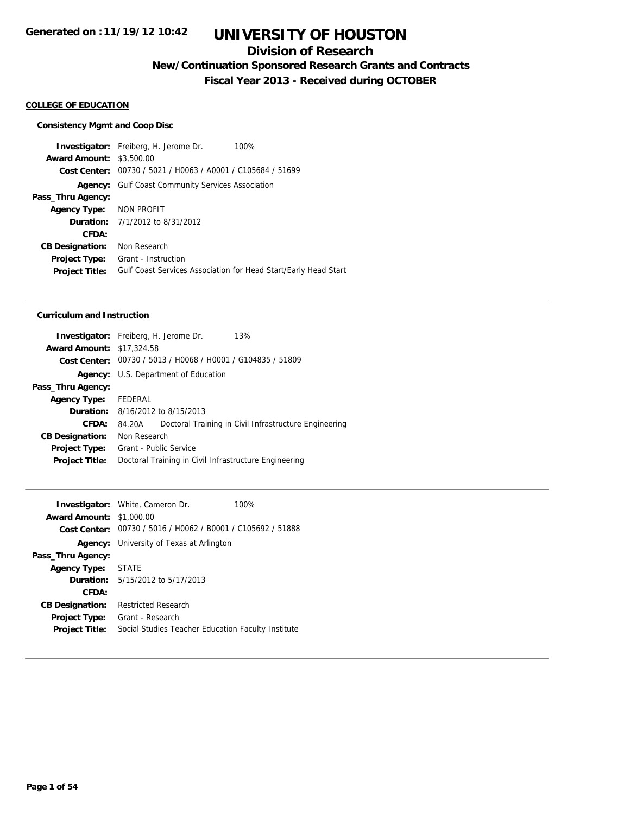### **Division of Research**

**New/Continuation Sponsored Research Grants and Contracts**

**Fiscal Year 2013 - Received during OCTOBER**

#### **COLLEGE OF EDUCATION**

#### **Consistency Mgmt and Coop Disc**

**Investigator:** Freiberg, H. Jerome Dr. 100% **Award Amount:** \$3,500.00 **Cost Center:** 00730 / 5021 / H0063 / A0001 / C105684 / 51699 **Agency:** Gulf Coast Community Services Association **Pass\_Thru Agency: Agency Type:** NON PROFIT **Duration:** 7/1/2012 to 8/31/2012 **CFDA: CB Designation:** Non Research **Project Type:** Grant - Instruction **Project Title:** Gulf Coast Services Association for Head Start/Early Head Start

#### **Curriculum and Instruction**

| Investigator: Freiberg, H. Jerome Dr.<br>13%                    |
|-----------------------------------------------------------------|
| <b>Award Amount: \$17,324.58</b>                                |
| Cost Center: 00730 / 5013 / H0068 / H0001 / G104835 / 51809     |
| Agency: U.S. Department of Education                            |
|                                                                 |
| FEDERAL                                                         |
| <b>Duration:</b> 8/16/2012 to 8/15/2013                         |
| Doctoral Training in Civil Infrastructure Engineering<br>84.20A |
| Non Research                                                    |
| Grant - Public Service                                          |
| Doctoral Training in Civil Infrastructure Engineering           |
|                                                                 |

|                                 | <b>Investigator:</b> White, Cameron Dr.                     | 100% |
|---------------------------------|-------------------------------------------------------------|------|
| <b>Award Amount: \$1,000.00</b> |                                                             |      |
|                                 | Cost Center: 00730 / 5016 / H0062 / B0001 / C105692 / 51888 |      |
|                                 | <b>Agency:</b> University of Texas at Arlington             |      |
| Pass_Thru Agency:               |                                                             |      |
| Agency Type: STATE              |                                                             |      |
|                                 | <b>Duration:</b> $5/15/2012$ to $5/17/2013$                 |      |
| CFDA:                           |                                                             |      |
| <b>CB Designation:</b>          | <b>Restricted Research</b>                                  |      |
| Project Type:                   | Grant - Research                                            |      |
| <b>Project Title:</b>           | Social Studies Teacher Education Faculty Institute          |      |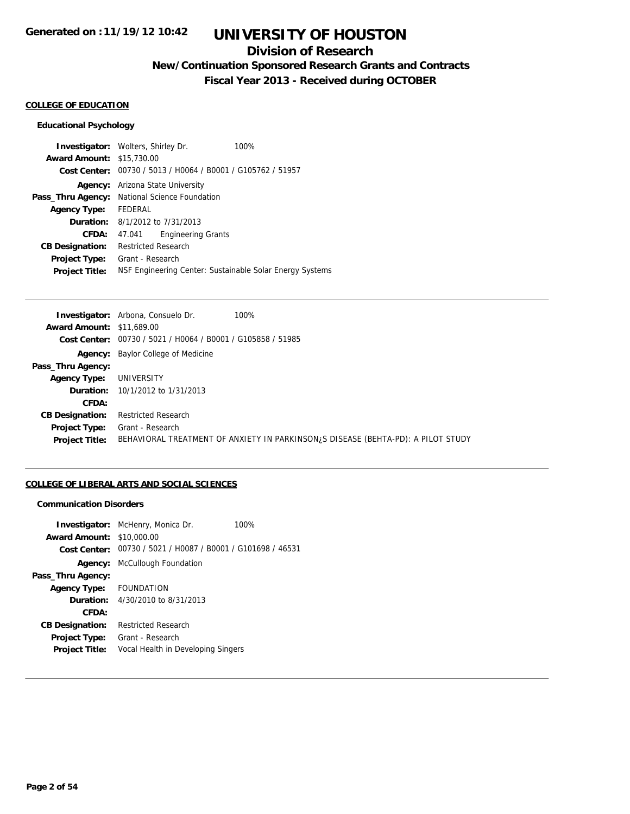### **Division of Research**

**New/Continuation Sponsored Research Grants and Contracts**

**Fiscal Year 2013 - Received during OCTOBER**

#### **COLLEGE OF EDUCATION**

### **Educational Psychology**

|                                  | <b>Investigator:</b> Wolters, Shirley Dr.                   | 100% |
|----------------------------------|-------------------------------------------------------------|------|
| <b>Award Amount: \$15,730.00</b> |                                                             |      |
|                                  | Cost Center: 00730 / 5013 / H0064 / B0001 / G105762 / 51957 |      |
| Agency:                          | Arizona State University                                    |      |
| Pass_Thru Agency:                | National Science Foundation                                 |      |
| <b>Agency Type:</b>              | FEDERAL                                                     |      |
|                                  | <b>Duration:</b> 8/1/2012 to 7/31/2013                      |      |
| CFDA:                            | <b>Engineering Grants</b><br>47.041                         |      |
| <b>CB Designation:</b>           | <b>Restricted Research</b>                                  |      |
| <b>Project Type:</b>             | Grant - Research                                            |      |
| <b>Project Title:</b>            | NSF Engineering Center: Sustainable Solar Energy Systems    |      |

| <b>Award Amount: \$11,689.00</b>                                                                                       |  |
|------------------------------------------------------------------------------------------------------------------------|--|
|                                                                                                                        |  |
| Cost Center: 00730 / 5021 / H0064 / B0001 / G105858 / 51985                                                            |  |
| <b>Agency:</b> Baylor College of Medicine                                                                              |  |
| Pass_Thru Agency:                                                                                                      |  |
| UNIVERSITY<br><b>Agency Type:</b>                                                                                      |  |
| <b>Duration:</b> 10/1/2012 to 1/31/2013                                                                                |  |
| CFDA:                                                                                                                  |  |
| <b>Restricted Research</b><br><b>CB Designation:</b>                                                                   |  |
| Grant - Research<br>Project Type:                                                                                      |  |
| BEHAVIORAL TREATMENT OF ANXIETY IN PARKINSON <sub>i</sub> S DISEASE (BEHTA-PD): A PILOT STUDY<br><b>Project Title:</b> |  |

### **COLLEGE OF LIBERAL ARTS AND SOCIAL SCIENCES**

#### **Communication Disorders**

|                        | <b>Investigator:</b> McHenry, Monica Dr.       | 100% |
|------------------------|------------------------------------------------|------|
| <b>Award Amount:</b>   | \$10,000.00                                    |      |
| Cost Center:           | 00730 / 5021 / H0087 / B0001 / G101698 / 46531 |      |
| Agency:                | McCullough Foundation                          |      |
| Pass_Thru Agency:      |                                                |      |
| <b>Agency Type:</b>    | <b>FOUNDATION</b>                              |      |
| Duration:              | 4/30/2010 to 8/31/2013                         |      |
| CFDA:                  |                                                |      |
| <b>CB Designation:</b> | <b>Restricted Research</b>                     |      |
| <b>Project Type:</b>   | Grant - Research                               |      |
| <b>Project Title:</b>  | Vocal Health in Developing Singers             |      |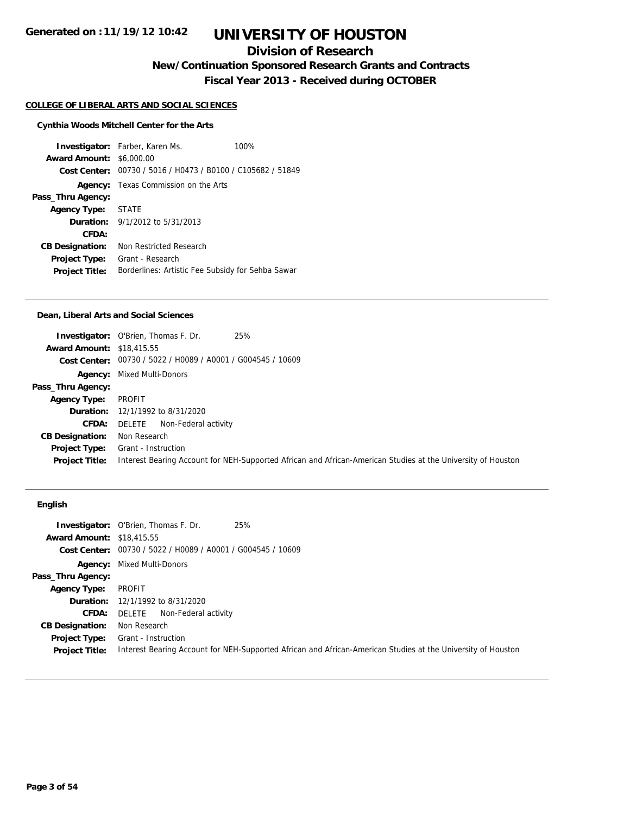## **Division of Research**

**New/Continuation Sponsored Research Grants and Contracts**

**Fiscal Year 2013 - Received during OCTOBER**

#### **COLLEGE OF LIBERAL ARTS AND SOCIAL SCIENCES**

### **Cynthia Woods Mitchell Center for the Arts**

**Investigator:** Farber, Karen Ms. 100% **Award Amount:** \$6,000.00 **Cost Center:** 00730 / 5016 / H0473 / B0100 / C105682 / 51849 **Agency:** Texas Commission on the Arts **Pass\_Thru Agency: Agency Type:** STATE **Duration:** 9/1/2012 to 5/31/2013 **CFDA: CB Designation:** Non Restricted Research **Project Type:** Grant - Research Project Title: Borderlines: Artistic Fee Subsidy for Sehba Sawar

#### **Dean, Liberal Arts and Social Sciences**

|                                  | 25%<br><b>Investigator:</b> O'Brien, Thomas F. Dr.                                                           |
|----------------------------------|--------------------------------------------------------------------------------------------------------------|
| <b>Award Amount: \$18,415.55</b> |                                                                                                              |
|                                  | Cost Center: 00730 / 5022 / H0089 / A0001 / G004545 / 10609                                                  |
|                                  | <b>Agency:</b> Mixed Multi-Donors                                                                            |
| Pass_Thru Agency:                |                                                                                                              |
| <b>Agency Type:</b>              | PROFIT                                                                                                       |
|                                  | <b>Duration:</b> 12/1/1992 to 8/31/2020                                                                      |
| CFDA:                            | DELETE<br>Non-Federal activity                                                                               |
| <b>CB Designation:</b>           | Non Research                                                                                                 |
| Project Type:                    | Grant - Instruction                                                                                          |
| <b>Project Title:</b>            | Interest Bearing Account for NEH-Supported African and African-American Studies at the University of Houston |

### **English**

|                                  | 25%<br><b>Investigator:</b> O'Brien, Thomas F. Dr.                                                           |
|----------------------------------|--------------------------------------------------------------------------------------------------------------|
| <b>Award Amount: \$18,415.55</b> |                                                                                                              |
|                                  | Cost Center: 00730 / 5022 / H0089 / A0001 / G004545 / 10609                                                  |
|                                  | <b>Agency:</b> Mixed Multi-Donors                                                                            |
| Pass_Thru Agency:                |                                                                                                              |
| <b>Agency Type:</b>              | PROFIT                                                                                                       |
|                                  | <b>Duration:</b> 12/1/1992 to 8/31/2020                                                                      |
| <b>CFDA:</b>                     | Non-Federal activity<br>DELETE                                                                               |
| <b>CB Designation:</b>           | Non Research                                                                                                 |
| Project Type:                    | Grant - Instruction                                                                                          |
| <b>Project Title:</b>            | Interest Bearing Account for NEH-Supported African and African-American Studies at the University of Houston |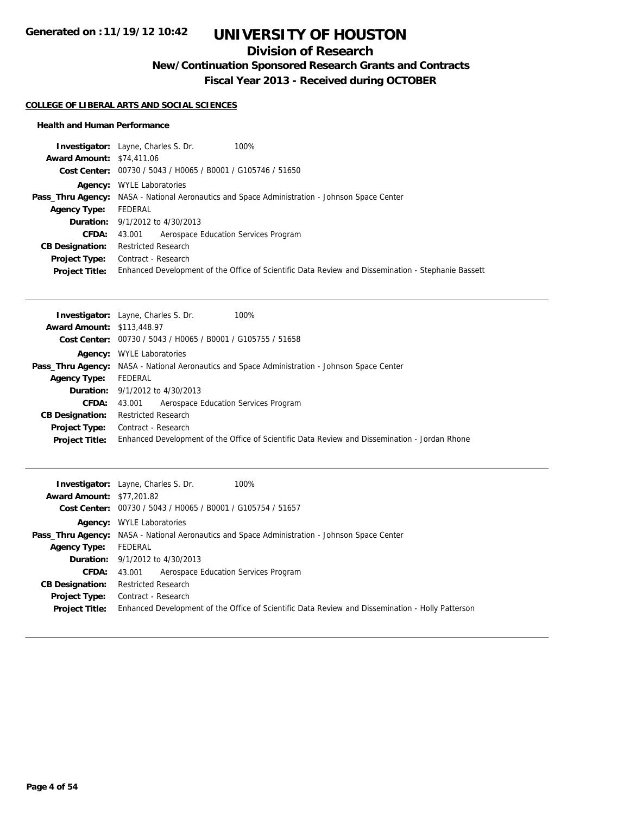## **Division of Research**

**New/Continuation Sponsored Research Grants and Contracts**

**Fiscal Year 2013 - Received during OCTOBER**

### **COLLEGE OF LIBERAL ARTS AND SOCIAL SCIENCES**

| 100%<br><b>Investigator:</b> Layne, Charles S. Dr.                                                   |
|------------------------------------------------------------------------------------------------------|
| <b>Award Amount: \$74,411.06</b>                                                                     |
| Cost Center: 00730 / 5043 / H0065 / B0001 / G105746 / 51650                                          |
| <b>Agency:</b> WYLE Laboratories                                                                     |
| <b>Pass_Thru Agency:</b> NASA - National Aeronautics and Space Administration - Johnson Space Center |
| FEDERAL                                                                                              |
| <b>Duration:</b> 9/1/2012 to 4/30/2013                                                               |
| Aerospace Education Services Program<br>43.001                                                       |
| <b>Restricted Research</b>                                                                           |
| Contract - Research                                                                                  |
| Enhanced Development of the Office of Scientific Data Review and Dissemination - Stephanie Bassett   |
|                                                                                                      |

| <b>Investigator:</b> Layne, Charles S. Dr.<br>100%                                                   |
|------------------------------------------------------------------------------------------------------|
| <b>Award Amount: \$113,448.97</b>                                                                    |
| Cost Center: 00730 / 5043 / H0065 / B0001 / G105755 / 51658                                          |
| <b>Agency:</b> WYLE Laboratories                                                                     |
| <b>Pass_Thru Agency:</b> NASA - National Aeronautics and Space Administration - Johnson Space Center |
| FEDERAL                                                                                              |
| <b>Duration:</b> $9/1/2012$ to $4/30/2013$                                                           |
| Aerospace Education Services Program<br>43.001                                                       |
| <b>Restricted Research</b>                                                                           |
| Contract - Research                                                                                  |
| Enhanced Development of the Office of Scientific Data Review and Dissemination - Jordan Rhone        |
|                                                                                                      |

|                                  | <b>Investigator:</b> Layne, Charles S. Dr.<br>100%                                                   |
|----------------------------------|------------------------------------------------------------------------------------------------------|
| <b>Award Amount: \$77,201.82</b> |                                                                                                      |
|                                  | Cost Center: 00730 / 5043 / H0065 / B0001 / G105754 / 51657                                          |
|                                  | <b>Agency:</b> WYLE Laboratories                                                                     |
|                                  | <b>Pass_Thru Agency:</b> NASA - National Aeronautics and Space Administration - Johnson Space Center |
| <b>Agency Type:</b>              | FEDERAL                                                                                              |
|                                  | <b>Duration:</b> $9/1/2012$ to $4/30/2013$                                                           |
| <b>CFDA:</b>                     | 43.001 Aerospace Education Services Program                                                          |
| <b>CB Designation:</b>           | <b>Restricted Research</b>                                                                           |
| Project Type:                    | Contract - Research                                                                                  |
| <b>Project Title:</b>            | Enhanced Development of the Office of Scientific Data Review and Dissemination - Holly Patterson     |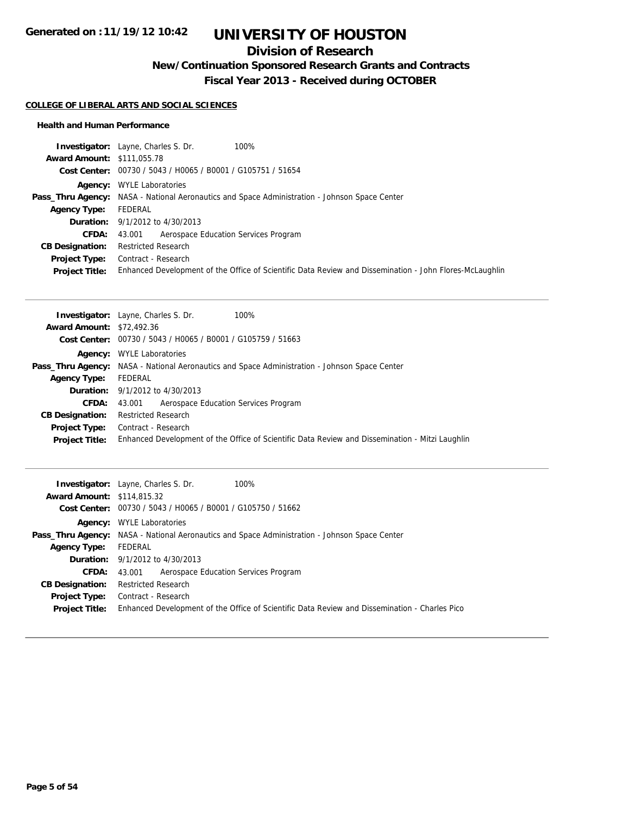## **Division of Research**

**New/Continuation Sponsored Research Grants and Contracts**

**Fiscal Year 2013 - Received during OCTOBER**

#### **COLLEGE OF LIBERAL ARTS AND SOCIAL SCIENCES**

|                                   | <b>Investigator:</b> Layne, Charles S. Dr.<br>100%                                                      |
|-----------------------------------|---------------------------------------------------------------------------------------------------------|
| <b>Award Amount: \$111,055.78</b> |                                                                                                         |
|                                   | Cost Center: 00730 / 5043 / H0065 / B0001 / G105751 / 51654                                             |
| Agency:                           | <b>WYLE Laboratories</b>                                                                                |
|                                   | <b>Pass_Thru Agency:</b> NASA - National Aeronautics and Space Administration - Johnson Space Center    |
| <b>Agency Type:</b>               | FEDERAL                                                                                                 |
|                                   | <b>Duration:</b> $9/1/2012$ to $4/30/2013$                                                              |
| <b>CFDA:</b>                      | Aerospace Education Services Program<br>43.001                                                          |
| <b>CB Designation:</b>            | <b>Restricted Research</b>                                                                              |
| <b>Project Type:</b>              | Contract - Research                                                                                     |
| <b>Project Title:</b>             | Enhanced Development of the Office of Scientific Data Review and Dissemination - John Flores-McLaughlin |

| <b>Award Amount: \$72,492.36</b><br>Cost Center: 00730 / 5043 / H0065 / B0001 / G105759 / 51663<br><b>Agency:</b> WYLE Laboratories<br><b>Pass_Thru Agency:</b> NASA - National Aeronautics and Space Administration - Johnson Space Center<br>FEDERAL<br><b>Agency Type:</b><br><b>Duration:</b> $9/1/2012$ to $4/30/2013$<br>43,001 Aerospace Education Services Program<br><b>CFDA:</b><br><b>Restricted Research</b><br><b>CB Designation:</b><br>Contract - Research<br><b>Project Type:</b> | <b>Investigator:</b> Layne, Charles S. Dr.<br>100% |
|---------------------------------------------------------------------------------------------------------------------------------------------------------------------------------------------------------------------------------------------------------------------------------------------------------------------------------------------------------------------------------------------------------------------------------------------------------------------------------------------------|----------------------------------------------------|
|                                                                                                                                                                                                                                                                                                                                                                                                                                                                                                   |                                                    |
|                                                                                                                                                                                                                                                                                                                                                                                                                                                                                                   |                                                    |
|                                                                                                                                                                                                                                                                                                                                                                                                                                                                                                   |                                                    |
|                                                                                                                                                                                                                                                                                                                                                                                                                                                                                                   |                                                    |
|                                                                                                                                                                                                                                                                                                                                                                                                                                                                                                   |                                                    |
|                                                                                                                                                                                                                                                                                                                                                                                                                                                                                                   |                                                    |
|                                                                                                                                                                                                                                                                                                                                                                                                                                                                                                   |                                                    |
|                                                                                                                                                                                                                                                                                                                                                                                                                                                                                                   |                                                    |
|                                                                                                                                                                                                                                                                                                                                                                                                                                                                                                   |                                                    |
| Enhanced Development of the Office of Scientific Data Review and Dissemination - Mitzi Laughlin<br><b>Project Title:</b>                                                                                                                                                                                                                                                                                                                                                                          |                                                    |

| 100%<br><b>Investigator:</b> Layne, Charles S. Dr.                                                   |
|------------------------------------------------------------------------------------------------------|
| <b>Award Amount: \$114,815.32</b>                                                                    |
| Cost Center: 00730 / 5043 / H0065 / B0001 / G105750 / 51662                                          |
| <b>Agency:</b> WYLE Laboratories                                                                     |
| <b>Pass_Thru Agency:</b> NASA - National Aeronautics and Space Administration - Johnson Space Center |
| FEDERAL                                                                                              |
| <b>Duration:</b> $9/1/2012$ to $4/30/2013$                                                           |
| Aerospace Education Services Program<br>43.001                                                       |
| <b>Restricted Research</b>                                                                           |
| Contract - Research                                                                                  |
| Enhanced Development of the Office of Scientific Data Review and Dissemination - Charles Pico        |
|                                                                                                      |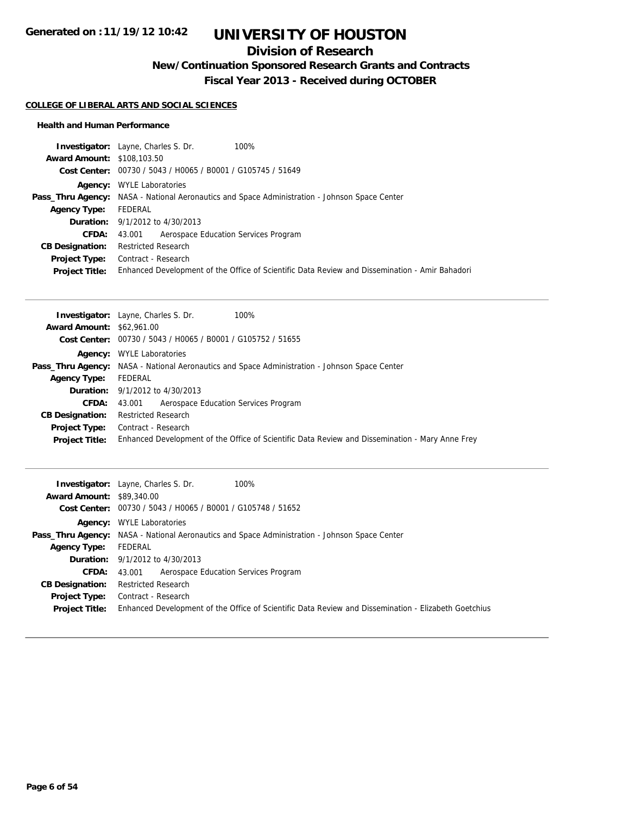## **Division of Research**

**New/Continuation Sponsored Research Grants and Contracts**

**Fiscal Year 2013 - Received during OCTOBER**

#### **COLLEGE OF LIBERAL ARTS AND SOCIAL SCIENCES**

|                                   | <b>Investigator:</b> Layne, Charles S. Dr.<br>100%          |                                                                                                      |
|-----------------------------------|-------------------------------------------------------------|------------------------------------------------------------------------------------------------------|
| <b>Award Amount: \$108,103.50</b> |                                                             |                                                                                                      |
|                                   | Cost Center: 00730 / 5043 / H0065 / B0001 / G105745 / 51649 |                                                                                                      |
| Agency:                           | <b>WYLE Laboratories</b>                                    |                                                                                                      |
|                                   |                                                             | <b>Pass_Thru Agency:</b> NASA - National Aeronautics and Space Administration - Johnson Space Center |
| <b>Agency Type:</b>               | FEDERAL                                                     |                                                                                                      |
|                                   | <b>Duration:</b> 9/1/2012 to 4/30/2013                      |                                                                                                      |
| CFDA:                             | Aerospace Education Services Program<br>43.001              |                                                                                                      |
| <b>CB Designation:</b>            | <b>Restricted Research</b>                                  |                                                                                                      |
| Project Type:                     | Contract - Research                                         |                                                                                                      |
| <b>Project Title:</b>             |                                                             | Enhanced Development of the Office of Scientific Data Review and Dissemination - Amir Bahadori       |

|                                  | <b>Investigator:</b> Layne, Charles S. Dr.<br>100%                                                   |
|----------------------------------|------------------------------------------------------------------------------------------------------|
| <b>Award Amount: \$62,961.00</b> |                                                                                                      |
|                                  | Cost Center: 00730 / 5043 / H0065 / B0001 / G105752 / 51655                                          |
|                                  | <b>Agency:</b> WYLE Laboratories                                                                     |
|                                  | <b>Pass_Thru Agency:</b> NASA - National Aeronautics and Space Administration - Johnson Space Center |
| <b>Agency Type:</b>              | FEDERAL                                                                                              |
|                                  | <b>Duration:</b> 9/1/2012 to 4/30/2013                                                               |
| <b>CFDA:</b>                     | Aerospace Education Services Program<br>43.001                                                       |
| <b>CB Designation:</b>           | <b>Restricted Research</b>                                                                           |
| Project Type:                    | Contract - Research                                                                                  |
| <b>Project Title:</b>            | Enhanced Development of the Office of Scientific Data Review and Dissemination - Mary Anne Frey      |

|                                  | 100%<br><b>Investigator:</b> Layne, Charles S. Dr.                                                   |  |
|----------------------------------|------------------------------------------------------------------------------------------------------|--|
| <b>Award Amount: \$89,340.00</b> |                                                                                                      |  |
|                                  | Cost Center: 00730 / 5043 / H0065 / B0001 / G105748 / 51652                                          |  |
|                                  | <b>Agency:</b> WYLE Laboratories                                                                     |  |
|                                  | <b>Pass_Thru Agency:</b> NASA - National Aeronautics and Space Administration - Johnson Space Center |  |
| <b>Agency Type:</b>              | FEDERAL                                                                                              |  |
|                                  | <b>Duration:</b> $9/1/2012$ to $4/30/2013$                                                           |  |
| <b>CFDA:</b>                     | Aerospace Education Services Program<br>43.001                                                       |  |
| <b>CB Designation:</b>           | <b>Restricted Research</b>                                                                           |  |
| Project Type:                    | Contract - Research                                                                                  |  |
| <b>Project Title:</b>            | Enhanced Development of the Office of Scientific Data Review and Dissemination - Elizabeth Goetchius |  |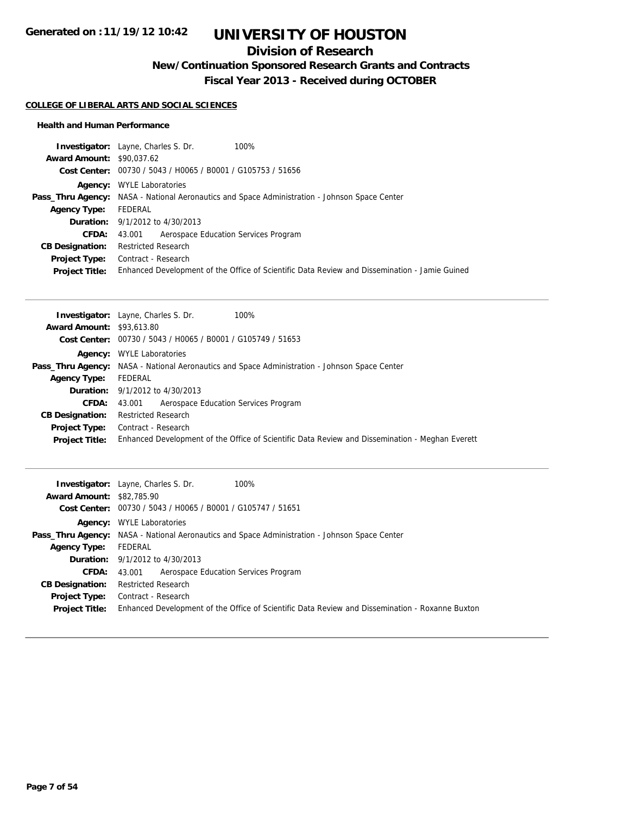## **Division of Research**

**New/Continuation Sponsored Research Grants and Contracts**

**Fiscal Year 2013 - Received during OCTOBER**

### **COLLEGE OF LIBERAL ARTS AND SOCIAL SCIENCES**

| <b>Investigator:</b> Layne, Charles S. Dr.<br>100%                                                   |                                                                                               |
|------------------------------------------------------------------------------------------------------|-----------------------------------------------------------------------------------------------|
| <b>Award Amount: \$90.037.62</b>                                                                     |                                                                                               |
| Cost Center: 00730 / 5043 / H0065 / B0001 / G105753 / 51656                                          |                                                                                               |
| <b>Agency:</b> WYLE Laboratories                                                                     |                                                                                               |
| <b>Pass_Thru Agency:</b> NASA - National Aeronautics and Space Administration - Johnson Space Center |                                                                                               |
| FEDERAL                                                                                              |                                                                                               |
| <b>Duration:</b> 9/1/2012 to 4/30/2013                                                               |                                                                                               |
| Aerospace Education Services Program<br>43.001                                                       |                                                                                               |
| <b>Restricted Research</b>                                                                           |                                                                                               |
| Contract - Research                                                                                  |                                                                                               |
|                                                                                                      |                                                                                               |
|                                                                                                      | Enhanced Development of the Office of Scientific Data Review and Dissemination - Jamie Guined |

| <b>Award Amount: \$93,613.80</b><br>Cost Center: 00730 / 5043 / H0065 / B0001 / G105749 / 51653<br><b>Agency:</b> WYLE Laboratories<br><b>Pass_Thru Agency:</b> NASA - National Aeronautics and Space Administration - Johnson Space Center<br>FEDERAL<br><b>Agency Type:</b><br><b>Duration:</b> 9/1/2012 to 4/30/2013<br>Aerospace Education Services Program<br><b>CFDA:</b><br>43.001<br><b>Restricted Research</b><br><b>CB Designation:</b><br>Contract - Research<br>Project Type:<br>Enhanced Development of the Office of Scientific Data Review and Dissemination - Meghan Everett<br><b>Project Title:</b> | <b>Investigator:</b> Layne, Charles S. Dr.<br>100% |
|-----------------------------------------------------------------------------------------------------------------------------------------------------------------------------------------------------------------------------------------------------------------------------------------------------------------------------------------------------------------------------------------------------------------------------------------------------------------------------------------------------------------------------------------------------------------------------------------------------------------------|----------------------------------------------------|
|                                                                                                                                                                                                                                                                                                                                                                                                                                                                                                                                                                                                                       |                                                    |
|                                                                                                                                                                                                                                                                                                                                                                                                                                                                                                                                                                                                                       |                                                    |
|                                                                                                                                                                                                                                                                                                                                                                                                                                                                                                                                                                                                                       |                                                    |
|                                                                                                                                                                                                                                                                                                                                                                                                                                                                                                                                                                                                                       |                                                    |
|                                                                                                                                                                                                                                                                                                                                                                                                                                                                                                                                                                                                                       |                                                    |
|                                                                                                                                                                                                                                                                                                                                                                                                                                                                                                                                                                                                                       |                                                    |
|                                                                                                                                                                                                                                                                                                                                                                                                                                                                                                                                                                                                                       |                                                    |
|                                                                                                                                                                                                                                                                                                                                                                                                                                                                                                                                                                                                                       |                                                    |
|                                                                                                                                                                                                                                                                                                                                                                                                                                                                                                                                                                                                                       |                                                    |
|                                                                                                                                                                                                                                                                                                                                                                                                                                                                                                                                                                                                                       |                                                    |

| 100%<br><b>Investigator:</b> Layne, Charles S. Dr.                                                   |
|------------------------------------------------------------------------------------------------------|
| <b>Award Amount: \$82,785,90</b>                                                                     |
| Cost Center: 00730 / 5043 / H0065 / B0001 / G105747 / 51651                                          |
| <b>Agency:</b> WYLE Laboratories                                                                     |
| <b>Pass_Thru Agency:</b> NASA - National Aeronautics and Space Administration - Johnson Space Center |
| FEDERAL                                                                                              |
| <b>Duration:</b> $9/1/2012$ to $4/30/2013$                                                           |
| Aerospace Education Services Program<br>43.001                                                       |
| <b>Restricted Research</b>                                                                           |
| Contract - Research                                                                                  |
| Enhanced Development of the Office of Scientific Data Review and Dissemination - Roxanne Buxton      |
|                                                                                                      |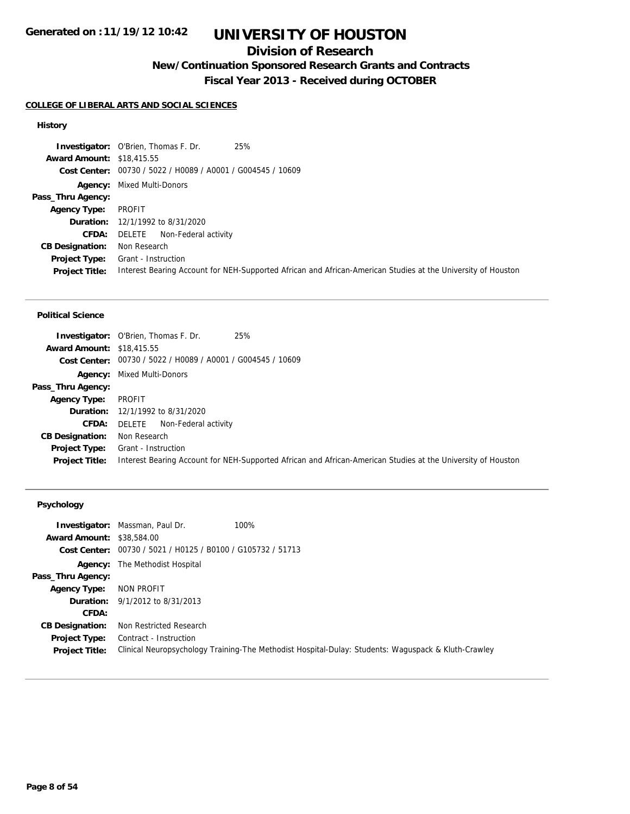## **Division of Research**

### **New/Continuation Sponsored Research Grants and Contracts**

**Fiscal Year 2013 - Received during OCTOBER**

### **COLLEGE OF LIBERAL ARTS AND SOCIAL SCIENCES**

### **History**

|                                  | 25%<br><b>Investigator:</b> O'Brien, Thomas F. Dr.                                                           |
|----------------------------------|--------------------------------------------------------------------------------------------------------------|
| <b>Award Amount: \$18,415.55</b> |                                                                                                              |
|                                  | Cost Center: 00730 / 5022 / H0089 / A0001 / G004545 / 10609                                                  |
|                                  | <b>Agency:</b> Mixed Multi-Donors                                                                            |
| Pass_Thru Agency:                |                                                                                                              |
| <b>Agency Type:</b>              | PROFIT                                                                                                       |
|                                  | <b>Duration:</b> 12/1/1992 to 8/31/2020                                                                      |
| CFDA:                            | Non-Federal activity<br>DELETE                                                                               |
| <b>CB Designation:</b>           | Non Research                                                                                                 |
| <b>Project Type:</b>             | Grant - Instruction                                                                                          |
| <b>Project Title:</b>            | Interest Bearing Account for NEH-Supported African and African-American Studies at the University of Houston |

#### **Political Science**

|                                  | 25%<br><b>Investigator:</b> O'Brien, Thomas F. Dr.                                                           |
|----------------------------------|--------------------------------------------------------------------------------------------------------------|
| <b>Award Amount: \$18,415.55</b> |                                                                                                              |
|                                  | Cost Center: 00730 / 5022 / H0089 / A0001 / G004545 / 10609                                                  |
|                                  | <b>Agency:</b> Mixed Multi-Donors                                                                            |
| Pass_Thru Agency:                |                                                                                                              |
| <b>Agency Type:</b>              | PROFIT                                                                                                       |
|                                  | <b>Duration:</b> 12/1/1992 to 8/31/2020                                                                      |
| CFDA:                            | DELETE<br>Non-Federal activity                                                                               |
| <b>CB Designation:</b>           | Non Research                                                                                                 |
| <b>Project Type:</b>             | Grant - Instruction                                                                                          |
| <b>Project Title:</b>            | Interest Bearing Account for NEH-Supported African and African-American Studies at the University of Houston |

### **Psychology**

| 100%<br><b>Investigator:</b> Massman, Paul Dr.<br><b>Award Amount: \$38,584,00</b>                                            |
|-------------------------------------------------------------------------------------------------------------------------------|
| Cost Center: 00730 / 5021 / H0125 / B0100 / G105732 / 51713                                                                   |
| <b>Agency:</b> The Methodist Hospital                                                                                         |
|                                                                                                                               |
| NON PROFIT                                                                                                                    |
| <b>Duration:</b> $9/1/2012$ to $8/31/2013$                                                                                    |
|                                                                                                                               |
| Non Restricted Research                                                                                                       |
| Contract - Instruction<br>Clinical Neuropsychology Training-The Methodist Hospital-Dulay: Students: Waguspack & Kluth-Crawley |
|                                                                                                                               |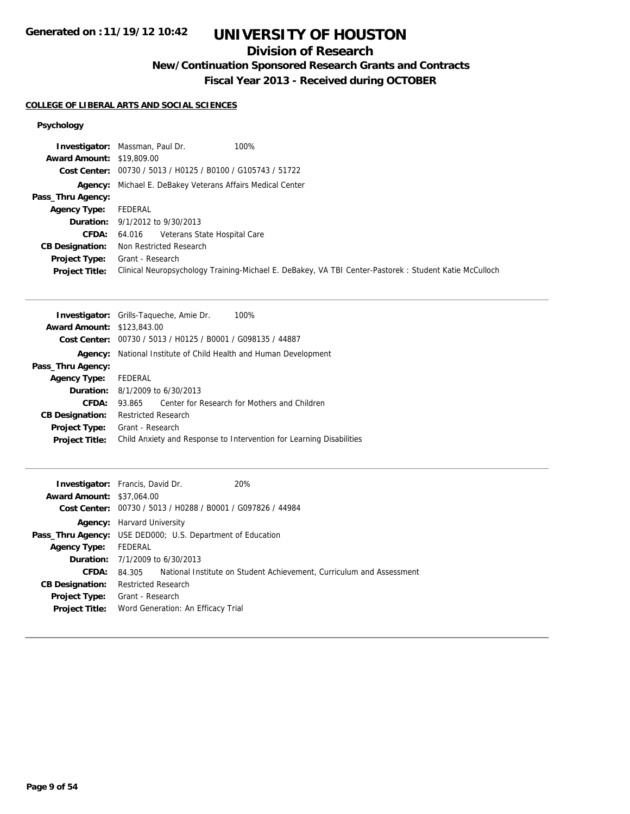## **Division of Research**

**New/Continuation Sponsored Research Grants and Contracts**

**Fiscal Year 2013 - Received during OCTOBER**

### **COLLEGE OF LIBERAL ARTS AND SOCIAL SCIENCES**

### **Psychology**

|                                  | 100%<br><b>Investigator:</b> Massman, Paul Dr.                                                        |
|----------------------------------|-------------------------------------------------------------------------------------------------------|
| <b>Award Amount: \$19,809.00</b> |                                                                                                       |
|                                  | Cost Center: 00730 / 5013 / H0125 / B0100 / G105743 / 51722                                           |
|                                  | <b>Agency:</b> Michael E. DeBakey Veterans Affairs Medical Center                                     |
| Pass_Thru Agency:                |                                                                                                       |
| <b>Agency Type:</b>              | FEDERAL                                                                                               |
|                                  | <b>Duration:</b> 9/1/2012 to 9/30/2013                                                                |
| <b>CFDA:</b>                     | 64.016 Veterans State Hospital Care                                                                   |
| <b>CB Designation:</b>           | Non Restricted Research                                                                               |
| <b>Project Type:</b>             | Grant - Research                                                                                      |
| <b>Project Title:</b>            | Clinical Neuropsychology Training-Michael E. DeBakey, VA TBI Center-Pastorek: Student Katie McCulloch |

|                                   | <b>Investigator:</b> Grills-Taqueche, Amie Dr.<br>100%               |  |
|-----------------------------------|----------------------------------------------------------------------|--|
| <b>Award Amount: \$123,843.00</b> |                                                                      |  |
|                                   | Cost Center: 00730 / 5013 / H0125 / B0001 / G098135 / 44887          |  |
| Agency:                           | National Institute of Child Health and Human Development             |  |
| Pass_Thru Agency:                 |                                                                      |  |
| <b>Agency Type:</b>               | FEDERAL                                                              |  |
|                                   | <b>Duration:</b> 8/1/2009 to 6/30/2013                               |  |
| CFDA:                             | Center for Research for Mothers and Children<br>93.865               |  |
| <b>CB Designation:</b>            | <b>Restricted Research</b>                                           |  |
| <b>Project Type:</b>              | Grant - Research                                                     |  |
| <b>Project Title:</b>             | Child Anxiety and Response to Intervention for Learning Disabilities |  |
|                                   |                                                                      |  |

|                                  | 20%<br><b>Investigator:</b> Francis, David Dr.                              |
|----------------------------------|-----------------------------------------------------------------------------|
| <b>Award Amount: \$37,064.00</b> |                                                                             |
|                                  | Cost Center: 00730 / 5013 / H0288 / B0001 / G097826 / 44984                 |
|                                  | <b>Agency:</b> Harvard University                                           |
|                                  | <b>Pass_Thru Agency:</b> USE DED000; U.S. Department of Education           |
| <b>Agency Type:</b>              | FEDERAL                                                                     |
|                                  | <b>Duration:</b> $7/1/2009$ to $6/30/2013$                                  |
| CFDA:                            | 84.305 National Institute on Student Achievement, Curriculum and Assessment |
| <b>CB Designation:</b>           | <b>Restricted Research</b>                                                  |
| Project Type:                    | Grant - Research                                                            |
| <b>Project Title:</b>            | Word Generation: An Efficacy Trial                                          |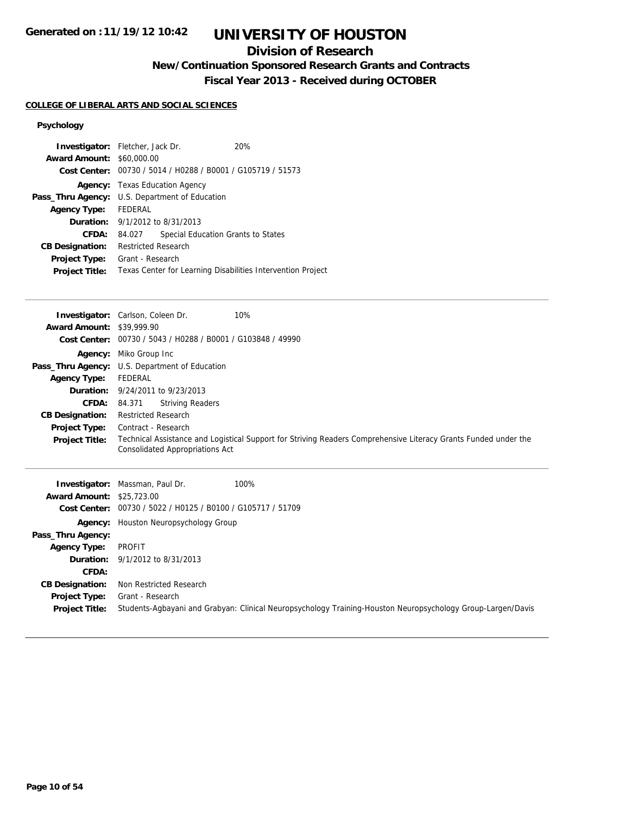## **Division of Research**

**New/Continuation Sponsored Research Grants and Contracts**

**Fiscal Year 2013 - Received during OCTOBER**

### **COLLEGE OF LIBERAL ARTS AND SOCIAL SCIENCES**

### **Psychology**

| <b>Investigator:</b> Fletcher, Jack Dr.               |                                       |                                    | 20%                                                         |  |
|-------------------------------------------------------|---------------------------------------|------------------------------------|-------------------------------------------------------------|--|
| <b>Award Amount: \$60,000.00</b>                      |                                       |                                    |                                                             |  |
|                                                       |                                       |                                    | Cost Center: 00730 / 5014 / H0288 / B0001 / G105719 / 51573 |  |
|                                                       | <b>Agency:</b> Texas Education Agency |                                    |                                                             |  |
| <b>Pass_Thru Agency:</b> U.S. Department of Education |                                       |                                    |                                                             |  |
| <b>Agency Type:</b>                                   | FEDERAL                               |                                    |                                                             |  |
| <b>Duration:</b> 9/1/2012 to 8/31/2013                |                                       |                                    |                                                             |  |
| CFDA:                                                 | 84.027                                | Special Education Grants to States |                                                             |  |
| <b>CB Designation:</b>                                | <b>Restricted Research</b>            |                                    |                                                             |  |
| <b>Project Type:</b>                                  | Grant - Research                      |                                    |                                                             |  |
| <b>Project Title:</b>                                 |                                       |                                    | Texas Center for Learning Disabilities Intervention Project |  |
|                                                       |                                       |                                    |                                                             |  |

|                                  | <b>Investigator:</b> Carlson, Coleen Dr.<br>10%                                                                                                    |
|----------------------------------|----------------------------------------------------------------------------------------------------------------------------------------------------|
| <b>Award Amount: \$39,999.90</b> |                                                                                                                                                    |
|                                  | Cost Center: 00730 / 5043 / H0288 / B0001 / G103848 / 49990                                                                                        |
|                                  | <b>Agency:</b> Miko Group Inc                                                                                                                      |
|                                  | Pass_Thru Agency: U.S. Department of Education                                                                                                     |
| <b>Agency Type:</b>              | FEDERAL                                                                                                                                            |
|                                  | <b>Duration:</b> 9/24/2011 to 9/23/2013                                                                                                            |
| <b>CFDA:</b>                     | <b>Striving Readers</b><br>84.371                                                                                                                  |
| <b>CB Designation:</b>           | <b>Restricted Research</b>                                                                                                                         |
| <b>Project Type:</b>             | Contract - Research                                                                                                                                |
| <b>Project Title:</b>            | Technical Assistance and Logistical Support for Striving Readers Comprehensive Literacy Grants Funded under the<br>Consolidated Appropriations Act |

|                                  | 100%<br><b>Investigator:</b> Massman, Paul Dr.                                                              |
|----------------------------------|-------------------------------------------------------------------------------------------------------------|
| <b>Award Amount: \$25,723.00</b> |                                                                                                             |
|                                  | Cost Center: 00730 / 5022 / H0125 / B0100 / G105717 / 51709                                                 |
|                                  | <b>Agency:</b> Houston Neuropsychology Group                                                                |
| Pass_Thru Agency:                |                                                                                                             |
| <b>Agency Type:</b>              | PROFIT                                                                                                      |
|                                  | <b>Duration:</b> $9/1/2012$ to $8/31/2013$                                                                  |
| CFDA:                            |                                                                                                             |
| <b>CB Designation:</b>           | Non Restricted Research                                                                                     |
| Project Type:                    | Grant - Research                                                                                            |
| <b>Project Title:</b>            | Students-Agbayani and Grabyan: Clinical Neuropsychology Training-Houston Neuropsychology Group-Largen/Davis |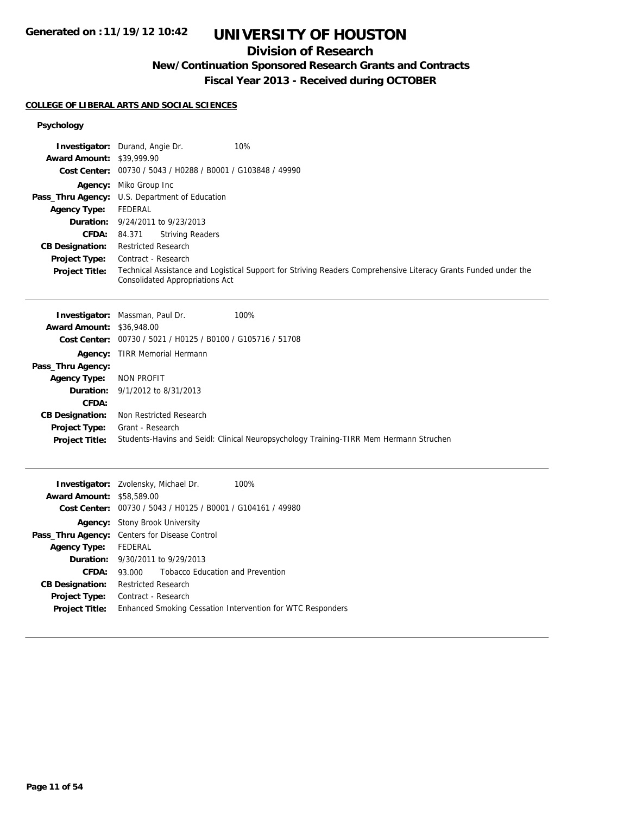## **Division of Research**

### **New/Continuation Sponsored Research Grants and Contracts**

**Fiscal Year 2013 - Received during OCTOBER**

### **COLLEGE OF LIBERAL ARTS AND SOCIAL SCIENCES**

## **Psychology**

|                                  | 10%<br><b>Investigator:</b> Durand, Angie Dr.                                                                                                             |
|----------------------------------|-----------------------------------------------------------------------------------------------------------------------------------------------------------|
| <b>Award Amount: \$39,999.90</b> |                                                                                                                                                           |
|                                  | Cost Center: 00730 / 5043 / H0288 / B0001 / G103848 / 49990                                                                                               |
|                                  | Agency: Miko Group Inc                                                                                                                                    |
|                                  | Pass_Thru Agency: U.S. Department of Education                                                                                                            |
| <b>Agency Type:</b>              | <b>FEDERAL</b>                                                                                                                                            |
| Duration:                        | 9/24/2011 to 9/23/2013                                                                                                                                    |
| <b>CFDA:</b>                     | <b>Striving Readers</b><br>84.371                                                                                                                         |
| <b>CB Designation:</b>           | <b>Restricted Research</b>                                                                                                                                |
| Project Type:                    | Contract - Research                                                                                                                                       |
| <b>Project Title:</b>            | Technical Assistance and Logistical Support for Striving Readers Comprehensive Literacy Grants Funded under the<br><b>Consolidated Appropriations Act</b> |
|                                  |                                                                                                                                                           |
|                                  | 100%<br>Investigator: Massman, Paul Dr.                                                                                                                   |
| <b>Award Amount: \$36,948.00</b> |                                                                                                                                                           |
|                                  | Cost Center: 00730 / 5021 / H0125 / B0100 / G105716 / 51708                                                                                               |
|                                  | Agency: TIRR Memorial Hermann                                                                                                                             |
| Pass_Thru Agency:                |                                                                                                                                                           |
| <b>Agency Type:</b>              | <b>NON PROFIT</b>                                                                                                                                         |
| Duration:                        | 9/1/2012 to 8/31/2013                                                                                                                                     |
| CFDA:                            |                                                                                                                                                           |
| <b>CB Designation:</b>           | Non Restricted Research                                                                                                                                   |
| <b>Project Type:</b>             | Grant - Research                                                                                                                                          |
| <b>Project Title:</b>            | Students-Havins and Seidl: Clinical Neuropsychology Training-TIRR Mem Hermann Struchen                                                                    |
|                                  |                                                                                                                                                           |
|                                  | 100%<br>Investigator: Zvolensky, Michael Dr.                                                                                                              |
| <b>Award Amount: \$58,589.00</b> |                                                                                                                                                           |
|                                  | Cost Center: 00730 / 5043 / H0125 / B0001 / G104161 / 49980                                                                                               |
|                                  | Agency: Stony Brook University                                                                                                                            |
|                                  | Pass_Thru Agency: Centers for Disease Control                                                                                                             |
| <b>Agency Type:</b>              | FEDERAL                                                                                                                                                   |
| Duration:                        | 9/30/2011 to 9/29/2013                                                                                                                                    |
| <b>CFDA:</b>                     | <b>Tobacco Education and Prevention</b><br>93.000                                                                                                         |
| <b>CB Designation:</b>           | <b>Restricted Research</b>                                                                                                                                |
| <b>Project Type:</b>             | Contract - Research                                                                                                                                       |

**Project Title:** Enhanced Smoking Cessation Intervention for WTC Responders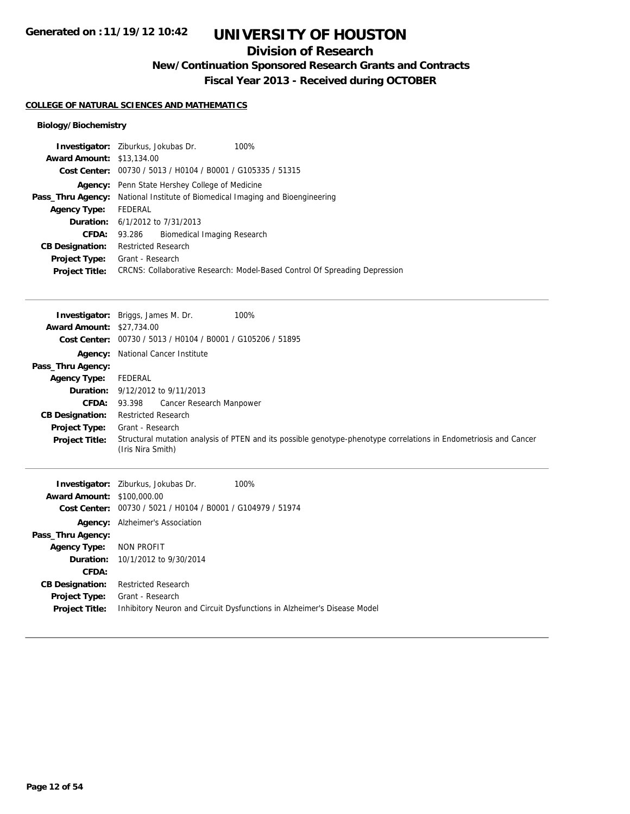## **Division of Research**

**New/Continuation Sponsored Research Grants and Contracts**

**Fiscal Year 2013 - Received during OCTOBER**

### **COLLEGE OF NATURAL SCIENCES AND MATHEMATICS**

### **Biology/Biochemistry**

|                                  | <b>Investigator:</b> Ziburkus, Jokubas Dr.<br>100%                                   |
|----------------------------------|--------------------------------------------------------------------------------------|
| <b>Award Amount: \$13,134.00</b> |                                                                                      |
|                                  | Cost Center: 00730 / 5013 / H0104 / B0001 / G105335 / 51315                          |
|                                  | <b>Agency:</b> Penn State Hershey College of Medicine                                |
|                                  | <b>Pass_Thru Agency:</b> National Institute of Biomedical Imaging and Bioengineering |
| <b>Agency Type:</b>              | FEDERAL                                                                              |
|                                  | <b>Duration:</b> 6/1/2012 to 7/31/2013                                               |
| <b>CFDA:</b>                     | 93.286 Biomedical Imaging Research                                                   |
| <b>CB Designation:</b>           | <b>Restricted Research</b>                                                           |
| <b>Project Type:</b>             | Grant - Research                                                                     |
| <b>Project Title:</b>            | CRCNS: Collaborative Research: Model-Based Control Of Spreading Depression           |

|                                  | <b>Investigator:</b> Briggs, James M. Dr.<br>100%                                                                                      |
|----------------------------------|----------------------------------------------------------------------------------------------------------------------------------------|
| <b>Award Amount: \$27,734.00</b> |                                                                                                                                        |
|                                  | <b>Cost Center:</b> $00730 / 5013 / 40104 / 80001 / 6105206 / 51895$                                                                   |
|                                  | <b>Agency:</b> National Cancer Institute                                                                                               |
| Pass_Thru Agency:                |                                                                                                                                        |
| <b>Agency Type:</b>              | FEDERAL                                                                                                                                |
|                                  | <b>Duration:</b> $9/12/2012$ to $9/11/2013$                                                                                            |
| <b>CFDA:</b>                     | Cancer Research Manpower<br>93.398                                                                                                     |
| <b>CB Designation:</b>           | <b>Restricted Research</b>                                                                                                             |
| Project Type:                    | Grant - Research                                                                                                                       |
| <b>Project Title:</b>            | Structural mutation analysis of PTEN and its possible genotype-phenotype correlations in Endometriosis and Cancer<br>(Iris Nira Smith) |
|                                  | 100%<br><b>Investigator:</b> Ziburkus, Jokubas Dr.                                                                                     |

|                                   | <b>Investigator:</b> <i>Liburkus</i> , <i>Jokubas Dr.</i>   | 100%                                                                    |
|-----------------------------------|-------------------------------------------------------------|-------------------------------------------------------------------------|
| <b>Award Amount: \$100,000.00</b> |                                                             |                                                                         |
|                                   | Cost Center: 00730 / 5021 / H0104 / B0001 / G104979 / 51974 |                                                                         |
| Agency:                           | Alzheimer's Association                                     |                                                                         |
| Pass_Thru Agency:                 |                                                             |                                                                         |
| <b>Agency Type:</b>               | NON PROFIT                                                  |                                                                         |
|                                   | <b>Duration:</b> 10/1/2012 to 9/30/2014                     |                                                                         |
| CFDA:                             |                                                             |                                                                         |
| <b>CB Designation:</b>            | <b>Restricted Research</b>                                  |                                                                         |
| <b>Project Type:</b>              | Grant - Research                                            |                                                                         |
| <b>Project Title:</b>             |                                                             | Inhibitory Neuron and Circuit Dysfunctions in Alzheimer's Disease Model |
|                                   |                                                             |                                                                         |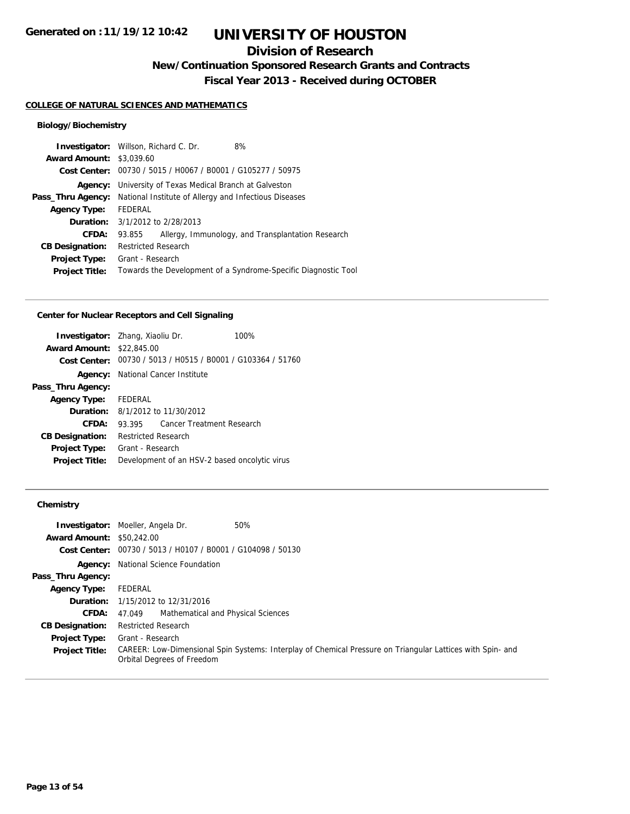## **Division of Research**

**New/Continuation Sponsored Research Grants and Contracts**

**Fiscal Year 2013 - Received during OCTOBER**

#### **COLLEGE OF NATURAL SCIENCES AND MATHEMATICS**

### **Biology/Biochemistry**

|                                 | <b>Investigator:</b> Willson, Richard C. Dr.                                   | 8%                                                             |
|---------------------------------|--------------------------------------------------------------------------------|----------------------------------------------------------------|
| <b>Award Amount: \$3,039.60</b> |                                                                                |                                                                |
|                                 | Cost Center: 00730 / 5015 / H0067 / B0001 / G105277 / 50975                    |                                                                |
|                                 | <b>Agency:</b> University of Texas Medical Branch at Galveston                 |                                                                |
|                                 | <b>Pass_Thru Agency:</b> National Institute of Allergy and Infectious Diseases |                                                                |
| <b>Agency Type:</b>             | FEDERAL                                                                        |                                                                |
|                                 | <b>Duration:</b> $3/1/2012$ to $2/28/2013$                                     |                                                                |
| CFDA:                           | 93.855                                                                         | Allergy, Immunology, and Transplantation Research              |
| <b>CB Designation:</b>          | <b>Restricted Research</b>                                                     |                                                                |
| <b>Project Type:</b>            | Grant - Research                                                               |                                                                |
| <b>Project Title:</b>           |                                                                                | Towards the Development of a Syndrome-Specific Diagnostic Tool |
|                                 |                                                                                |                                                                |

#### **Center for Nuclear Receptors and Cell Signaling**

| <b>Investigator:</b> Zhang, Xiaoliu Dr. |                            |                                                             | 100% |
|-----------------------------------------|----------------------------|-------------------------------------------------------------|------|
| <b>Award Amount: \$22,845.00</b>        |                            |                                                             |      |
|                                         |                            | Cost Center: 00730 / 5013 / H0515 / B0001 / G103364 / 51760 |      |
|                                         |                            | <b>Agency:</b> National Cancer Institute                    |      |
| Pass_Thru Agency:                       |                            |                                                             |      |
| Agency Type: FEDERAL                    |                            |                                                             |      |
|                                         |                            | <b>Duration:</b> 8/1/2012 to 11/30/2012                     |      |
| CFDA:                                   |                            | 93.395 Cancer Treatment Research                            |      |
| <b>CB Designation:</b>                  | <b>Restricted Research</b> |                                                             |      |
| <b>Project Type:</b>                    | Grant - Research           |                                                             |      |
| <b>Project Title:</b>                   |                            | Development of an HSV-2 based oncolytic virus               |      |
|                                         |                            |                                                             |      |

### **Chemistry**

|                                  | 50%<br><b>Investigator:</b> Moeller, Angela Dr.                                                                                          |
|----------------------------------|------------------------------------------------------------------------------------------------------------------------------------------|
| <b>Award Amount: \$50,242.00</b> |                                                                                                                                          |
|                                  | Cost Center: 00730 / 5013 / H0107 / B0001 / G104098 / 50130                                                                              |
|                                  | <b>Agency:</b> National Science Foundation                                                                                               |
| Pass_Thru Agency:                |                                                                                                                                          |
| <b>Agency Type:</b>              | FEDERAL                                                                                                                                  |
|                                  | <b>Duration:</b> 1/15/2012 to 12/31/2016                                                                                                 |
| <b>CFDA:</b>                     | Mathematical and Physical Sciences<br>47.049                                                                                             |
| <b>CB Designation:</b>           | <b>Restricted Research</b>                                                                                                               |
| <b>Project Type:</b>             | Grant - Research                                                                                                                         |
| <b>Project Title:</b>            | CAREER: Low-Dimensional Spin Systems: Interplay of Chemical Pressure on Triangular Lattices with Spin- and<br>Orbital Degrees of Freedom |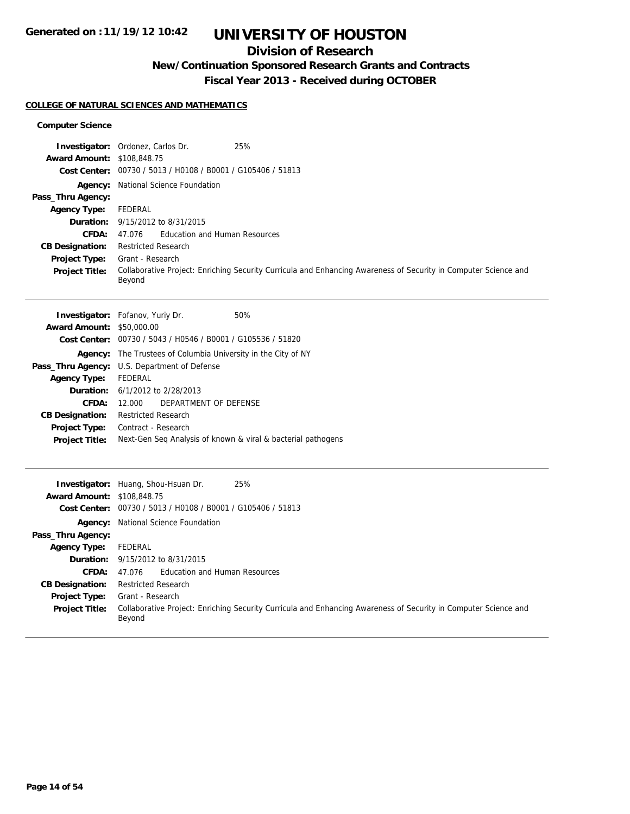## **Division of Research**

**New/Continuation Sponsored Research Grants and Contracts**

**Fiscal Year 2013 - Received during OCTOBER**

### **COLLEGE OF NATURAL SCIENCES AND MATHEMATICS**

### **Computer Science**

|                                   | 25%<br><b>Investigator:</b> Ordonez, Carlos Dr.                                                                           |
|-----------------------------------|---------------------------------------------------------------------------------------------------------------------------|
| <b>Award Amount: \$108,848.75</b> |                                                                                                                           |
|                                   | Cost Center: 00730 / 5013 / H0108 / B0001 / G105406 / 51813                                                               |
|                                   | <b>Agency:</b> National Science Foundation                                                                                |
| Pass_Thru Agency:                 |                                                                                                                           |
| <b>Agency Type:</b>               | FEDERAL                                                                                                                   |
|                                   | <b>Duration:</b> 9/15/2012 to 8/31/2015                                                                                   |
| CFDA:                             | Education and Human Resources<br>47.076                                                                                   |
| <b>CB Designation:</b>            | <b>Restricted Research</b>                                                                                                |
| <b>Project Type:</b>              | Grant - Research                                                                                                          |
| <b>Project Title:</b>             | Collaborative Project: Enriching Security Curricula and Enhancing Awareness of Security in Computer Science and<br>Beyond |

|                                  | <b>Investigator:</b> Fofanov, Yuriy Dr.                      | 50% |
|----------------------------------|--------------------------------------------------------------|-----|
| <b>Award Amount: \$50,000.00</b> |                                                              |     |
|                                  | Cost Center: 00730 / 5043 / H0546 / B0001 / G105536 / 51820  |     |
| Agency:                          | The Trustees of Columbia University in the City of NY        |     |
|                                  | <b>Pass_Thru Agency:</b> U.S. Department of Defense          |     |
| <b>Agency Type:</b>              | FEDERAL                                                      |     |
|                                  | <b>Duration:</b> 6/1/2012 to 2/28/2013                       |     |
| CFDA:                            | DEPARTMENT OF DEFENSE<br>12.000                              |     |
| <b>CB Designation:</b>           | <b>Restricted Research</b>                                   |     |
| Project Type:                    | Contract - Research                                          |     |
| <b>Project Title:</b>            | Next-Gen Seq Analysis of known & viral & bacterial pathogens |     |
|                                  |                                                              |     |

| <b>Award Amount: \$108,848.75</b> | 25%<br><b>Investigator:</b> Huang, Shou-Hsuan Dr.<br>Cost Center: 00730 / 5013 / H0108 / B0001 / G105406 / 51813          |
|-----------------------------------|---------------------------------------------------------------------------------------------------------------------------|
|                                   |                                                                                                                           |
|                                   | <b>Agency:</b> National Science Foundation                                                                                |
| Pass_Thru Agency:                 |                                                                                                                           |
| <b>Agency Type:</b>               | FEDERAL                                                                                                                   |
|                                   | <b>Duration:</b> 9/15/2012 to 8/31/2015                                                                                   |
| CFDA:                             | 47.076 Education and Human Resources                                                                                      |
| <b>CB Designation:</b>            | <b>Restricted Research</b>                                                                                                |
| <b>Project Type:</b>              | Grant - Research                                                                                                          |
| <b>Project Title:</b>             | Collaborative Project: Enriching Security Curricula and Enhancing Awareness of Security in Computer Science and<br>Beyond |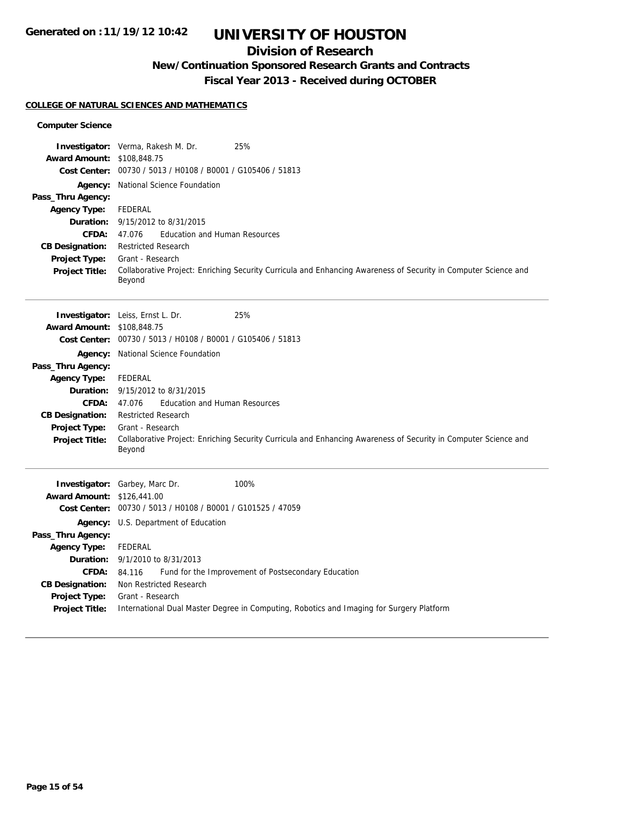## **Division of Research**

### **New/Continuation Sponsored Research Grants and Contracts**

**Fiscal Year 2013 - Received during OCTOBER**

### **COLLEGE OF NATURAL SCIENCES AND MATHEMATICS**

### **Computer Science**

| Award Amount: \$108,848.75               | <b>Investigator:</b> Verma, Rakesh M. Dr.                   | 25%                                                                                                             |
|------------------------------------------|-------------------------------------------------------------|-----------------------------------------------------------------------------------------------------------------|
|                                          | Cost Center: 00730 / 5013 / H0108 / B0001 / G105406 / 51813 |                                                                                                                 |
|                                          | Agency: National Science Foundation                         |                                                                                                                 |
| Pass_Thru Agency:                        |                                                             |                                                                                                                 |
| <b>Agency Type:</b>                      | <b>FEDERAL</b>                                              |                                                                                                                 |
| Duration:                                | 9/15/2012 to 8/31/2015                                      |                                                                                                                 |
| <b>CFDA:</b>                             | <b>Education and Human Resources</b><br>47.076              |                                                                                                                 |
| <b>CB Designation:</b>                   | <b>Restricted Research</b><br>Grant - Research              |                                                                                                                 |
| Project Type:<br><b>Project Title:</b>   |                                                             | Collaborative Project: Enriching Security Curricula and Enhancing Awareness of Security in Computer Science and |
|                                          | Beyond                                                      |                                                                                                                 |
|                                          |                                                             |                                                                                                                 |
|                                          | <b>Investigator:</b> Leiss, Ernst L. Dr.                    | 25%                                                                                                             |
| Award Amount: \$108,848.75               |                                                             |                                                                                                                 |
|                                          | Cost Center: 00730 / 5013 / H0108 / B0001 / G105406 / 51813 |                                                                                                                 |
|                                          | Agency: National Science Foundation                         |                                                                                                                 |
| Pass_Thru Agency:                        |                                                             |                                                                                                                 |
| <b>Agency Type:</b><br>Duration:         | <b>FEDERAL</b><br>9/15/2012 to 8/31/2015                    |                                                                                                                 |
| <b>CFDA:</b>                             | <b>Education and Human Resources</b><br>47.076              |                                                                                                                 |
| <b>CB Designation:</b>                   | <b>Restricted Research</b>                                  |                                                                                                                 |
| Project Type:                            | Grant - Research                                            |                                                                                                                 |
| <b>Project Title:</b>                    |                                                             | Collaborative Project: Enriching Security Curricula and Enhancing Awareness of Security in Computer Science and |
|                                          | Beyond                                                      |                                                                                                                 |
|                                          |                                                             |                                                                                                                 |
|                                          | Investigator: Garbey, Marc Dr.                              | 100%                                                                                                            |
| <b>Award Amount: \$126,441.00</b>        | Cost Center: 00730 / 5013 / H0108 / B0001 / G101525 / 47059 |                                                                                                                 |
|                                          |                                                             |                                                                                                                 |
|                                          | Agency: U.S. Department of Education                        |                                                                                                                 |
| Pass_Thru Agency:<br><b>Agency Type:</b> | <b>FEDERAL</b>                                              |                                                                                                                 |
|                                          | <b>Duration:</b> 9/1/2010 to 8/31/2013                      |                                                                                                                 |
| <b>CFDA:</b>                             | 84.116                                                      | Fund for the Improvement of Postsecondary Education                                                             |
| <b>CB Designation:</b>                   | Non Restricted Research                                     |                                                                                                                 |
| Project Type:                            | Grant - Research                                            |                                                                                                                 |
| <b>Project Title:</b>                    |                                                             | International Dual Master Degree in Computing, Robotics and Imaging for Surgery Platform                        |
|                                          |                                                             |                                                                                                                 |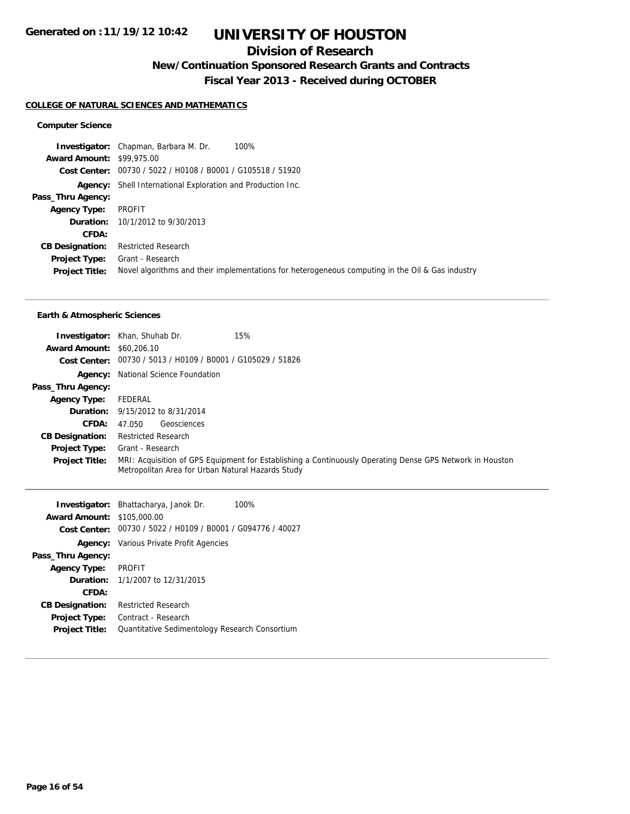## **Division of Research**

**New/Continuation Sponsored Research Grants and Contracts**

**Fiscal Year 2013 - Received during OCTOBER**

#### **COLLEGE OF NATURAL SCIENCES AND MATHEMATICS**

#### **Computer Science**

**Investigator:** Chapman, Barbara M. Dr. 100% **Award Amount:** \$99,975.00 **Cost Center:** 00730 / 5022 / H0108 / B0001 / G105518 / 51920 **Agency:** Shell International Exploration and Production Inc. **Pass\_Thru Agency: Agency Type:** PROFIT **Duration:** 10/1/2012 to 9/30/2013 **CFDA: CB Designation:** Restricted Research **Project Type:** Grant - Research **Project Title:** Novel algorithms and their implementations for heterogeneous computing in the Oil & Gas industry

#### **Earth & Atmospheric Sciences**

|                                  | 15%<br><b>Investigator:</b> Khan, Shuhab Dr.                                                                                                                  |
|----------------------------------|---------------------------------------------------------------------------------------------------------------------------------------------------------------|
| <b>Award Amount: \$60,206.10</b> |                                                                                                                                                               |
|                                  | Cost Center: 00730 / 5013 / H0109 / B0001 / G105029 / 51826                                                                                                   |
|                                  | <b>Agency:</b> National Science Foundation                                                                                                                    |
| Pass_Thru Agency:                |                                                                                                                                                               |
| <b>Agency Type:</b>              | FEDERAL                                                                                                                                                       |
|                                  | <b>Duration:</b> 9/15/2012 to 8/31/2014                                                                                                                       |
| <b>CFDA:</b>                     | Geosciences<br>47.050                                                                                                                                         |
| <b>CB Designation:</b>           | <b>Restricted Research</b>                                                                                                                                    |
| <b>Project Type:</b>             | Grant - Research                                                                                                                                              |
| <b>Project Title:</b>            | MRI: Acquisition of GPS Equipment for Establishing a Continuously Operating Dense GPS Network in Houston<br>Metropolitan Area for Urban Natural Hazards Study |

|                                   | <b>Investigator:</b> Bhattacharya, Janok Dr.                | 100% |
|-----------------------------------|-------------------------------------------------------------|------|
| <b>Award Amount: \$105,000.00</b> |                                                             |      |
|                                   | Cost Center: 00730 / 5022 / H0109 / B0001 / G094776 / 40027 |      |
|                                   | <b>Agency:</b> Various Private Profit Agencies              |      |
| Pass_Thru Agency:                 |                                                             |      |
| <b>Agency Type:</b>               | <b>PROFIT</b>                                               |      |
|                                   | <b>Duration:</b> $1/1/2007$ to $12/31/2015$                 |      |
| CFDA:                             |                                                             |      |
| <b>CB Designation:</b>            | <b>Restricted Research</b>                                  |      |
| Project Type:                     | Contract - Research                                         |      |
| <b>Project Title:</b>             | Quantitative Sedimentology Research Consortium              |      |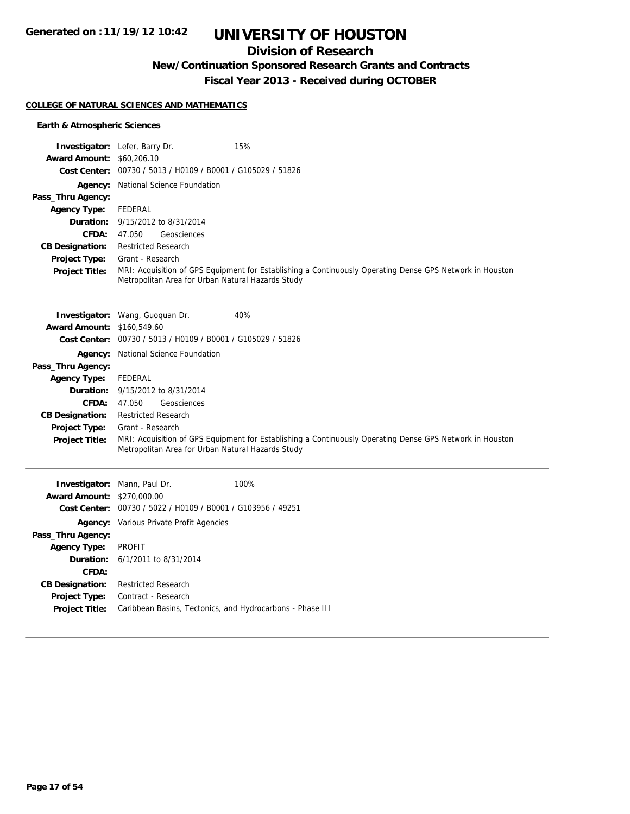## **Division of Research**

**New/Continuation Sponsored Research Grants and Contracts**

**Fiscal Year 2013 - Received during OCTOBER**

### **COLLEGE OF NATURAL SCIENCES AND MATHEMATICS**

### **Earth & Atmospheric Sciences**

|                                   | Investigator: Lefer, Barry Dr.                              | 15%                                                                                                      |
|-----------------------------------|-------------------------------------------------------------|----------------------------------------------------------------------------------------------------------|
| <b>Award Amount: \$60,206.10</b>  |                                                             |                                                                                                          |
|                                   | Cost Center: 00730 / 5013 / H0109 / B0001 / G105029 / 51826 |                                                                                                          |
|                                   | Agency: National Science Foundation                         |                                                                                                          |
| Pass_Thru Agency:                 |                                                             |                                                                                                          |
| <b>Agency Type:</b>               | FEDERAL                                                     |                                                                                                          |
| Duration:                         | 9/15/2012 to 8/31/2014                                      |                                                                                                          |
| CFDA:                             | Geosciences<br>47.050                                       |                                                                                                          |
| <b>CB Designation:</b>            | <b>Restricted Research</b>                                  |                                                                                                          |
| Project Type:                     | Grant - Research                                            |                                                                                                          |
| <b>Project Title:</b>             | Metropolitan Area for Urban Natural Hazards Study           | MRI: Acquisition of GPS Equipment for Establishing a Continuously Operating Dense GPS Network in Houston |
|                                   |                                                             |                                                                                                          |
|                                   | Investigator: Wang, Guoquan Dr.                             | 40%                                                                                                      |
| <b>Award Amount: \$160.549.60</b> |                                                             |                                                                                                          |
|                                   | Cost Center: 00730 / 5013 / H0109 / B0001 / G105029 / 51826 |                                                                                                          |
| Agency:                           | National Science Foundation                                 |                                                                                                          |
| Pass_Thru Agency:                 |                                                             |                                                                                                          |
| <b>Agency Type:</b>               | FEDERAL                                                     |                                                                                                          |
| Duration:                         | 9/15/2012 to 8/31/2014                                      |                                                                                                          |
| CFDA:                             | Geosciences<br>47.050                                       |                                                                                                          |
| <b>CB Designation:</b>            | <b>Restricted Research</b>                                  |                                                                                                          |
| Project Type:                     | Grant - Research                                            |                                                                                                          |
| Project Title:                    | Metropolitan Area for Urban Natural Hazards Study           | MRI: Acquisition of GPS Equipment for Establishing a Continuously Operating Dense GPS Network in Houston |
| Invostigator: Mann Daul Dr.       |                                                             | 100%                                                                                                     |

|                                                             | 100%                                                                                                               |
|-------------------------------------------------------------|--------------------------------------------------------------------------------------------------------------------|
|                                                             |                                                                                                                    |
| Cost Center: 00730 / 5022 / H0109 / B0001 / G103956 / 49251 |                                                                                                                    |
| <b>Agency:</b> Various Private Profit Agencies              |                                                                                                                    |
|                                                             |                                                                                                                    |
| PROFIT                                                      |                                                                                                                    |
|                                                             |                                                                                                                    |
|                                                             |                                                                                                                    |
| <b>Restricted Research</b>                                  |                                                                                                                    |
| Contract - Research                                         |                                                                                                                    |
|                                                             | Caribbean Basins, Tectonics, and Hydrocarbons - Phase III                                                          |
|                                                             | <b>Investigator:</b> Mann, Paul Dr.<br><b>Award Amount: \$270,000.00</b><br><b>Duration:</b> 6/1/2011 to 8/31/2014 |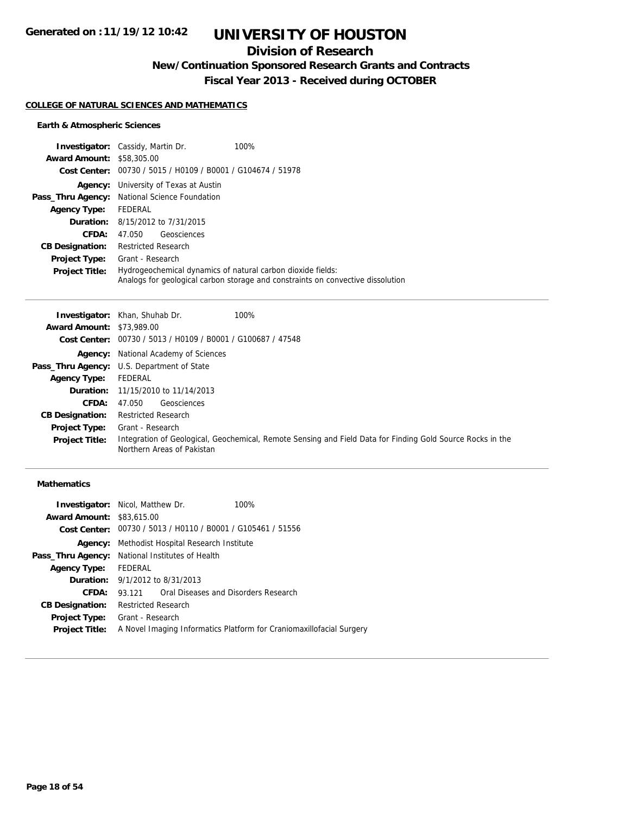## **Division of Research**

**New/Continuation Sponsored Research Grants and Contracts**

**Fiscal Year 2013 - Received during OCTOBER**

#### **COLLEGE OF NATURAL SCIENCES AND MATHEMATICS**

### **Earth & Atmospheric Sciences**

|                                  | <b>Investigator:</b> Cassidy, Martin Dr.<br>100%                                                                                               |
|----------------------------------|------------------------------------------------------------------------------------------------------------------------------------------------|
| <b>Award Amount: \$58,305.00</b> |                                                                                                                                                |
| Cost Center:                     | 00730 / 5015 / H0109 / B0001 / G104674 / 51978                                                                                                 |
| Agency:                          | University of Texas at Austin                                                                                                                  |
|                                  | Pass_Thru Agency: National Science Foundation                                                                                                  |
| <b>Agency Type:</b>              | FEDERAL                                                                                                                                        |
|                                  | <b>Duration:</b> 8/15/2012 to 7/31/2015                                                                                                        |
| CFDA:                            | Geosciences<br>47.050                                                                                                                          |
| <b>CB Designation:</b>           | <b>Restricted Research</b>                                                                                                                     |
| <b>Project Type:</b>             | Grant - Research                                                                                                                               |
| <b>Project Title:</b>            | Hydrogeochemical dynamics of natural carbon dioxide fields:<br>Analogs for geological carbon storage and constraints on convective dissolution |

|                                  | 100%<br><b>Investigator:</b> Khan, Shuhab Dr.                                                                                            |
|----------------------------------|------------------------------------------------------------------------------------------------------------------------------------------|
| <b>Award Amount: \$73,989.00</b> |                                                                                                                                          |
|                                  | Cost Center: 00730 / 5013 / H0109 / B0001 / G100687 / 47548                                                                              |
|                                  | <b>Agency:</b> National Academy of Sciences                                                                                              |
|                                  | <b>Pass_Thru Agency:</b> U.S. Department of State                                                                                        |
| <b>Agency Type:</b>              | FEDERAL                                                                                                                                  |
|                                  | <b>Duration:</b> 11/15/2010 to 11/14/2013                                                                                                |
| <b>CFDA:</b>                     | Geosciences<br>47.050                                                                                                                    |
| <b>CB Designation:</b>           | <b>Restricted Research</b>                                                                                                               |
| <b>Project Type:</b>             | Grant - Research                                                                                                                         |
| <b>Project Title:</b>            | Integration of Geological, Geochemical, Remote Sensing and Field Data for Finding Gold Source Rocks in the<br>Northern Areas of Pakistan |

### **Mathematics**

| <b>Investigator:</b> Nicol, Matthew Dr.                |                                               |                                                                      | 100%                                                                 |
|--------------------------------------------------------|-----------------------------------------------|----------------------------------------------------------------------|----------------------------------------------------------------------|
| <b>Award Amount: \$83,615,00</b>                       |                                               |                                                                      |                                                                      |
|                                                        |                                               | <b>Cost Center:</b> $00730 / 5013 / 40110 / 80001 / 6105461 / 51556$ |                                                                      |
|                                                        | Agency: Methodist Hospital Research Institute |                                                                      |                                                                      |
| <b>Pass_Thru Agency:</b> National Institutes of Health |                                               |                                                                      |                                                                      |
| <b>Agency Type:</b>                                    | FEDERAL                                       |                                                                      |                                                                      |
|                                                        |                                               | <b>Duration:</b> 9/1/2012 to 8/31/2013                               |                                                                      |
| CFDA:                                                  |                                               | 93 121 Oral Diseases and Disorders Research                          |                                                                      |
| <b>CB Designation:</b>                                 | <b>Restricted Research</b>                    |                                                                      |                                                                      |
| Project Type:                                          | Grant - Research                              |                                                                      |                                                                      |
| <b>Project Title:</b>                                  |                                               |                                                                      | A Novel Imaging Informatics Platform for Craniomaxillofacial Surgery |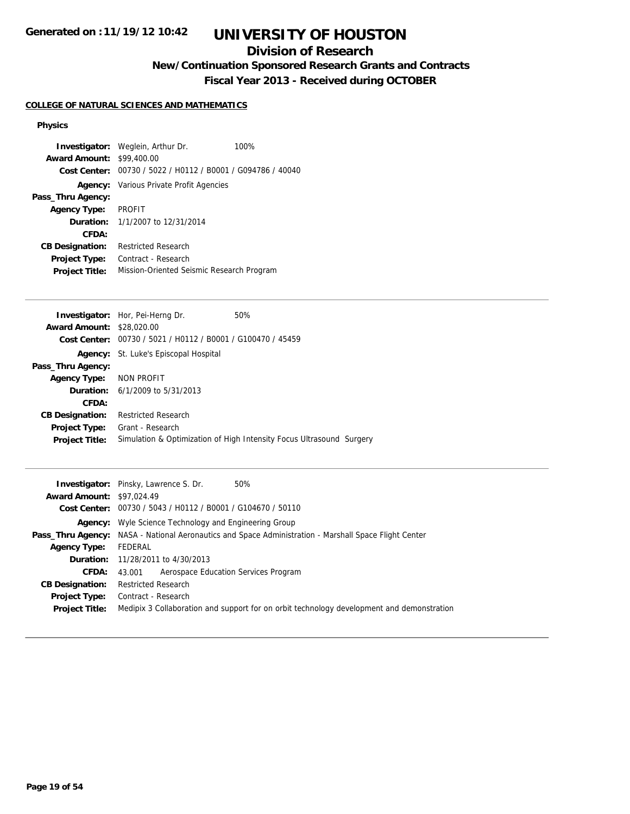## **Division of Research**

## **New/Continuation Sponsored Research Grants and Contracts**

**Fiscal Year 2013 - Received during OCTOBER**

### **COLLEGE OF NATURAL SCIENCES AND MATHEMATICS**

### **Physics**

|                        | <b>Investigator:</b> Weglein, Arthur Dr.       | 100% |
|------------------------|------------------------------------------------|------|
| <b>Award Amount:</b>   | \$99,400.00                                    |      |
| Cost Center:           | 00730 / 5022 / H0112 / B0001 / G094786 / 40040 |      |
| Agency:                | Various Private Profit Agencies                |      |
| Pass_Thru Agency:      |                                                |      |
| <b>Agency Type:</b>    | <b>PROFIT</b>                                  |      |
|                        | <b>Duration:</b> $1/1/2007$ to $12/31/2014$    |      |
| CFDA:                  |                                                |      |
| <b>CB Designation:</b> | <b>Restricted Research</b>                     |      |
| Project Type:          | Contract - Research                            |      |
| <b>Project Title:</b>  | Mission-Oriented Seismic Research Program      |      |
|                        |                                                |      |
|                        | <b>Investigator:</b> Hor, Pei-Herng Dr.        | 50%  |
| <b>Award Amount:</b>   | \$28,020.00                                    |      |

| <b>Award Amount: \$28,020.00</b> |                                                                      |
|----------------------------------|----------------------------------------------------------------------|
|                                  | Cost Center: 00730 / 5021 / H0112 / B0001 / G100470 / 45459          |
|                                  | <b>Agency:</b> St. Luke's Episcopal Hospital                         |
| Pass_Thru Agency:                |                                                                      |
| Agency Type: NON PROFIT          |                                                                      |
|                                  | <b>Duration:</b> $6/1/2009$ to $5/31/2013$                           |
| CFDA:                            |                                                                      |
| <b>CB Designation:</b>           | <b>Restricted Research</b>                                           |
| <b>Project Type:</b>             | Grant - Research                                                     |
| <b>Project Title:</b>            | Simulation & Optimization of High Intensity Focus Ultrasound Surgery |
|                                  |                                                                      |

|                                  | 50%<br><b>Investigator:</b> Pinsky, Lawrence S. Dr.                                                          |  |  |
|----------------------------------|--------------------------------------------------------------------------------------------------------------|--|--|
| <b>Award Amount: \$97,024.49</b> |                                                                                                              |  |  |
|                                  | Cost Center: 00730 / 5043 / H0112 / B0001 / G104670 / 50110                                                  |  |  |
|                                  | <b>Agency:</b> Wyle Science Technology and Engineering Group                                                 |  |  |
|                                  | <b>Pass_Thru Agency:</b> NASA - National Aeronautics and Space Administration - Marshall Space Flight Center |  |  |
| <b>Agency Type:</b>              | FEDERAL                                                                                                      |  |  |
|                                  | <b>Duration:</b> 11/28/2011 to 4/30/2013                                                                     |  |  |
| CFDA:                            | Aerospace Education Services Program<br>43.001                                                               |  |  |
| <b>CB Designation:</b>           | <b>Restricted Research</b>                                                                                   |  |  |
| Project Type:                    | Contract - Research                                                                                          |  |  |
| <b>Project Title:</b>            | Medipix 3 Collaboration and support for on orbit technology development and demonstration                    |  |  |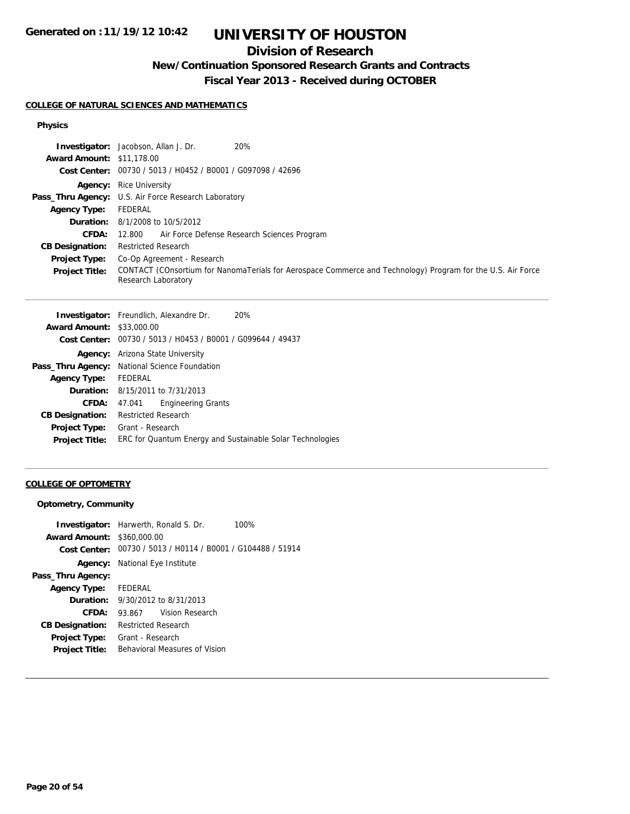## **Division of Research**

### **New/Continuation Sponsored Research Grants and Contracts**

**Fiscal Year 2013 - Received during OCTOBER**

#### **COLLEGE OF NATURAL SCIENCES AND MATHEMATICS**

### **Physics**

| 20%<br><b>Investigator:</b> Jacobson, Allan J. Dr.                                                                                 |
|------------------------------------------------------------------------------------------------------------------------------------|
| <b>Award Amount: \$11,178.00</b>                                                                                                   |
| Cost Center: 00730 / 5013 / H0452 / B0001 / G097098 / 42696                                                                        |
| <b>Agency:</b> Rice University                                                                                                     |
| Pass_Thru Agency: U.S. Air Force Research Laboratory                                                                               |
| FEDERAL                                                                                                                            |
| <b>Duration:</b> 8/1/2008 to 10/5/2012                                                                                             |
| 12.800 Air Force Defense Research Sciences Program                                                                                 |
| <b>Restricted Research</b>                                                                                                         |
| Co-Op Agreement - Research                                                                                                         |
| CONTACT (COnsortium for NanomaTerials for Aerospace Commerce and Technology) Program for the U.S. Air Force<br>Research Laboratory |
|                                                                                                                                    |

|                        | <b>Investigator:</b> Freundlich, Alexandre Dr.<br>20%       |
|------------------------|-------------------------------------------------------------|
| <b>Award Amount:</b>   | \$33,000.00                                                 |
|                        | Cost Center: 00730 / 5013 / H0453 / B0001 / G099644 / 49437 |
|                        | <b>Agency:</b> Arizona State University                     |
|                        | Pass_Thru Agency: National Science Foundation               |
| <b>Agency Type:</b>    | FEDERAL                                                     |
|                        | <b>Duration:</b> $8/15/2011$ to $7/31/2013$                 |
| CFDA:                  | <b>Engineering Grants</b><br>47.041                         |
| <b>CB Designation:</b> | <b>Restricted Research</b>                                  |
| <b>Project Type:</b>   | Grant - Research                                            |
| <b>Project Title:</b>  | ERC for Quantum Energy and Sustainable Solar Technologies   |
|                        |                                                             |

### **COLLEGE OF OPTOMETRY**

### **Optometry, Community**

|                                   | <b>Investigator:</b> Harwerth, Ronald S. Dr.<br>100%        |
|-----------------------------------|-------------------------------------------------------------|
| <b>Award Amount: \$360,000.00</b> |                                                             |
|                                   | Cost Center: 00730 / 5013 / H0114 / B0001 / G104488 / 51914 |
|                                   | <b>Agency:</b> National Eye Institute                       |
| Pass_Thru Agency:                 |                                                             |
| <b>Agency Type:</b> FEDERAL       |                                                             |
|                                   | <b>Duration:</b> $9/30/2012$ to $8/31/2013$                 |
| CFDA:                             | 93.867 Vision Research                                      |
| <b>CB Designation:</b>            | Restricted Research                                         |
| <b>Project Type:</b>              | Grant - Research                                            |
| <b>Project Title:</b>             | Behavioral Measures of Vision                               |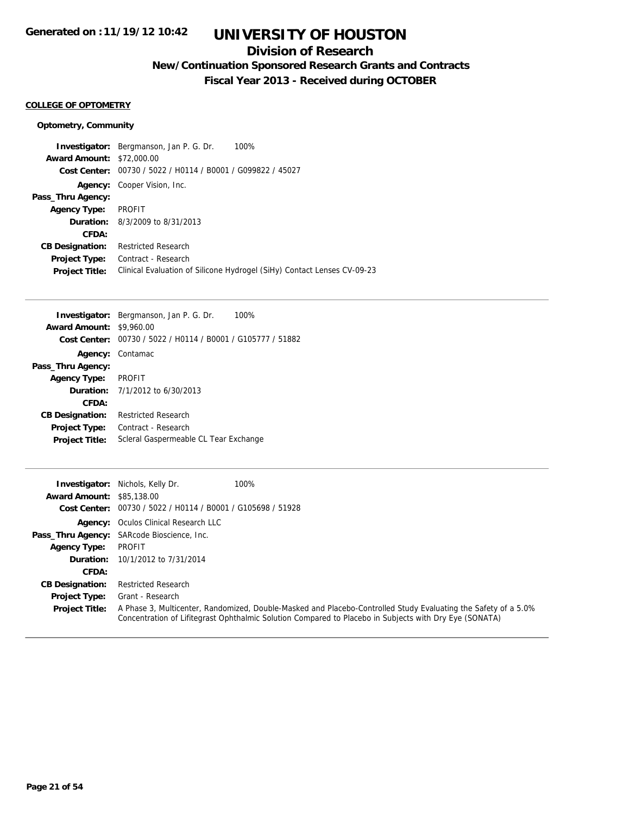### **Division of Research**

**New/Continuation Sponsored Research Grants and Contracts**

**Fiscal Year 2013 - Received during OCTOBER**

### **COLLEGE OF OPTOMETRY**

#### **Optometry, Community**

**Investigator:** Bergmanson, Jan P. G. Dr. 100% **Award Amount:** \$72,000.00 **Cost Center:** 00730 / 5022 / H0114 / B0001 / G099822 / 45027 **Agency:** Cooper Vision, Inc. **Pass\_Thru Agency: Agency Type:** PROFIT **Duration:** 8/3/2009 to 8/31/2013 **CFDA: CB Designation:** Restricted Research **Project Type:** Contract - Research **Project Title:** Clinical Evaluation of Silicone Hydrogel (SiHy) Contact Lenses CV-09-23

|                                 | <b>Investigator:</b> Bergmanson, Jan P. G. Dr.<br>100%      |
|---------------------------------|-------------------------------------------------------------|
| <b>Award Amount: \$9,960.00</b> |                                                             |
|                                 | Cost Center: 00730 / 5022 / H0114 / B0001 / G105777 / 51882 |
|                                 | Agency: Contamac                                            |
| Pass_Thru Agency:               |                                                             |
| <b>Agency Type: PROFIT</b>      |                                                             |
|                                 | <b>Duration:</b> $7/1/2012$ to $6/30/2013$                  |
| CFDA:                           |                                                             |
| <b>CB Designation:</b>          | <b>Restricted Research</b>                                  |
| <b>Project Type:</b>            | Contract - Research                                         |
| <b>Project Title:</b>           | Scleral Gaspermeable CL Tear Exchange                       |

| Investigator:                    | Nichols, Kelly Dr.                             | 100%                                                                                                                                                                                                                     |
|----------------------------------|------------------------------------------------|--------------------------------------------------------------------------------------------------------------------------------------------------------------------------------------------------------------------------|
| <b>Award Amount: \$85,138,00</b> |                                                |                                                                                                                                                                                                                          |
| Cost Center:                     | 00730 / 5022 / H0114 / B0001 / G105698 / 51928 |                                                                                                                                                                                                                          |
|                                  | <b>Agency:</b> Oculos Clinical Research LLC    |                                                                                                                                                                                                                          |
|                                  | Pass_Thru Agency: SARcode Bioscience, Inc.     |                                                                                                                                                                                                                          |
| <b>Agency Type:</b>              | PROFIT                                         |                                                                                                                                                                                                                          |
|                                  | <b>Duration:</b> 10/1/2012 to 7/31/2014        |                                                                                                                                                                                                                          |
| CFDA:                            |                                                |                                                                                                                                                                                                                          |
| <b>CB Designation:</b>           | <b>Restricted Research</b>                     |                                                                                                                                                                                                                          |
| <b>Project Type:</b>             | Grant - Research                               |                                                                                                                                                                                                                          |
| <b>Project Title:</b>            |                                                | A Phase 3, Multicenter, Randomized, Double-Masked and Placebo-Controlled Study Evaluating the Safety of a 5.0%<br>Concentration of Lifitegrast Ophthalmic Solution Compared to Placebo in Subjects with Dry Eye (SONATA) |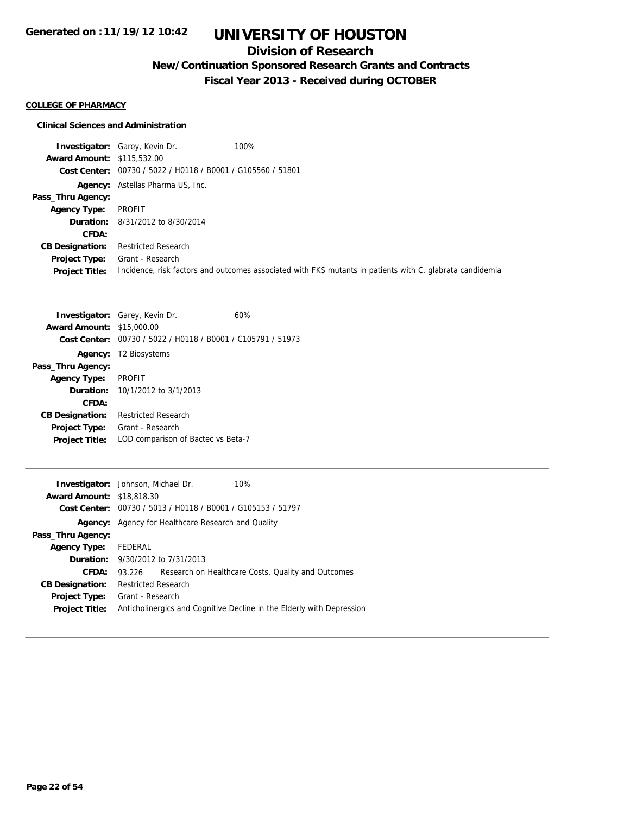### **Division of Research**

**New/Continuation Sponsored Research Grants and Contracts**

**Fiscal Year 2013 - Received during OCTOBER**

### **COLLEGE OF PHARMACY**

#### **Clinical Sciences and Administration**

**Investigator:** Garey, Kevin Dr. 100% **Award Amount:** \$115,532.00 **Cost Center:** 00730 / 5022 / H0118 / B0001 / G105560 / 51801 Agency: Astellas Pharma US, Inc. **Pass\_Thru Agency: Agency Type:** PROFIT **Duration:** 8/31/2012 to 8/30/2014 **CFDA: CB Designation:** Restricted Research **Project Type:** Grant - Research **Project Title:** Incidence, risk factors and outcomes associated with FKS mutants in patients with C. glabrata candidemia

| <b>Award Amount:</b><br>Cost Center:<br>Agency: | <b>Investigator:</b> Garey, Kevin Dr.<br>\$15,000.00<br>00730 / 5022 / H0118 / B0001 / C105791 / 51973<br>T <sub>2</sub> Biosystems | 60% |
|-------------------------------------------------|-------------------------------------------------------------------------------------------------------------------------------------|-----|
| Pass_Thru Agency:                               |                                                                                                                                     |     |
| <b>Agency Type:</b>                             | <b>PROFIT</b>                                                                                                                       |     |
|                                                 | <b>Duration:</b> 10/1/2012 to 3/1/2013                                                                                              |     |
| CFDA:                                           |                                                                                                                                     |     |
| <b>CB Designation:</b>                          | <b>Restricted Research</b>                                                                                                          |     |
| <b>Project Type:</b>                            | Grant - Research                                                                                                                    |     |
| <b>Project Title:</b>                           | LOD comparison of Bactec vs Beta-7                                                                                                  |     |
|                                                 |                                                                                                                                     |     |
|                                                 | <b>Investigator:</b> Johnson, Michael Dr.                                                                                           | 1በ% |

|                                  | <b>THE CONGRESS .</b> JOINTOOTH, INTERNATION                          |
|----------------------------------|-----------------------------------------------------------------------|
| <b>Award Amount: \$18,818.30</b> |                                                                       |
|                                  | Cost Center: 00730 / 5013 / H0118 / B0001 / G105153 / 51797           |
|                                  | <b>Agency:</b> Agency for Healthcare Research and Quality             |
| Pass_Thru Agency:                |                                                                       |
| <b>Agency Type:</b>              | FEDERAL                                                               |
|                                  | <b>Duration:</b> 9/30/2012 to 7/31/2013                               |
| CFDA:                            | Research on Healthcare Costs, Quality and Outcomes<br>93.226          |
| <b>CB Designation:</b>           | <b>Restricted Research</b>                                            |
| Project Type:                    | Grant - Research                                                      |
| <b>Project Title:</b>            | Anticholinergics and Cognitive Decline in the Elderly with Depression |
|                                  |                                                                       |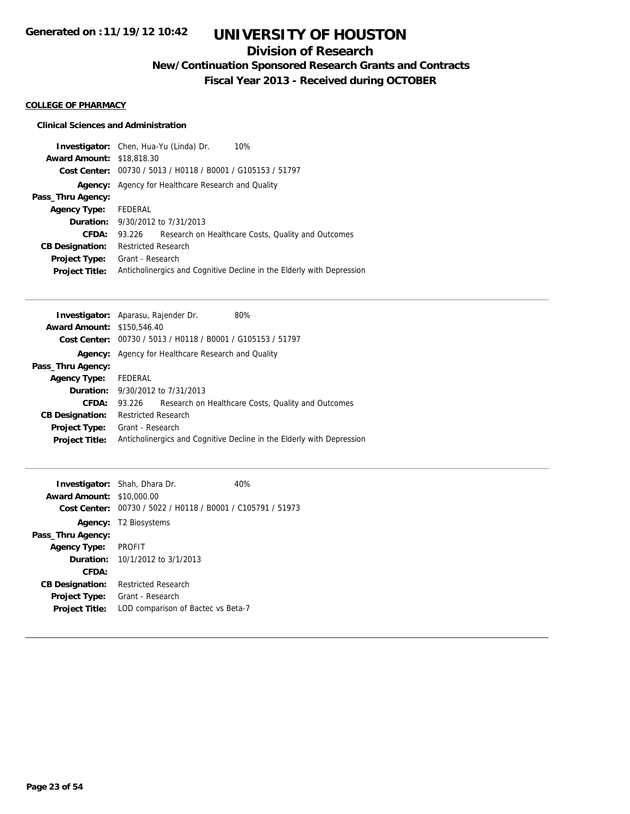## **Division of Research**

**New/Continuation Sponsored Research Grants and Contracts**

**Fiscal Year 2013 - Received during OCTOBER**

### **COLLEGE OF PHARMACY**

### **Clinical Sciences and Administration**

|                                  | <b>Investigator:</b> Chen, Hua-Yu (Linda) Dr.<br>10%                  |  |  |
|----------------------------------|-----------------------------------------------------------------------|--|--|
| <b>Award Amount: \$18,818.30</b> |                                                                       |  |  |
| Cost Center:                     | 00730 / 5013 / H0118 / B0001 / G105153 / 51797                        |  |  |
| Agency:                          | Agency for Healthcare Research and Quality                            |  |  |
| Pass_Thru Agency:                |                                                                       |  |  |
| <b>Agency Type:</b>              | FEDERAL                                                               |  |  |
|                                  | <b>Duration:</b> 9/30/2012 to 7/31/2013                               |  |  |
| CFDA:                            | Research on Healthcare Costs, Quality and Outcomes<br>93.226          |  |  |
| <b>CB Designation:</b>           | <b>Restricted Research</b>                                            |  |  |
| <b>Project Type:</b>             | Grant - Research                                                      |  |  |
| <b>Project Title:</b>            | Anticholinergics and Cognitive Decline in the Elderly with Depression |  |  |

| Investigator: Aparasu, Rajender Dr. |                                            |                                                | 80%                                                                   |
|-------------------------------------|--------------------------------------------|------------------------------------------------|-----------------------------------------------------------------------|
| <b>Award Amount: \$150.546.40</b>   |                                            |                                                |                                                                       |
| Cost Center:                        |                                            | 00730 / 5013 / H0118 / B0001 / G105153 / 51797 |                                                                       |
| Agency:                             | Agency for Healthcare Research and Quality |                                                |                                                                       |
| Pass_Thru Agency:                   |                                            |                                                |                                                                       |
| <b>Agency Type:</b>                 | FEDERAL                                    |                                                |                                                                       |
|                                     |                                            | <b>Duration:</b> $9/30/2012$ to $7/31/2013$    |                                                                       |
| CFDA:                               | 93.226                                     |                                                | Research on Healthcare Costs, Quality and Outcomes                    |
| <b>CB Designation:</b>              | <b>Restricted Research</b>                 |                                                |                                                                       |
| <b>Project Type:</b>                | Grant - Research                           |                                                |                                                                       |
| <b>Project Title:</b>               |                                            |                                                | Anticholinergics and Cognitive Decline in the Elderly with Depression |
|                                     |                                            |                                                |                                                                       |

|                                  | <b>Investigator:</b> Shah, Dhara Dr.           | 40% |
|----------------------------------|------------------------------------------------|-----|
| <b>Award Amount: \$10,000.00</b> |                                                |     |
| Cost Center:                     | 00730 / 5022 / H0118 / B0001 / C105791 / 51973 |     |
| Agency:                          | T2 Biosystems                                  |     |
| Pass_Thru Agency:                |                                                |     |
| <b>Agency Type:</b>              | <b>PROFIT</b>                                  |     |
| <b>Duration:</b>                 | 10/1/2012 to 3/1/2013                          |     |
| CFDA:                            |                                                |     |
| <b>CB Designation:</b>           | <b>Restricted Research</b>                     |     |
| <b>Project Type:</b>             | Grant - Research                               |     |
| <b>Project Title:</b>            | LOD comparison of Bactec vs Beta-7             |     |
|                                  |                                                |     |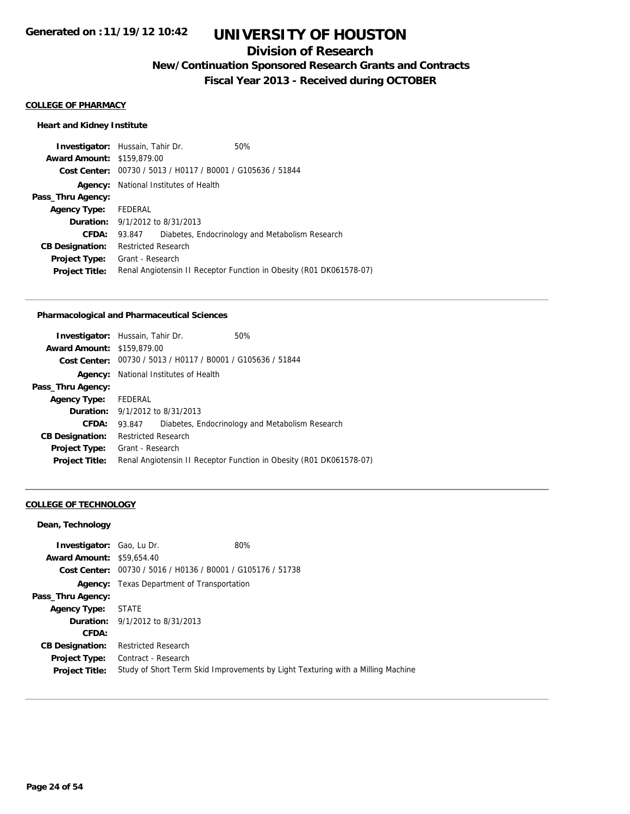### **Division of Research**

**New/Continuation Sponsored Research Grants and Contracts**

**Fiscal Year 2013 - Received during OCTOBER**

#### **COLLEGE OF PHARMACY**

### **Heart and Kidney Institute**

| <b>Investigator:</b> Hussain, Tahir Dr. |                                        | 50%                                                                 |
|-----------------------------------------|----------------------------------------|---------------------------------------------------------------------|
| <b>Award Amount: \$159,879.00</b>       |                                        |                                                                     |
|                                         |                                        | Cost Center: 00730 / 5013 / H0117 / B0001 / G105636 / 51844         |
| Agency:                                 | National Institutes of Health          |                                                                     |
| Pass_Thru Agency:                       |                                        |                                                                     |
| <b>Agency Type:</b>                     | FEDERAL                                |                                                                     |
|                                         | <b>Duration:</b> 9/1/2012 to 8/31/2013 |                                                                     |
| CFDA:                                   | 93.847                                 | Diabetes, Endocrinology and Metabolism Research                     |
| <b>CB Designation:</b>                  | <b>Restricted Research</b>             |                                                                     |
| <b>Project Type:</b>                    | Grant - Research                       |                                                                     |
| <b>Project Title:</b>                   |                                        | Renal Angiotensin II Receptor Function in Obesity (R01 DK061578-07) |
|                                         |                                        |                                                                     |

#### **Pharmacological and Pharmaceutical Sciences**

|                                   | <b>Investigator:</b> Hussain, Tahir Dr.                     | 50%                                                                 |
|-----------------------------------|-------------------------------------------------------------|---------------------------------------------------------------------|
| <b>Award Amount: \$159,879.00</b> |                                                             |                                                                     |
|                                   | Cost Center: 00730 / 5013 / H0117 / B0001 / G105636 / 51844 |                                                                     |
| Agency:                           | National Institutes of Health                               |                                                                     |
| Pass_Thru Agency:                 |                                                             |                                                                     |
| Agency Type: FEDERAL              |                                                             |                                                                     |
|                                   | <b>Duration:</b> 9/1/2012 to 8/31/2013                      |                                                                     |
| <b>CFDA:</b>                      | 93.847                                                      | Diabetes, Endocrinology and Metabolism Research                     |
| <b>CB Designation:</b>            | <b>Restricted Research</b>                                  |                                                                     |
| <b>Project Type:</b>              | Grant - Research                                            |                                                                     |
| <b>Project Title:</b>             |                                                             | Renal Angiotensin II Receptor Function in Obesity (R01 DK061578-07) |
|                                   |                                                             |                                                                     |

### **COLLEGE OF TECHNOLOGY**

| Dean, Technology                 |                                                             |                                                                                 |
|----------------------------------|-------------------------------------------------------------|---------------------------------------------------------------------------------|
| <b>Investigator:</b> Gao, Lu Dr. |                                                             | 80%                                                                             |
| <b>Award Amount: \$59,654.40</b> |                                                             |                                                                                 |
|                                  | Cost Center: 00730 / 5016 / H0136 / B0001 / G105176 / 51738 |                                                                                 |
| Agency:                          | Texas Department of Transportation                          |                                                                                 |
| Pass_Thru Agency:                |                                                             |                                                                                 |
| <b>Agency Type:</b>              | <b>STATE</b>                                                |                                                                                 |
|                                  | <b>Duration:</b> $9/1/2012$ to $8/31/2013$                  |                                                                                 |
| CFDA:                            |                                                             |                                                                                 |
| <b>CB Designation:</b>           | <b>Restricted Research</b>                                  |                                                                                 |
| <b>Project Type:</b>             | Contract - Research                                         |                                                                                 |
| <b>Project Title:</b>            |                                                             | Study of Short Term Skid Improvements by Light Texturing with a Milling Machine |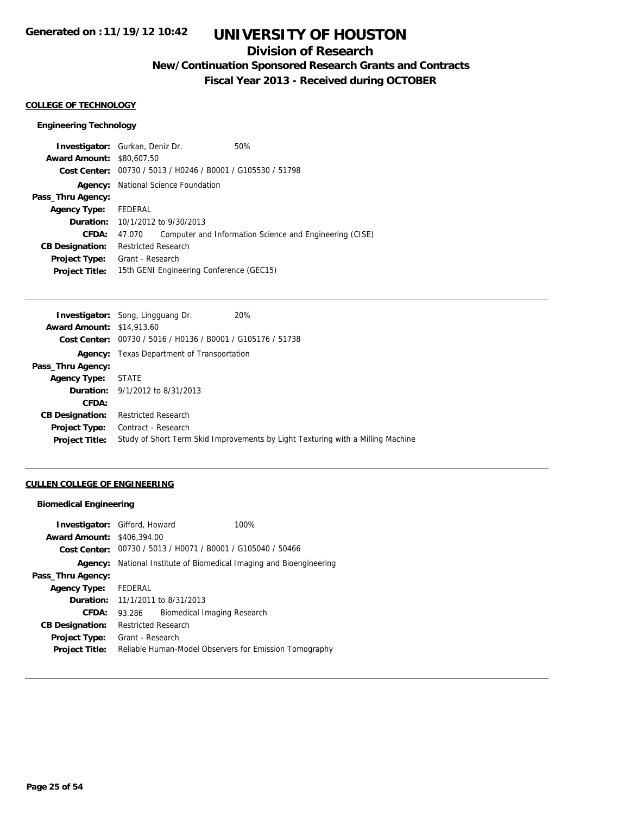## **Division of Research**

**New/Continuation Sponsored Research Grants and Contracts**

**Fiscal Year 2013 - Received during OCTOBER**

#### **COLLEGE OF TECHNOLOGY**

### **Engineering Technology**

| <b>Investigator:</b> Gurkan, Deniz Dr. |                            |                                                             | 50%                                                     |
|----------------------------------------|----------------------------|-------------------------------------------------------------|---------------------------------------------------------|
| <b>Award Amount: \$80,607.50</b>       |                            |                                                             |                                                         |
|                                        |                            | Cost Center: 00730 / 5013 / H0246 / B0001 / G105530 / 51798 |                                                         |
| Agency:                                |                            | National Science Foundation                                 |                                                         |
| Pass_Thru Agency:                      |                            |                                                             |                                                         |
| Agency Type: FEDERAL                   |                            |                                                             |                                                         |
|                                        |                            | <b>Duration:</b> 10/1/2012 to 9/30/2013                     |                                                         |
| <b>CFDA:</b>                           | 47.070                     |                                                             | Computer and Information Science and Engineering (CISE) |
| <b>CB Designation:</b>                 | <b>Restricted Research</b> |                                                             |                                                         |
| <b>Project Type:</b>                   | Grant - Research           |                                                             |                                                         |
| <b>Project Title:</b>                  |                            | 15th GENI Engineering Conference (GEC15)                    |                                                         |

|                                  | <b>Investigator:</b> Song, Lingguang Dr.<br>20%                                 |
|----------------------------------|---------------------------------------------------------------------------------|
| <b>Award Amount: \$14,913.60</b> |                                                                                 |
|                                  | Cost Center: 00730 / 5016 / H0136 / B0001 / G105176 / 51738                     |
|                                  | <b>Agency:</b> Texas Department of Transportation                               |
| Pass_Thru Agency:                |                                                                                 |
| <b>Agency Type:</b>              | <b>STATE</b>                                                                    |
|                                  | <b>Duration:</b> 9/1/2012 to 8/31/2013                                          |
| CFDA:                            |                                                                                 |
| <b>CB Designation:</b>           | <b>Restricted Research</b>                                                      |
| <b>Project Type:</b>             | Contract - Research                                                             |
| <b>Project Title:</b>            | Study of Short Term Skid Improvements by Light Texturing with a Milling Machine |
|                                  |                                                                                 |

### **CULLEN COLLEGE OF ENGINEERING**

#### **Biomedical Engineering**

| <b>Award Amount: \$406,394,00</b> | <b>Investigator:</b> Gifford, Howard        | 100%                                                        |
|-----------------------------------|---------------------------------------------|-------------------------------------------------------------|
|                                   |                                             | Cost Center: 00730 / 5013 / H0071 / B0001 / G105040 / 50466 |
| Agency:                           |                                             | National Institute of Biomedical Imaging and Bioengineering |
| Pass_Thru Agency:                 |                                             |                                                             |
| <b>Agency Type:</b>               | FEDERAL                                     |                                                             |
|                                   | <b>Duration:</b> $11/1/2011$ to $8/31/2013$ |                                                             |
| CFDA:                             | 93.286                                      | Biomedical Imaging Research                                 |
| <b>CB Designation:</b>            | <b>Restricted Research</b>                  |                                                             |
| Project Type:                     | Grant - Research                            |                                                             |
| <b>Project Title:</b>             |                                             | Reliable Human-Model Observers for Emission Tomography      |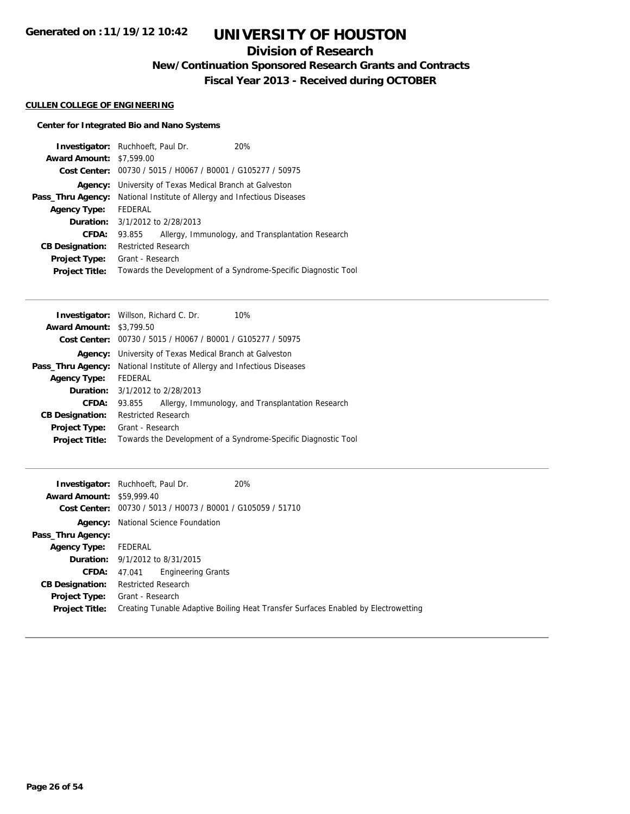## **Division of Research**

**New/Continuation Sponsored Research Grants and Contracts**

**Fiscal Year 2013 - Received during OCTOBER**

### **CULLEN COLLEGE OF ENGINEERING**

### **Center for Integrated Bio and Nano Systems**

|                                 | <b>Investigator:</b> Ruchhoeft, Paul Dr.                    | 20%                                                            |
|---------------------------------|-------------------------------------------------------------|----------------------------------------------------------------|
| <b>Award Amount: \$7,599.00</b> |                                                             |                                                                |
|                                 | Cost Center: 00730 / 5015 / H0067 / B0001 / G105277 / 50975 |                                                                |
| Agency:                         | University of Texas Medical Branch at Galveston             |                                                                |
| Pass_Thru Agency:               | National Institute of Allergy and Infectious Diseases       |                                                                |
| <b>Agency Type:</b>             | FEDERAL                                                     |                                                                |
|                                 | <b>Duration:</b> 3/1/2012 to 2/28/2013                      |                                                                |
| CFDA:                           | 93.855                                                      | Allergy, Immunology, and Transplantation Research              |
| <b>CB Designation:</b>          | <b>Restricted Research</b>                                  |                                                                |
| <b>Project Type:</b>            | Grant - Research                                            |                                                                |
| <b>Project Title:</b>           |                                                             | Towards the Development of a Syndrome-Specific Diagnostic Tool |

|                                 | <b>Investigator:</b> Willson, Richard C. Dr.<br>10%            |
|---------------------------------|----------------------------------------------------------------|
| <b>Award Amount: \$3,799.50</b> |                                                                |
|                                 | Cost Center: 00730 / 5015 / H0067 / B0001 / G105277 / 50975    |
|                                 | <b>Agency:</b> University of Texas Medical Branch at Galveston |
| Pass_Thru Agency:               | National Institute of Allergy and Infectious Diseases          |
| <b>Agency Type:</b>             | FEDERAL                                                        |
|                                 | <b>Duration:</b> 3/1/2012 to 2/28/2013                         |
| CFDA:                           | Allergy, Immunology, and Transplantation Research<br>93.855    |
| <b>CB Designation:</b>          | <b>Restricted Research</b>                                     |
| <b>Project Type:</b>            | Grant - Research                                               |
| <b>Project Title:</b>           | Towards the Development of a Syndrome-Specific Diagnostic Tool |
|                                 |                                                                |

| <b>Award Amount: \$59,999.40</b>       | 20%<br><b>Investigator:</b> Ruchhoeft, Paul Dr.<br>Cost Center: 00730 / 5013 / H0073 / B0001 / G105059 / 51710 |
|----------------------------------------|----------------------------------------------------------------------------------------------------------------|
| Agency:                                | National Science Foundation                                                                                    |
| Pass_Thru Agency:                      |                                                                                                                |
| <b>Agency Type:</b>                    | FEDERAL                                                                                                        |
|                                        | <b>Duration:</b> 9/1/2012 to 8/31/2015                                                                         |
| <b>CFDA:</b>                           | <b>Engineering Grants</b><br>47.041                                                                            |
| <b>CB Designation:</b>                 | <b>Restricted Research</b>                                                                                     |
| Project Type:<br><b>Project Title:</b> | Grant - Research<br>Creating Tunable Adaptive Boiling Heat Transfer Surfaces Enabled by Electrowetting         |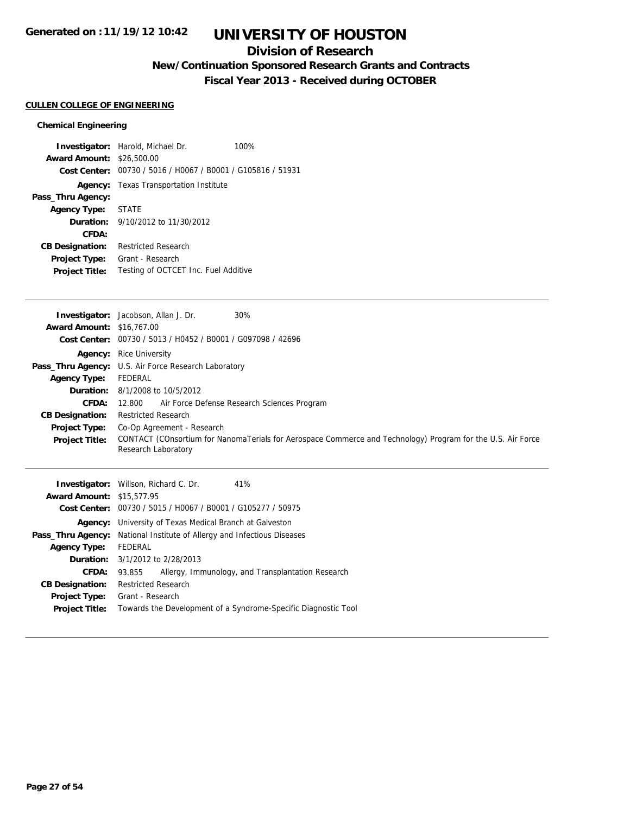### **Division of Research**

**New/Continuation Sponsored Research Grants and Contracts**

**Fiscal Year 2013 - Received during OCTOBER**

### **CULLEN COLLEGE OF ENGINEERING**

### **Chemical Engineering**

|                                  | <b>Investigator:</b> Harold, Michael Dr.                    | 100% |
|----------------------------------|-------------------------------------------------------------|------|
| <b>Award Amount: \$26,500.00</b> |                                                             |      |
|                                  | Cost Center: 00730 / 5016 / H0067 / B0001 / G105816 / 51931 |      |
|                                  | <b>Agency:</b> Texas Transportation Institute               |      |
| Pass_Thru Agency:                |                                                             |      |
| <b>Agency Type: STATE</b>        |                                                             |      |
|                                  | <b>Duration:</b> $9/10/2012$ to $11/30/2012$                |      |
| CFDA:                            |                                                             |      |
| <b>CB Designation:</b>           | Restricted Research                                         |      |
| Project Type:                    | Grant - Research                                            |      |
| <b>Project Title:</b>            | Testing of OCTCET Inc. Fuel Additive                        |      |

|                                  | 30%<br><b>Investigator:</b> Jacobson, Allan J. Dr.                                                                                 |
|----------------------------------|------------------------------------------------------------------------------------------------------------------------------------|
| <b>Award Amount: \$16,767.00</b> |                                                                                                                                    |
|                                  | Cost Center: 00730 / 5013 / H0452 / B0001 / G097098 / 42696                                                                        |
|                                  | <b>Agency:</b> Rice University                                                                                                     |
|                                  | <b>Pass_Thru Agency:</b> U.S. Air Force Research Laboratory                                                                        |
| <b>Agency Type:</b>              | FEDERAL                                                                                                                            |
|                                  | <b>Duration:</b> 8/1/2008 to 10/5/2012                                                                                             |
| <b>CFDA:</b>                     | 12.800 Air Force Defense Research Sciences Program                                                                                 |
| <b>CB Designation:</b>           | <b>Restricted Research</b>                                                                                                         |
| <b>Project Type:</b>             | Co-Op Agreement - Research                                                                                                         |
| <b>Project Title:</b>            | CONTACT (COnsortium for NanomaTerials for Aerospace Commerce and Technology) Program for the U.S. Air Force<br>Research Laboratory |
|                                  |                                                                                                                                    |

| <b>Investigator:</b> Willson, Richard C. Dr. |                                                                                |                                                             | 41%                                                            |
|----------------------------------------------|--------------------------------------------------------------------------------|-------------------------------------------------------------|----------------------------------------------------------------|
| <b>Award Amount: \$15,577.95</b>             |                                                                                |                                                             |                                                                |
|                                              |                                                                                | Cost Center: 00730 / 5015 / H0067 / B0001 / G105277 / 50975 |                                                                |
|                                              | <b>Agency:</b> University of Texas Medical Branch at Galveston                 |                                                             |                                                                |
|                                              | <b>Pass_Thru Agency:</b> National Institute of Allergy and Infectious Diseases |                                                             |                                                                |
| <b>Agency Type:</b>                          | FEDERAL                                                                        |                                                             |                                                                |
| <b>Duration:</b> 3/1/2012 to 2/28/2013       |                                                                                |                                                             |                                                                |
| CFDA:                                        | 93.855                                                                         |                                                             | Allergy, Immunology, and Transplantation Research              |
| <b>CB Designation:</b>                       | <b>Restricted Research</b>                                                     |                                                             |                                                                |
| <b>Project Type:</b>                         | Grant - Research                                                               |                                                             |                                                                |
| <b>Project Title:</b>                        |                                                                                |                                                             | Towards the Development of a Syndrome-Specific Diagnostic Tool |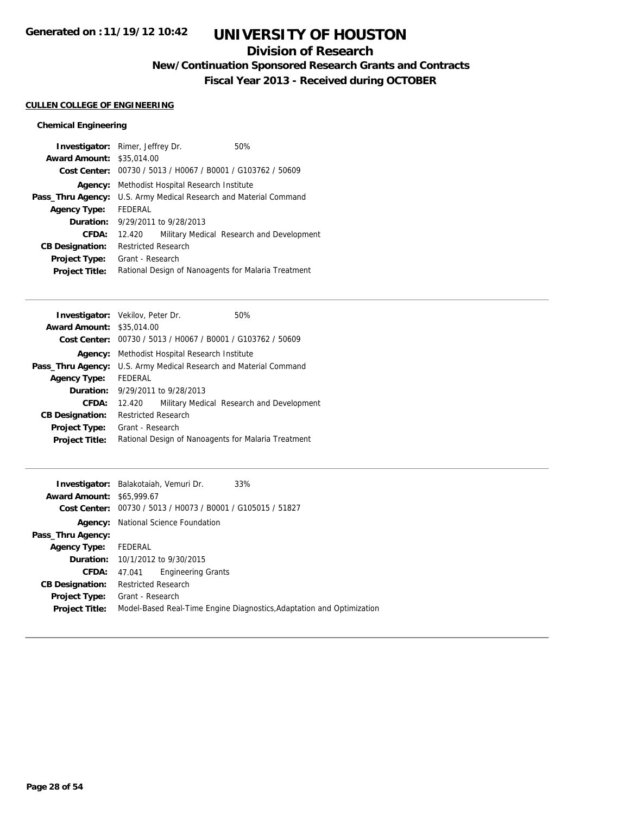### **Division of Research**

**New/Continuation Sponsored Research Grants and Contracts**

**Fiscal Year 2013 - Received during OCTOBER**

### **CULLEN COLLEGE OF ENGINEERING**

### **Chemical Engineering**

|                                  | <b>Investigator:</b> Rimer, Jeffrey Dr.         | 50%                                                 |  |
|----------------------------------|-------------------------------------------------|-----------------------------------------------------|--|
| <b>Award Amount: \$35,014.00</b> |                                                 |                                                     |  |
| Cost Center:                     | 00730 / 5013 / H0067 / B0001 / G103762 / 50609  |                                                     |  |
| Agency:                          | Methodist Hospital Research Institute           |                                                     |  |
| Pass_Thru Agency:                | U.S. Army Medical Research and Material Command |                                                     |  |
| <b>Agency Type:</b>              | <b>FFDFRAL</b>                                  |                                                     |  |
| Duration:                        | 9/29/2011 to 9/28/2013                          |                                                     |  |
| CFDA:                            | 12.420                                          | Military Medical Research and Development           |  |
| <b>CB Designation:</b>           | <b>Restricted Research</b>                      |                                                     |  |
| <b>Project Type:</b>             | Grant - Research                                |                                                     |  |
| <b>Project Title:</b>            |                                                 | Rational Design of Nanoagents for Malaria Treatment |  |

| <b>Investigator:</b> Vekilov, Peter Dr. |                                                             |                                       | 50%                                       |
|-----------------------------------------|-------------------------------------------------------------|---------------------------------------|-------------------------------------------|
| <b>Award Amount: \$35,014.00</b>        |                                                             |                                       |                                           |
|                                         | Cost Center: 00730 / 5013 / H0067 / B0001 / G103762 / 50609 |                                       |                                           |
| Agency:                                 |                                                             | Methodist Hospital Research Institute |                                           |
| Pass_Thru Agency:                       | U.S. Army Medical Research and Material Command             |                                       |                                           |
| <b>Agency Type:</b>                     | FEDERAL                                                     |                                       |                                           |
| Duration:                               | 9/29/2011 to 9/28/2013                                      |                                       |                                           |
| CFDA:                                   | 12.420                                                      |                                       | Military Medical Research and Development |
| <b>CB Designation:</b>                  | Restricted Research                                         |                                       |                                           |
| <b>Project Type:</b>                    | Grant - Research                                            |                                       |                                           |
| <b>Project Title:</b>                   | Rational Design of Nanoagents for Malaria Treatment         |                                       |                                           |
|                                         |                                                             |                                       |                                           |

|                                  | <b>Investigator:</b> Balakotaiah, Vemuri Dr.   | 33%                                                                   |
|----------------------------------|------------------------------------------------|-----------------------------------------------------------------------|
| <b>Award Amount: \$65,999.67</b> |                                                |                                                                       |
| Cost Center:                     | 00730 / 5013 / H0073 / B0001 / G105015 / 51827 |                                                                       |
| Agency:                          | National Science Foundation                    |                                                                       |
| Pass_Thru Agency:                |                                                |                                                                       |
| <b>Agency Type:</b>              | FEDERAL                                        |                                                                       |
|                                  | <b>Duration:</b> 10/1/2012 to 9/30/2015        |                                                                       |
| CFDA:                            | <b>Engineering Grants</b><br>47.041            |                                                                       |
| <b>CB Designation:</b>           | <b>Restricted Research</b>                     |                                                                       |
| <b>Project Type:</b>             | Grant - Research                               |                                                                       |
| <b>Project Title:</b>            |                                                | Model-Based Real-Time Engine Diagnostics, Adaptation and Optimization |
|                                  |                                                |                                                                       |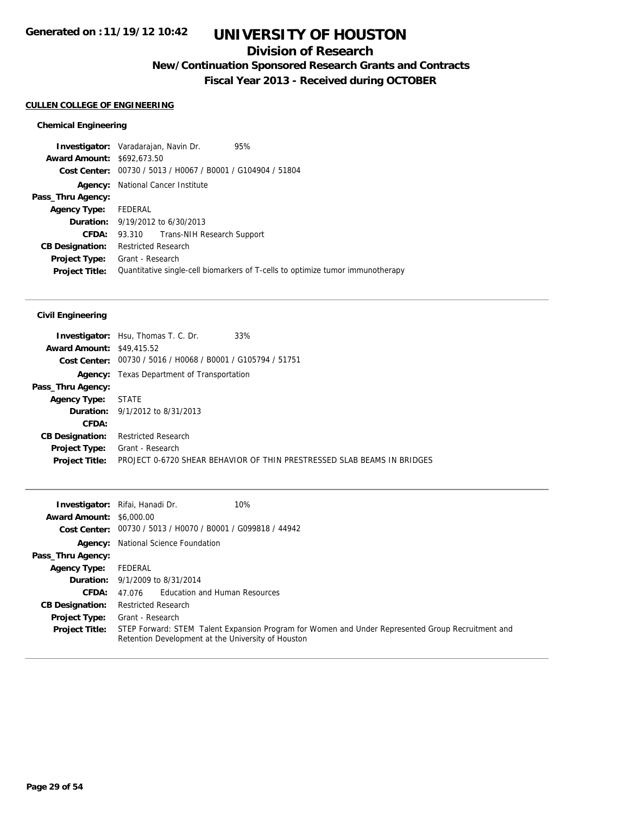### **Division of Research**

**New/Continuation Sponsored Research Grants and Contracts**

**Fiscal Year 2013 - Received during OCTOBER**

### **CULLEN COLLEGE OF ENGINEERING**

### **Chemical Engineering**

| Investigator: Varadarajan, Navin Dr. |                                                             |                                         | 95%                                                                            |
|--------------------------------------|-------------------------------------------------------------|-----------------------------------------|--------------------------------------------------------------------------------|
| <b>Award Amount: \$692,673.50</b>    |                                                             |                                         |                                                                                |
|                                      | Cost Center: 00730 / 5013 / H0067 / B0001 / G104904 / 51804 |                                         |                                                                                |
| Agency:                              | National Cancer Institute                                   |                                         |                                                                                |
| Pass_Thru Agency:                    |                                                             |                                         |                                                                                |
| <b>Agency Type:</b>                  | FEDERAL                                                     |                                         |                                                                                |
|                                      |                                                             | <b>Duration:</b> 9/19/2012 to 6/30/2013 |                                                                                |
| CFDA:                                |                                                             | 93.310 Trans-NIH Research Support       |                                                                                |
| <b>CB Designation:</b>               | <b>Restricted Research</b>                                  |                                         |                                                                                |
| <b>Project Type:</b>                 | Grant - Research                                            |                                         |                                                                                |
| <b>Project Title:</b>                |                                                             |                                         | Quantitative single-cell biomarkers of T-cells to optimize tumor immunotherapy |
|                                      |                                                             |                                         |                                                                                |

|                                  | 33%<br><b>Investigator:</b> Hsu, Thomas T. C. Dr.                       |
|----------------------------------|-------------------------------------------------------------------------|
| <b>Award Amount: \$49,415.52</b> |                                                                         |
|                                  | Cost Center: 00730 / 5016 / H0068 / B0001 / G105794 / 51751             |
|                                  | <b>Agency:</b> Texas Department of Transportation                       |
| Pass_Thru Agency:                |                                                                         |
| <b>Agency Type:</b>              | STATE                                                                   |
|                                  | <b>Duration:</b> 9/1/2012 to 8/31/2013                                  |
| CFDA:                            |                                                                         |
| <b>CB Designation:</b>           | <b>Restricted Research</b>                                              |
|                                  | <b>Project Type:</b> Grant - Research                                   |
| <b>Project Title:</b>            | PROJECT 0-6720 SHEAR BEHAVIOR OF THIN PRESTRESSED SLAB BEAMS IN BRIDGES |
|                                  |                                                                         |

|                                 | 10%<br><b>Investigator:</b> Rifai, Hanadi Dr.                                                                                                           |
|---------------------------------|---------------------------------------------------------------------------------------------------------------------------------------------------------|
| <b>Award Amount: \$6,000.00</b> |                                                                                                                                                         |
|                                 | Cost Center: 00730 / 5013 / H0070 / B0001 / G099818 / 44942                                                                                             |
|                                 | <b>Agency:</b> National Science Foundation                                                                                                              |
| Pass_Thru Agency:               |                                                                                                                                                         |
| <b>Agency Type:</b>             | FEDERAL                                                                                                                                                 |
|                                 | <b>Duration:</b> 9/1/2009 to 8/31/2014                                                                                                                  |
| <b>CFDA:</b>                    | <b>Education and Human Resources</b><br>47.076                                                                                                          |
| <b>CB Designation:</b>          | <b>Restricted Research</b>                                                                                                                              |
| <b>Project Type:</b>            | Grant - Research                                                                                                                                        |
| <b>Project Title:</b>           | STEP Forward: STEM Talent Expansion Program for Women and Under Represented Group Recruitment and<br>Retention Development at the University of Houston |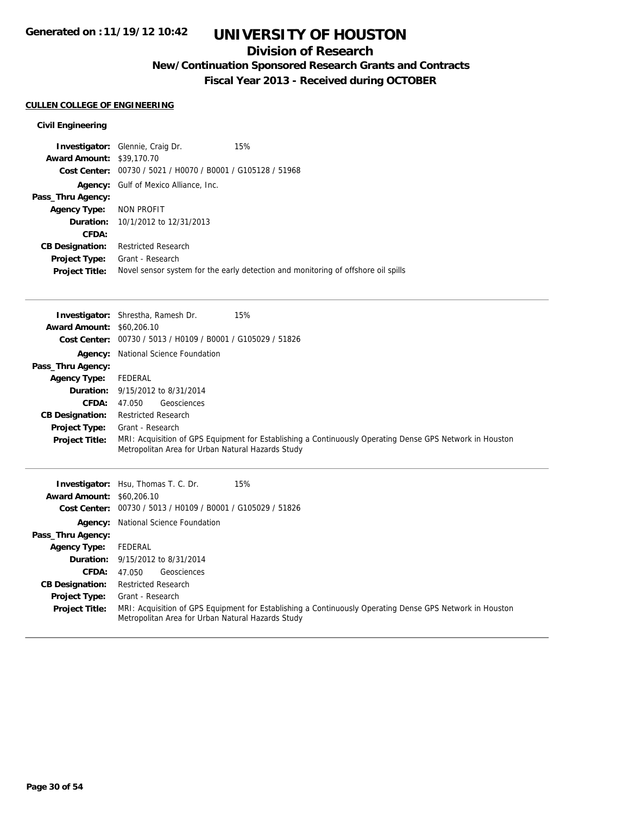### **Division of Research**

**New/Continuation Sponsored Research Grants and Contracts**

**Fiscal Year 2013 - Received during OCTOBER**

### **CULLEN COLLEGE OF ENGINEERING**

|                                  | <b>Investigator:</b> Glennie, Craig Dr.                     | 15%                                                                               |
|----------------------------------|-------------------------------------------------------------|-----------------------------------------------------------------------------------|
| <b>Award Amount: \$39,170.70</b> |                                                             |                                                                                   |
|                                  | Cost Center: 00730 / 5021 / H0070 / B0001 / G105128 / 51968 |                                                                                   |
|                                  | <b>Agency:</b> Gulf of Mexico Alliance, Inc.                |                                                                                   |
| Pass_Thru Agency:                |                                                             |                                                                                   |
| Agency Type: NON PROFIT          |                                                             |                                                                                   |
|                                  | <b>Duration:</b> 10/1/2012 to 12/31/2013                    |                                                                                   |
| CFDA:                            |                                                             |                                                                                   |
| <b>CB Designation:</b>           | <b>Restricted Research</b>                                  |                                                                                   |
| <b>Project Type:</b>             | Grant - Research                                            |                                                                                   |
| <b>Project Title:</b>            |                                                             | Novel sensor system for the early detection and monitoring of offshore oil spills |

|                                  | <b>Investigator:</b> Shrestha, Ramesh Dr.<br>15%                                                                             |
|----------------------------------|------------------------------------------------------------------------------------------------------------------------------|
| <b>Award Amount: \$60,206.10</b> |                                                                                                                              |
|                                  | Cost Center: 00730 / 5013 / H0109 / B0001 / G105029 / 51826                                                                  |
| Agency:                          | National Science Foundation                                                                                                  |
| Pass_Thru Agency:                |                                                                                                                              |
| <b>Agency Type:</b>              | FEDERAL                                                                                                                      |
| Duration:                        | 9/15/2012 to 8/31/2014                                                                                                       |
| CFDA:                            | Geosciences<br>47.050                                                                                                        |
| <b>CB Designation:</b>           | <b>Restricted Research</b>                                                                                                   |
| <b>Project Type:</b>             | Grant - Research                                                                                                             |
| <b>Project Title:</b>            | MRI: Acquisition of GPS Equipment for Establishing a Continuously Operating Dense GPS Network in Houston                     |
|                                  | Metropolitan Area for Urban Natural Hazards Study                                                                            |
|                                  |                                                                                                                              |
|                                  |                                                                                                                              |
|                                  |                                                                                                                              |
|                                  | <b>Investigator:</b> Hsu, Thomas T. C. Dr.<br>15%                                                                            |
| <b>Award Amount:</b>             | \$60,206.10                                                                                                                  |
|                                  | Cost Center: 00730 / 5013 / H0109 / B0001 / G105029 / 51826                                                                  |
|                                  | Agency: National Science Foundation                                                                                          |
| Pass_Thru Agency:                |                                                                                                                              |
| <b>Agency Type:</b>              | FEDERAL                                                                                                                      |
| Duration:                        | 9/15/2012 to 8/31/2014                                                                                                       |
| CFDA:                            | Geosciences<br>47.050                                                                                                        |
| <b>CB Designation:</b>           | <b>Restricted Research</b>                                                                                                   |
| <b>Project Type:</b>             | Grant - Research<br>MRI: Acquisition of GPS Equipment for Establishing a Continuously Operating Dense GPS Network in Houston |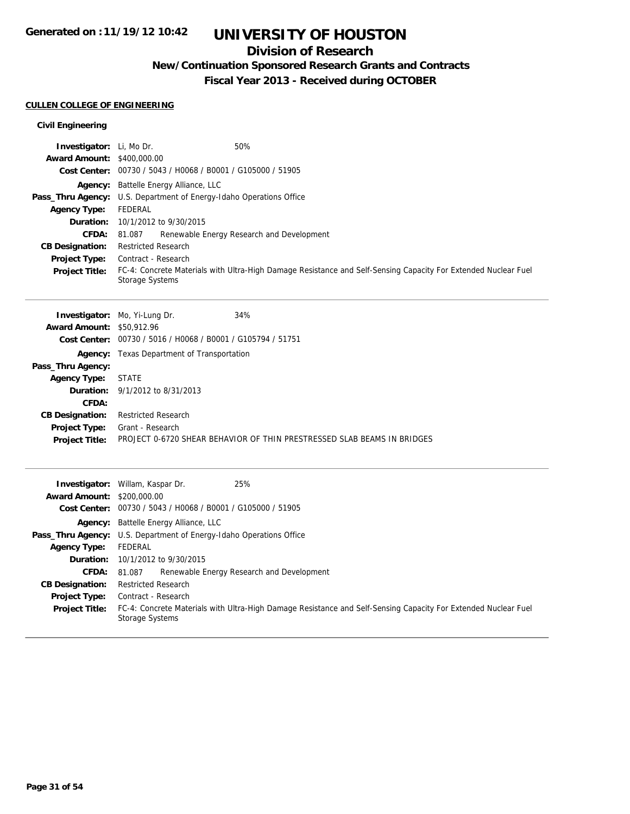### **Division of Research**

**New/Continuation Sponsored Research Grants and Contracts**

**Fiscal Year 2013 - Received during OCTOBER**

### **CULLEN COLLEGE OF ENGINEERING**

| Investigator: Li, Mo Dr.<br><b>Award Amount:</b> | 50%<br>\$400,000.00                                                                                                               |  |  |
|--------------------------------------------------|-----------------------------------------------------------------------------------------------------------------------------------|--|--|
|                                                  | Cost Center: 00730 / 5043 / H0068 / B0001 / G105000 / 51905                                                                       |  |  |
|                                                  | Agency: Battelle Energy Alliance, LLC                                                                                             |  |  |
| Pass_Thru Agency:                                | U.S. Department of Energy-Idaho Operations Office                                                                                 |  |  |
| <b>Agency Type:</b>                              | <b>FEDERAL</b>                                                                                                                    |  |  |
| Duration:                                        | 10/1/2012 to 9/30/2015                                                                                                            |  |  |
| <b>CFDA:</b>                                     | 81.087<br>Renewable Energy Research and Development                                                                               |  |  |
| <b>CB Designation:</b>                           | <b>Restricted Research</b>                                                                                                        |  |  |
| Project Type:                                    | Contract - Research                                                                                                               |  |  |
| <b>Project Title:</b>                            | FC-4: Concrete Materials with Ultra-High Damage Resistance and Self-Sensing Capacity For Extended Nuclear Fuel<br>Storage Systems |  |  |
|                                                  | 34%<br><b>Investigator:</b> Mo, Yi-Lung Dr.                                                                                       |  |  |
| <b>Award Amount: \$50,912.96</b>                 |                                                                                                                                   |  |  |
|                                                  | Cost Center: 00730 / 5016 / H0068 / B0001 / G105794 / 51751                                                                       |  |  |
|                                                  | <b>Agency:</b> Texas Department of Transportation                                                                                 |  |  |
| Pass_Thru Agency:                                |                                                                                                                                   |  |  |
| <b>Agency Type:</b>                              | <b>STATE</b>                                                                                                                      |  |  |
| Duration:<br>CFDA:                               | 9/1/2012 to 8/31/2013                                                                                                             |  |  |
| <b>CB Designation:</b>                           | <b>Restricted Research</b>                                                                                                        |  |  |
| Project Type:                                    | Grant - Research                                                                                                                  |  |  |
| <b>Project Title:</b>                            | PROJECT 0-6720 SHEAR BEHAVIOR OF THIN PRESTRESSED SLAB BEAMS IN BRIDGES                                                           |  |  |
|                                                  | 25%<br>Investigator: Willam, Kaspar Dr.                                                                                           |  |  |
| <b>Award Amount:</b>                             | \$200,000.00                                                                                                                      |  |  |
|                                                  | Cost Center: 00730 / 5043 / H0068 / B0001 / G105000 / 51905                                                                       |  |  |
| Agency:                                          | Battelle Energy Alliance, LLC                                                                                                     |  |  |
|                                                  | Pass_Thru Agency: U.S. Department of Energy-Idaho Operations Office                                                               |  |  |
| <b>Agency Type:</b>                              | <b>FEDERAL</b>                                                                                                                    |  |  |
| Duration:                                        | 10/1/2012 to 9/30/2015                                                                                                            |  |  |
| <b>CFDA:</b>                                     | Renewable Energy Research and Development<br>81.087                                                                               |  |  |
| <b>CB Designation:</b>                           | <b>Restricted Research</b>                                                                                                        |  |  |
| <b>Project Type:</b>                             | Contract - Research                                                                                                               |  |  |
| <b>Project Title:</b>                            | FC-4: Concrete Materials with Ultra-High Damage Resistance and Self-Sensing Capacity For Extended Nuclear Fuel<br>Storage Systems |  |  |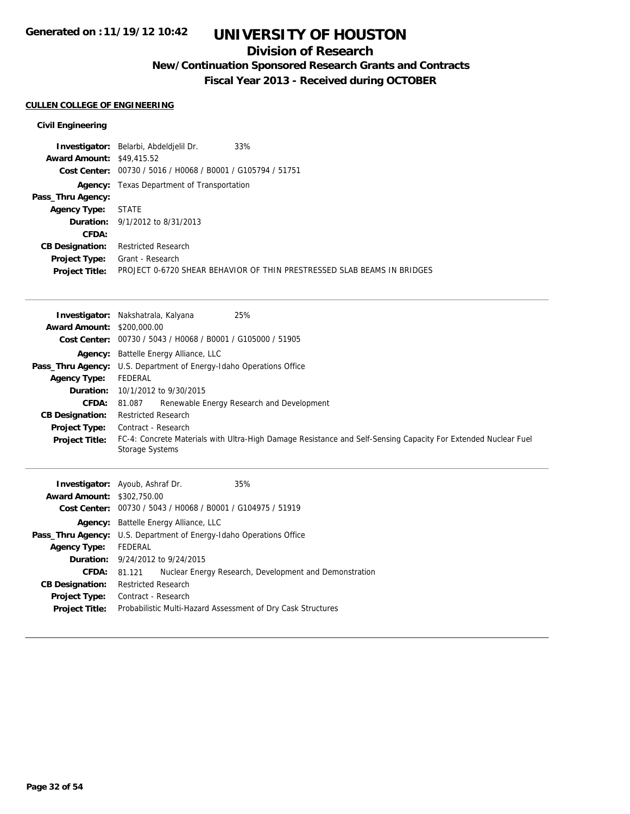### **Division of Research**

**New/Continuation Sponsored Research Grants and Contracts**

**Fiscal Year 2013 - Received during OCTOBER**

### **CULLEN COLLEGE OF ENGINEERING**

|                                  | 33%<br>Investigator: Belarbi, Abdeldjelil Dr.               |                                                                         |
|----------------------------------|-------------------------------------------------------------|-------------------------------------------------------------------------|
| <b>Award Amount: \$49,415.52</b> |                                                             |                                                                         |
|                                  | Cost Center: 00730 / 5016 / H0068 / B0001 / G105794 / 51751 |                                                                         |
|                                  | <b>Agency:</b> Texas Department of Transportation           |                                                                         |
| Pass_Thru Agency:                |                                                             |                                                                         |
| <b>Agency Type:</b>              | <b>STATE</b>                                                |                                                                         |
|                                  | <b>Duration:</b> 9/1/2012 to 8/31/2013                      |                                                                         |
| CFDA:                            |                                                             |                                                                         |
| <b>CB Designation:</b>           | <b>Restricted Research</b>                                  |                                                                         |
| <b>Project Type:</b>             | Grant - Research                                            |                                                                         |
| <b>Project Title:</b>            |                                                             | PROJECT 0-6720 SHEAR BEHAVIOR OF THIN PRESTRESSED SLAB BEAMS IN BRIDGES |
|                                  |                                                             |                                                                         |

|                                                                             | 25%<br><b>Investigator:</b> Nakshatrala, Kalyana                                                                                  |
|-----------------------------------------------------------------------------|-----------------------------------------------------------------------------------------------------------------------------------|
| <b>Award Amount: \$200,000.00</b>                                           |                                                                                                                                   |
|                                                                             | Cost Center: 00730 / 5043 / H0068 / B0001 / G105000 / 51905                                                                       |
|                                                                             | <b>Agency:</b> Battelle Energy Alliance, LLC                                                                                      |
|                                                                             | <b>Pass_Thru Agency:</b> U.S. Department of Energy-Idaho Operations Office                                                        |
| <b>Agency Type:</b>                                                         | FEDERAL                                                                                                                           |
| Duration:                                                                   | 10/1/2012 to 9/30/2015                                                                                                            |
| <b>CFDA:</b>                                                                | Renewable Energy Research and Development<br>81.087                                                                               |
| <b>CB Designation:</b>                                                      | <b>Restricted Research</b>                                                                                                        |
| Project Type:                                                               | Contract - Research                                                                                                               |
| <b>Project Title:</b>                                                       | FC-4: Concrete Materials with Ultra-High Damage Resistance and Self-Sensing Capacity For Extended Nuclear Fuel<br>Storage Systems |
| $A_{\text{total}}$ $A_{\text{model}}$ $A_{\text{total}}$ $A_{\text{total}}$ | 35%<br><b>Investigator:</b> Ayoub, Ashraf Dr.                                                                                     |

| <b>Award Amount: \$302,750.00</b> |                                                                            |  |  |
|-----------------------------------|----------------------------------------------------------------------------|--|--|
|                                   | Cost Center: 00730 / 5043 / H0068 / B0001 / G104975 / 51919                |  |  |
|                                   | <b>Agency:</b> Battelle Energy Alliance, LLC                               |  |  |
|                                   | <b>Pass_Thru Agency:</b> U.S. Department of Energy-Idaho Operations Office |  |  |
| <b>Agency Type:</b>               | FEDERAL                                                                    |  |  |
|                                   | <b>Duration:</b> 9/24/2012 to 9/24/2015                                    |  |  |
|                                   | Nuclear Energy Research, Development and Demonstration<br>CFDA: 81.121     |  |  |
| <b>CB Designation:</b>            | <b>Restricted Research</b>                                                 |  |  |
|                                   | <b>Project Type:</b> Contract - Research                                   |  |  |
| <b>Project Title:</b>             | Probabilistic Multi-Hazard Assessment of Dry Cask Structures               |  |  |
|                                   |                                                                            |  |  |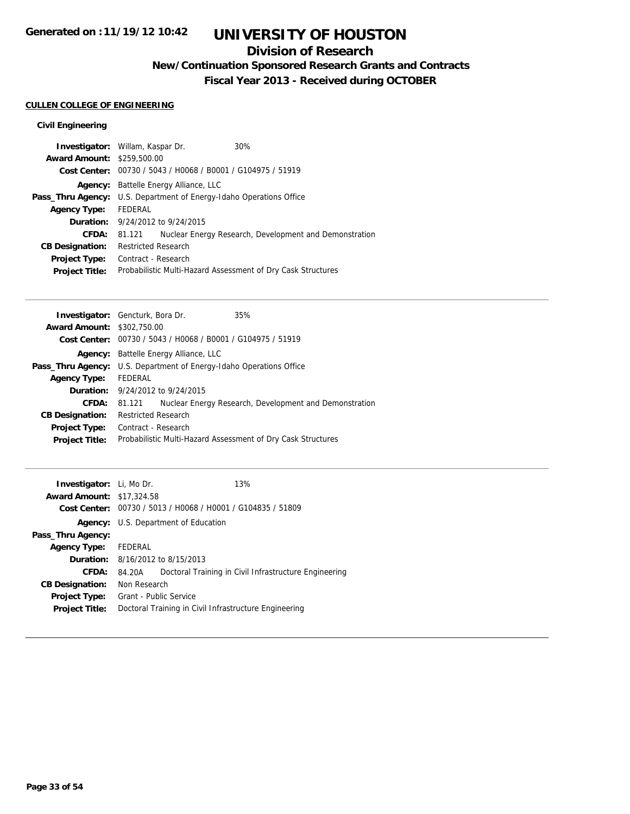### **Division of Research**

**New/Continuation Sponsored Research Grants and Contracts**

**Fiscal Year 2013 - Received during OCTOBER**

### **CULLEN COLLEGE OF ENGINEERING**

|                                   | <b>Investigator:</b> Willam, Kaspar Dr.                     |  | 30%                                                          |  |
|-----------------------------------|-------------------------------------------------------------|--|--------------------------------------------------------------|--|
| <b>Award Amount: \$259,500.00</b> |                                                             |  |                                                              |  |
|                                   | Cost Center: 00730 / 5043 / H0068 / B0001 / G104975 / 51919 |  |                                                              |  |
| Agency:                           | Battelle Energy Alliance, LLC                               |  |                                                              |  |
| Pass_Thru Agency:                 |                                                             |  | U.S. Department of Energy-Idaho Operations Office            |  |
| <b>Agency Type:</b>               | FEDERAL                                                     |  |                                                              |  |
|                                   | <b>Duration:</b> 9/24/2012 to 9/24/2015                     |  |                                                              |  |
| CFDA:                             | 81.121                                                      |  | Nuclear Energy Research, Development and Demonstration       |  |
| <b>CB Designation:</b>            | <b>Restricted Research</b>                                  |  |                                                              |  |
| <b>Project Type:</b>              | Contract - Research                                         |  |                                                              |  |
| <b>Project Title:</b>             |                                                             |  | Probabilistic Multi-Hazard Assessment of Dry Cask Structures |  |

|                                   | <b>Investigator:</b> Gencturk, Bora Dr.                                    | 35%                                                    |
|-----------------------------------|----------------------------------------------------------------------------|--------------------------------------------------------|
| <b>Award Amount: \$302,750.00</b> |                                                                            |                                                        |
|                                   | Cost Center: 00730 / 5043 / H0068 / B0001 / G104975 / 51919                |                                                        |
| Agency:                           | Battelle Energy Alliance, LLC                                              |                                                        |
|                                   | <b>Pass_Thru Agency:</b> U.S. Department of Energy-Idaho Operations Office |                                                        |
| <b>Agency Type:</b>               | FEDERAL                                                                    |                                                        |
|                                   | <b>Duration:</b> 9/24/2012 to 9/24/2015                                    |                                                        |
| <b>CFDA:</b>                      | 81.121                                                                     | Nuclear Energy Research, Development and Demonstration |
| <b>CB Designation:</b>            | <b>Restricted Research</b>                                                 |                                                        |
| <b>Project Type:</b>              | Contract - Research                                                        |                                                        |
| <b>Project Title:</b>             | Probabilistic Multi-Hazard Assessment of Dry Cask Structures               |                                                        |
|                                   |                                                                            |                                                        |

| <b>Investigator:</b> Li, Mo Dr. |                        |                                                             | 13%                                                   |
|---------------------------------|------------------------|-------------------------------------------------------------|-------------------------------------------------------|
| <b>Award Amount:</b>            | \$17,324.58            |                                                             |                                                       |
|                                 |                        | Cost Center: 00730 / 5013 / H0068 / H0001 / G104835 / 51809 |                                                       |
|                                 |                        | Agency: U.S. Department of Education                        |                                                       |
| Pass_Thru Agency:               |                        |                                                             |                                                       |
| <b>Agency Type:</b>             | FEDERAL                |                                                             |                                                       |
|                                 |                        | <b>Duration:</b> 8/16/2012 to 8/15/2013                     |                                                       |
| CFDA:                           | 84.20A                 |                                                             | Doctoral Training in Civil Infrastructure Engineering |
| <b>CB Designation:</b>          | Non Research           |                                                             |                                                       |
| <b>Project Type:</b>            | Grant - Public Service |                                                             |                                                       |
| <b>Project Title:</b>           |                        | Doctoral Training in Civil Infrastructure Engineering       |                                                       |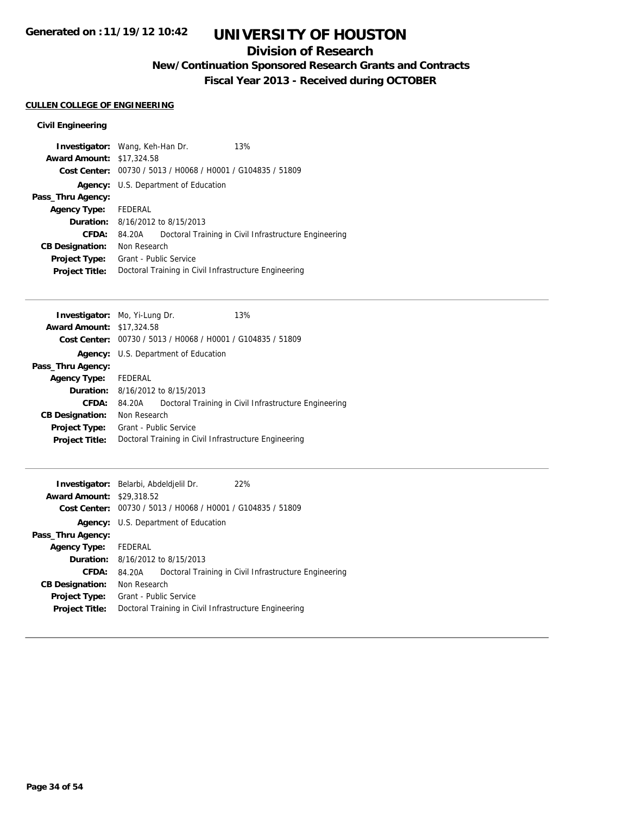### **Division of Research**

**New/Continuation Sponsored Research Grants and Contracts**

**Fiscal Year 2013 - Received during OCTOBER**

### **CULLEN COLLEGE OF ENGINEERING**

| <b>Investigator:</b> Wang, Keh-Han Dr. |                        |                                                | 13%                                                   |
|----------------------------------------|------------------------|------------------------------------------------|-------------------------------------------------------|
| <b>Award Amount: \$17,324.58</b>       |                        |                                                |                                                       |
| Cost Center:                           |                        | 00730 / 5013 / H0068 / H0001 / G104835 / 51809 |                                                       |
|                                        |                        | <b>Agency:</b> U.S. Department of Education    |                                                       |
| Pass_Thru Agency:                      |                        |                                                |                                                       |
| <b>Agency Type:</b>                    | FEDERAL                |                                                |                                                       |
| Duration:                              |                        | 8/16/2012 to 8/15/2013                         |                                                       |
| CFDA:                                  | 84.20A                 |                                                | Doctoral Training in Civil Infrastructure Engineering |
| <b>CB Designation:</b>                 | Non Research           |                                                |                                                       |
| <b>Project Type:</b>                   | Grant - Public Service |                                                |                                                       |
| <b>Project Title:</b>                  |                        |                                                | Doctoral Training in Civil Infrastructure Engineering |

|         | 13%                                                                                                                                                                                                                                                                                                                           |
|---------|-------------------------------------------------------------------------------------------------------------------------------------------------------------------------------------------------------------------------------------------------------------------------------------------------------------------------------|
|         |                                                                                                                                                                                                                                                                                                                               |
|         |                                                                                                                                                                                                                                                                                                                               |
|         |                                                                                                                                                                                                                                                                                                                               |
|         |                                                                                                                                                                                                                                                                                                                               |
| FEDERAL |                                                                                                                                                                                                                                                                                                                               |
|         |                                                                                                                                                                                                                                                                                                                               |
| 84.20A  | Doctoral Training in Civil Infrastructure Engineering                                                                                                                                                                                                                                                                         |
|         |                                                                                                                                                                                                                                                                                                                               |
|         |                                                                                                                                                                                                                                                                                                                               |
|         |                                                                                                                                                                                                                                                                                                                               |
|         | <b>Investigator:</b> Mo, Yi-Lung Dr.<br><b>Award Amount: \$17,324.58</b><br>Cost Center: 00730 / 5013 / H0068 / H0001 / G104835 / 51809<br>Agency: U.S. Department of Education<br><b>Duration:</b> 8/16/2012 to 8/15/2013<br>Non Research<br>Grant - Public Service<br>Doctoral Training in Civil Infrastructure Engineering |

|                      |             | 22%                                                                                                                                                                                                                                                                         |
|----------------------|-------------|-----------------------------------------------------------------------------------------------------------------------------------------------------------------------------------------------------------------------------------------------------------------------------|
| <b>Award Amount:</b> |             |                                                                                                                                                                                                                                                                             |
| Cost Center:         |             |                                                                                                                                                                                                                                                                             |
|                      |             |                                                                                                                                                                                                                                                                             |
|                      |             |                                                                                                                                                                                                                                                                             |
| FEDERAL              |             |                                                                                                                                                                                                                                                                             |
|                      |             |                                                                                                                                                                                                                                                                             |
| 84.20A               |             | Doctoral Training in Civil Infrastructure Engineering                                                                                                                                                                                                                       |
|                      |             |                                                                                                                                                                                                                                                                             |
|                      |             |                                                                                                                                                                                                                                                                             |
|                      |             |                                                                                                                                                                                                                                                                             |
|                      | \$29,318.52 | <b>Investigator:</b> Belarbi, Abdeldjelil Dr.<br>00730 / 5013 / H0068 / H0001 / G104835 / 51809<br><b>Agency:</b> U.S. Department of Education<br>8/16/2012 to 8/15/2013<br>Non Research<br>Grant - Public Service<br>Doctoral Training in Civil Infrastructure Engineering |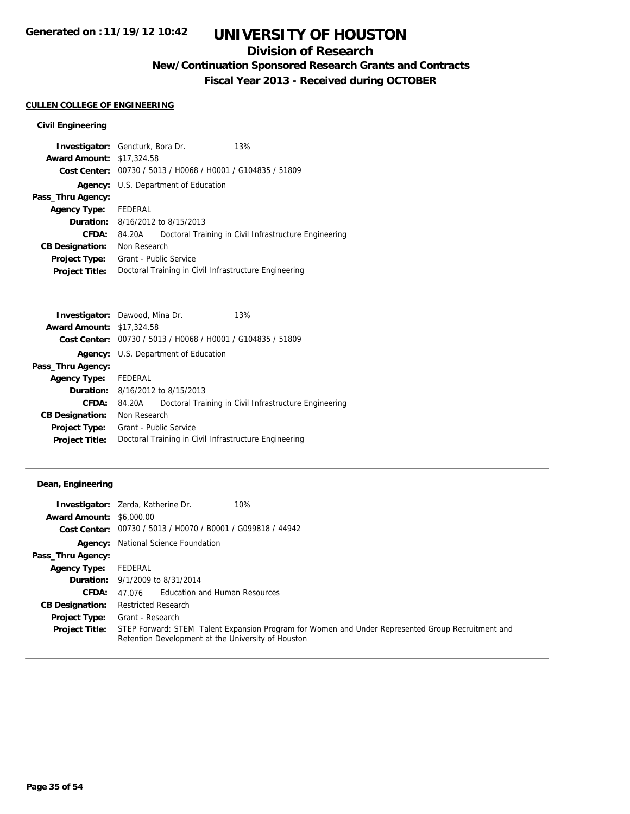### **Division of Research**

**New/Continuation Sponsored Research Grants and Contracts**

**Fiscal Year 2013 - Received during OCTOBER**

### **CULLEN COLLEGE OF ENGINEERING**

### **Civil Engineering**

| <b>Investigator:</b> Gencturk, Bora Dr. |                        |                                                             | 13%                                                   |
|-----------------------------------------|------------------------|-------------------------------------------------------------|-------------------------------------------------------|
| <b>Award Amount: \$17,324.58</b>        |                        |                                                             |                                                       |
|                                         |                        | Cost Center: 00730 / 5013 / H0068 / H0001 / G104835 / 51809 |                                                       |
|                                         |                        | <b>Agency:</b> U.S. Department of Education                 |                                                       |
| Pass_Thru Agency:                       |                        |                                                             |                                                       |
| <b>Agency Type:</b>                     | FEDERAL                |                                                             |                                                       |
|                                         |                        | <b>Duration:</b> 8/16/2012 to 8/15/2013                     |                                                       |
| CFDA:                                   | 84.20A                 |                                                             | Doctoral Training in Civil Infrastructure Engineering |
| <b>CB Designation:</b>                  | Non Research           |                                                             |                                                       |
| <b>Project Type:</b>                    | Grant - Public Service |                                                             |                                                       |
| <b>Project Title:</b>                   |                        |                                                             | Doctoral Training in Civil Infrastructure Engineering |

|         | 13%                                                                                                                                                                                                                                                                                                                                   |
|---------|---------------------------------------------------------------------------------------------------------------------------------------------------------------------------------------------------------------------------------------------------------------------------------------------------------------------------------------|
|         |                                                                                                                                                                                                                                                                                                                                       |
|         |                                                                                                                                                                                                                                                                                                                                       |
|         |                                                                                                                                                                                                                                                                                                                                       |
|         |                                                                                                                                                                                                                                                                                                                                       |
| FEDERAL |                                                                                                                                                                                                                                                                                                                                       |
|         |                                                                                                                                                                                                                                                                                                                                       |
| 84.20A  | Doctoral Training in Civil Infrastructure Engineering                                                                                                                                                                                                                                                                                 |
|         |                                                                                                                                                                                                                                                                                                                                       |
|         |                                                                                                                                                                                                                                                                                                                                       |
|         |                                                                                                                                                                                                                                                                                                                                       |
|         | <b>Investigator:</b> Dawood, Mina Dr.<br><b>Award Amount: \$17,324.58</b><br>Cost Center: 00730 / 5013 / H0068 / H0001 / G104835 / 51809<br><b>Agency:</b> U.S. Department of Education<br><b>Duration:</b> 8/16/2012 to 8/15/2013<br>Non Research<br>Grant - Public Service<br>Doctoral Training in Civil Infrastructure Engineering |

### **Dean, Engineering**

|                                 | 10%<br><b>Investigator:</b> Zerda, Katherine Dr.                                                                                                        |
|---------------------------------|---------------------------------------------------------------------------------------------------------------------------------------------------------|
| <b>Award Amount: \$6,000.00</b> |                                                                                                                                                         |
|                                 | Cost Center: $00730 / 5013 / 40070 / 80001 / 6099818 / 44942$                                                                                           |
|                                 | <b>Agency:</b> National Science Foundation                                                                                                              |
| Pass_Thru Agency:               |                                                                                                                                                         |
| <b>Agency Type:</b>             | FEDERAL                                                                                                                                                 |
|                                 | <b>Duration:</b> 9/1/2009 to 8/31/2014                                                                                                                  |
| CFDA:                           | 47.076 Education and Human Resources                                                                                                                    |
| <b>CB Designation:</b>          | <b>Restricted Research</b>                                                                                                                              |
| <b>Project Type:</b>            | Grant - Research                                                                                                                                        |
| <b>Project Title:</b>           | STEP Forward: STEM Talent Expansion Program for Women and Under Represented Group Recruitment and<br>Retention Development at the University of Houston |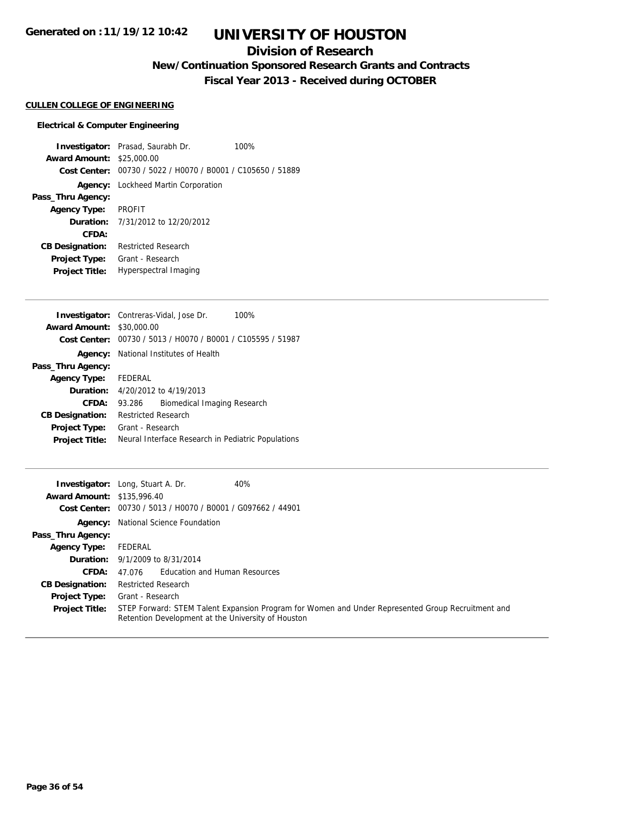### **Division of Research**

**New/Continuation Sponsored Research Grants and Contracts**

**Fiscal Year 2013 - Received during OCTOBER**

#### **CULLEN COLLEGE OF ENGINEERING**

#### **Electrical & Computer Engineering**

**Investigator:** Prasad, Saurabh Dr. 100% **Award Amount:** \$25,000.00 **Cost Center:** 00730 / 5022 / H0070 / B0001 / C105650 / 51889 **Agency:** Lockheed Martin Corporation **Pass\_Thru Agency: Agency Type:** PROFIT **Duration:** 7/31/2012 to 12/20/2012 **CFDA: CB Designation:** Restricted Research **Project Type:** Grant - Research **Project Title:** Hyperspectral Imaging

|                                  | <b>Investigator:</b> Contreras-Vidal, Jose Dr.<br>100%      |
|----------------------------------|-------------------------------------------------------------|
| <b>Award Amount: \$30,000.00</b> |                                                             |
|                                  | Cost Center: 00730 / 5013 / H0070 / B0001 / C105595 / 51987 |
|                                  | <b>Agency:</b> National Institutes of Health                |
| Pass_Thru Agency:                |                                                             |
| Agency Type: FEDERAL             |                                                             |
|                                  | <b>Duration:</b> 4/20/2012 to 4/19/2013                     |
| CFDA:                            | Biomedical Imaging Research<br>93.286                       |
| <b>CB Designation:</b>           | <b>Restricted Research</b>                                  |
| <b>Project Type:</b>             | Grant - Research                                            |
| <b>Project Title:</b>            | Neural Interface Research in Pediatric Populations          |

|                                   | 40%<br><b>Investigator:</b> Long, Stuart A. Dr.                                                                                                         |
|-----------------------------------|---------------------------------------------------------------------------------------------------------------------------------------------------------|
| <b>Award Amount: \$135,996.40</b> |                                                                                                                                                         |
|                                   | Cost Center: 00730 / 5013 / H0070 / B0001 / G097662 / 44901                                                                                             |
|                                   | <b>Agency:</b> National Science Foundation                                                                                                              |
| Pass_Thru Agency:                 |                                                                                                                                                         |
| <b>Agency Type:</b>               | FEDERAL                                                                                                                                                 |
|                                   | <b>Duration:</b> 9/1/2009 to 8/31/2014                                                                                                                  |
| <b>CFDA:</b>                      | 47.076 Education and Human Resources                                                                                                                    |
| <b>CB Designation:</b>            | <b>Restricted Research</b>                                                                                                                              |
| <b>Project Type:</b>              | Grant - Research                                                                                                                                        |
| <b>Project Title:</b>             | STEP Forward: STEM Talent Expansion Program for Women and Under Represented Group Recruitment and<br>Retention Development at the University of Houston |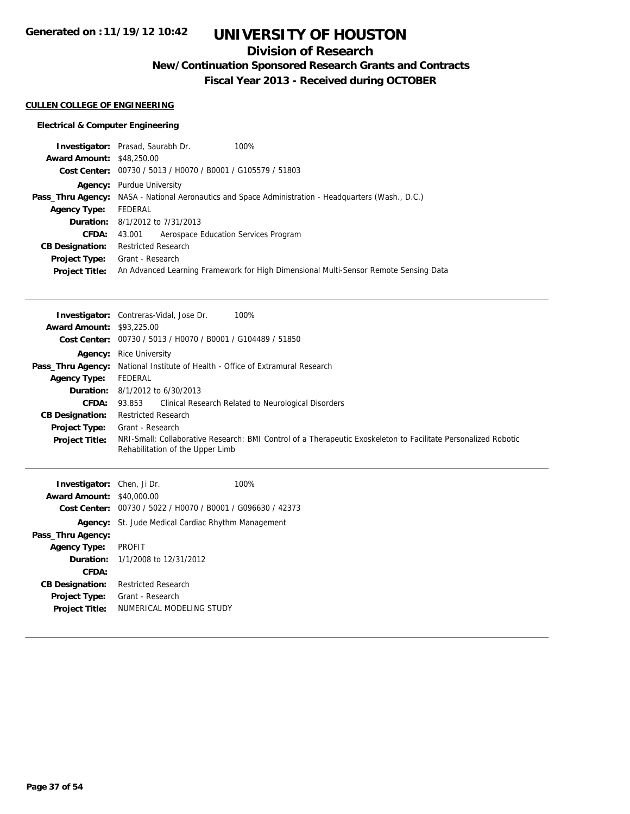## **Division of Research**

**New/Continuation Sponsored Research Grants and Contracts**

**Fiscal Year 2013 - Received during OCTOBER**

### **CULLEN COLLEGE OF ENGINEERING**

|                                  | <b>Investigator:</b> Prasad, Saurabh Dr.<br>100%                                                           |
|----------------------------------|------------------------------------------------------------------------------------------------------------|
| <b>Award Amount: \$48,250.00</b> |                                                                                                            |
|                                  | Cost Center: 00730 / 5013 / H0070 / B0001 / G105579 / 51803                                                |
|                                  | <b>Agency:</b> Purdue University                                                                           |
|                                  | <b>Pass_Thru Agency:</b> NASA - National Aeronautics and Space Administration - Headquarters (Wash., D.C.) |
| <b>Agency Type:</b>              | FEDERAL                                                                                                    |
|                                  | <b>Duration:</b> 8/1/2012 to 7/31/2013                                                                     |
| CFDA:                            | 43.001 Aerospace Education Services Program                                                                |
| <b>CB Designation:</b>           | <b>Restricted Research</b>                                                                                 |
| Project Type:                    | Grant - Research                                                                                           |
| <b>Project Title:</b>            | An Advanced Learning Framework for High Dimensional Multi-Sensor Remote Sensing Data                       |

|                                  | <b>Investigator:</b> Contreras-Vidal, Jose Dr.<br>100%                                                         |
|----------------------------------|----------------------------------------------------------------------------------------------------------------|
| <b>Award Amount: \$93,225.00</b> |                                                                                                                |
|                                  | Cost Center: 00730 / 5013 / H0070 / B0001 / G104489 / 51850                                                    |
|                                  | <b>Agency:</b> Rice University                                                                                 |
|                                  | <b>Pass_Thru Agency:</b> National Institute of Health - Office of Extramural Research                          |
| <b>Agency Type:</b>              | FEDERAL                                                                                                        |
|                                  | <b>Duration:</b> $8/1/2012$ to $6/30/2013$                                                                     |
| <b>CFDA:</b>                     | Clinical Research Related to Neurological Disorders<br>93.853                                                  |
| <b>CB Designation:</b>           | <b>Restricted Research</b>                                                                                     |
| <b>Project Type:</b>             | Grant - Research                                                                                               |
| <b>Project Title:</b>            | NRI-Small: Collaborative Research: BMI Control of a Therapeutic Exoskeleton to Facilitate Personalized Robotic |
|                                  | Rehabilitation of the Upper Limb                                                                               |
|                                  |                                                                                                                |

| Investigator: Chen, Ji Dr. |                                                             | 100% |
|----------------------------|-------------------------------------------------------------|------|
| <b>Award Amount:</b>       | \$40,000.00                                                 |      |
|                            | Cost Center: 00730 / 5022 / H0070 / B0001 / G096630 / 42373 |      |
|                            | <b>Agency:</b> St. Jude Medical Cardiac Rhythm Management   |      |
| Pass_Thru Agency:          |                                                             |      |
| <b>Agency Type:</b>        | <b>PROFIT</b>                                               |      |
|                            | <b>Duration:</b> $1/1/2008$ to $12/31/2012$                 |      |
| CFDA:                      |                                                             |      |
| <b>CB Designation:</b>     | <b>Restricted Research</b>                                  |      |
| <b>Project Type:</b>       | Grant - Research                                            |      |
| <b>Project Title:</b>      | NUMERICAL MODELING STUDY                                    |      |
|                            |                                                             |      |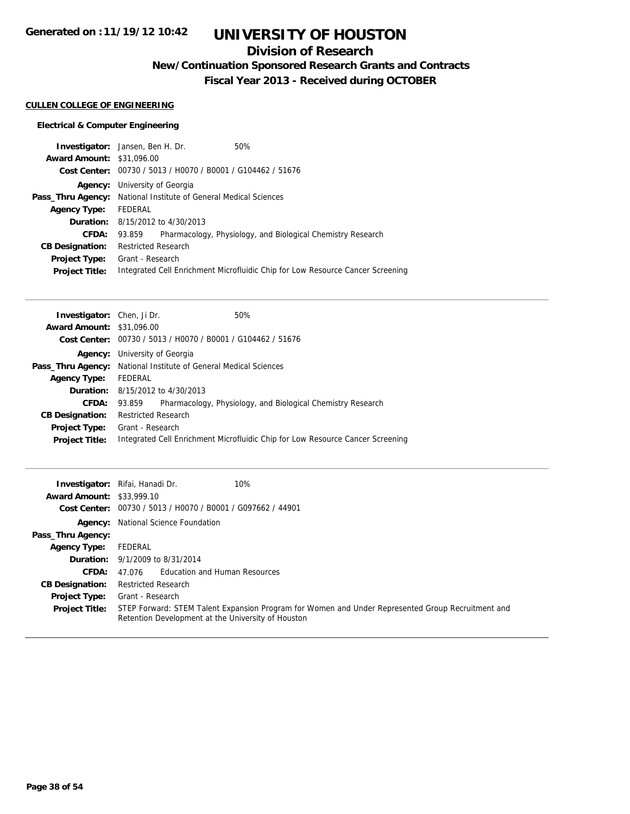### **Division of Research**

**New/Continuation Sponsored Research Grants and Contracts**

**Fiscal Year 2013 - Received during OCTOBER**

### **CULLEN COLLEGE OF ENGINEERING**

| <b>Investigator:</b> Jansen, Ben H. Dr. |                                                                         |  | 50%                                                                            |
|-----------------------------------------|-------------------------------------------------------------------------|--|--------------------------------------------------------------------------------|
| <b>Award Amount: \$31,096.00</b>        |                                                                         |  |                                                                                |
|                                         | Cost Center: 00730 / 5013 / H0070 / B0001 / G104462 / 51676             |  |                                                                                |
| Agency:                                 | University of Georgia                                                   |  |                                                                                |
|                                         | <b>Pass_Thru Agency:</b> National Institute of General Medical Sciences |  |                                                                                |
| <b>Agency Type:</b>                     | FEDERAL                                                                 |  |                                                                                |
|                                         | <b>Duration:</b> 8/15/2012 to 4/30/2013                                 |  |                                                                                |
| CFDA:                                   | 93.859                                                                  |  | Pharmacology, Physiology, and Biological Chemistry Research                    |
| <b>CB Designation:</b>                  | <b>Restricted Research</b>                                              |  |                                                                                |
| Project Type:                           | Grant - Research                                                        |  |                                                                                |
| <b>Project Title:</b>                   |                                                                         |  | Integrated Cell Enrichment Microfluidic Chip for Low Resource Cancer Screening |
|                                         |                                                                         |  |                                                                                |

| <b>Investigator:</b> Chen, Ji Dr. |                                                                         |  | 50%                                                                            |  |
|-----------------------------------|-------------------------------------------------------------------------|--|--------------------------------------------------------------------------------|--|
| <b>Award Amount: \$31,096.00</b>  |                                                                         |  |                                                                                |  |
|                                   | Cost Center: 00730 / 5013 / H0070 / B0001 / G104462 / 51676             |  |                                                                                |  |
| Agency:                           | University of Georgia                                                   |  |                                                                                |  |
|                                   | <b>Pass_Thru Agency:</b> National Institute of General Medical Sciences |  |                                                                                |  |
| <b>Agency Type:</b>               | FEDERAL                                                                 |  |                                                                                |  |
|                                   | <b>Duration:</b> 8/15/2012 to 4/30/2013                                 |  |                                                                                |  |
| CFDA:                             | 93.859                                                                  |  | Pharmacology, Physiology, and Biological Chemistry Research                    |  |
| <b>CB Designation:</b>            | <b>Restricted Research</b>                                              |  |                                                                                |  |
| <b>Project Type:</b>              | Grant - Research                                                        |  |                                                                                |  |
| <b>Project Title:</b>             |                                                                         |  | Integrated Cell Enrichment Microfluidic Chip for Low Resource Cancer Screening |  |
|                                   |                                                                         |  |                                                                                |  |

| <b>Award Amount: \$33,999.10</b><br>Cost Center: | 10%<br>Investigator: Rifai, Hanadi Dr.<br>00730 / 5013 / H0070 / B0001 / G097662 / 44901                                                                |
|--------------------------------------------------|---------------------------------------------------------------------------------------------------------------------------------------------------------|
|                                                  | <b>Agency:</b> National Science Foundation                                                                                                              |
| Pass_Thru Agency:                                |                                                                                                                                                         |
| <b>Agency Type:</b>                              | FEDERAL                                                                                                                                                 |
|                                                  | <b>Duration:</b> 9/1/2009 to 8/31/2014                                                                                                                  |
| CFDA:                                            | 47.076 Education and Human Resources                                                                                                                    |
| <b>CB Designation:</b>                           | <b>Restricted Research</b>                                                                                                                              |
| <b>Project Type:</b>                             | Grant - Research                                                                                                                                        |
| <b>Project Title:</b>                            | STEP Forward: STEM Talent Expansion Program for Women and Under Represented Group Recruitment and<br>Retention Development at the University of Houston |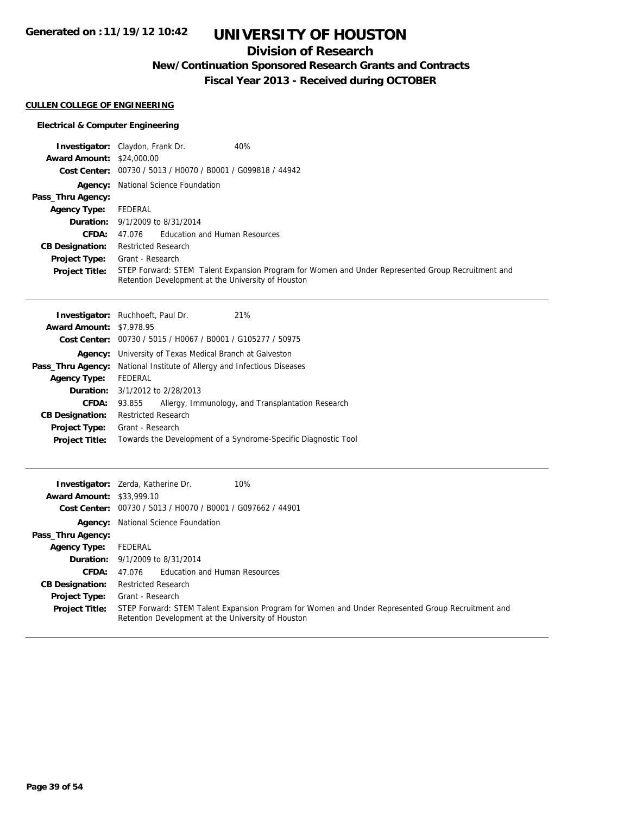### **Division of Research**

**New/Continuation Sponsored Research Grants and Contracts**

**Fiscal Year 2013 - Received during OCTOBER**

### **CULLEN COLLEGE OF ENGINEERING**

|                                  | 40%<br><b>Investigator:</b> Claydon, Frank Dr.                                                                                                          |
|----------------------------------|---------------------------------------------------------------------------------------------------------------------------------------------------------|
| <b>Award Amount: \$24,000.00</b> |                                                                                                                                                         |
|                                  | Cost Center: 00730 / 5013 / H0070 / B0001 / G099818 / 44942                                                                                             |
|                                  | <b>Agency:</b> National Science Foundation                                                                                                              |
| Pass_Thru Agency:                |                                                                                                                                                         |
| <b>Agency Type:</b>              | FEDERAL                                                                                                                                                 |
|                                  | <b>Duration:</b> 9/1/2009 to 8/31/2014                                                                                                                  |
| CFDA:                            | 47.076 Education and Human Resources                                                                                                                    |
| <b>CB Designation:</b>           | <b>Restricted Research</b>                                                                                                                              |
| <b>Project Type:</b>             | Grant - Research                                                                                                                                        |
| <b>Project Title:</b>            | STEP Forward: STEM Talent Expansion Program for Women and Under Represented Group Recruitment and<br>Retention Development at the University of Houston |

| <b>Investigator:</b> Ruchhoeft, Paul Dr. |                            |                                                 | 21%                                                                  |
|------------------------------------------|----------------------------|-------------------------------------------------|----------------------------------------------------------------------|
| <b>Award Amount: \$7,978.95</b>          |                            |                                                 |                                                                      |
|                                          |                            |                                                 | <b>Cost Center:</b> $00730 / 5015 / 10067 / 80001 / 6105277 / 50975$ |
| Agency:                                  |                            | University of Texas Medical Branch at Galveston |                                                                      |
| Pass_Thru Agency:                        |                            |                                                 | National Institute of Allergy and Infectious Diseases                |
| <b>Agency Type:</b>                      | FEDERAL                    |                                                 |                                                                      |
| Duration:                                | 3/1/2012 to 2/28/2013      |                                                 |                                                                      |
| CFDA:                                    | 93.855                     |                                                 | Allergy, Immunology, and Transplantation Research                    |
| <b>CB Designation:</b>                   | <b>Restricted Research</b> |                                                 |                                                                      |
| <b>Project Type:</b>                     | Grant - Research           |                                                 |                                                                      |
| <b>Project Title:</b>                    |                            |                                                 | Towards the Development of a Syndrome-Specific Diagnostic Tool       |
|                                          |                            |                                                 |                                                                      |

| <b>Award Amount: \$33,999.10</b> | 10%<br><b>Investigator:</b> Zerda, Katherine Dr.                                                                                                        |
|----------------------------------|---------------------------------------------------------------------------------------------------------------------------------------------------------|
|                                  |                                                                                                                                                         |
|                                  | Cost Center: 00730 / 5013 / H0070 / B0001 / G097662 / 44901                                                                                             |
|                                  | <b>Agency:</b> National Science Foundation                                                                                                              |
| Pass_Thru Agency:                |                                                                                                                                                         |
| <b>Agency Type:</b>              | FEDERAL                                                                                                                                                 |
|                                  | <b>Duration:</b> 9/1/2009 to 8/31/2014                                                                                                                  |
| CFDA:                            | 47.076 Education and Human Resources                                                                                                                    |
| <b>CB Designation:</b>           | <b>Restricted Research</b>                                                                                                                              |
| <b>Project Type:</b>             | Grant - Research                                                                                                                                        |
| <b>Project Title:</b>            | STEP Forward: STEM Talent Expansion Program for Women and Under Represented Group Recruitment and<br>Retention Development at the University of Houston |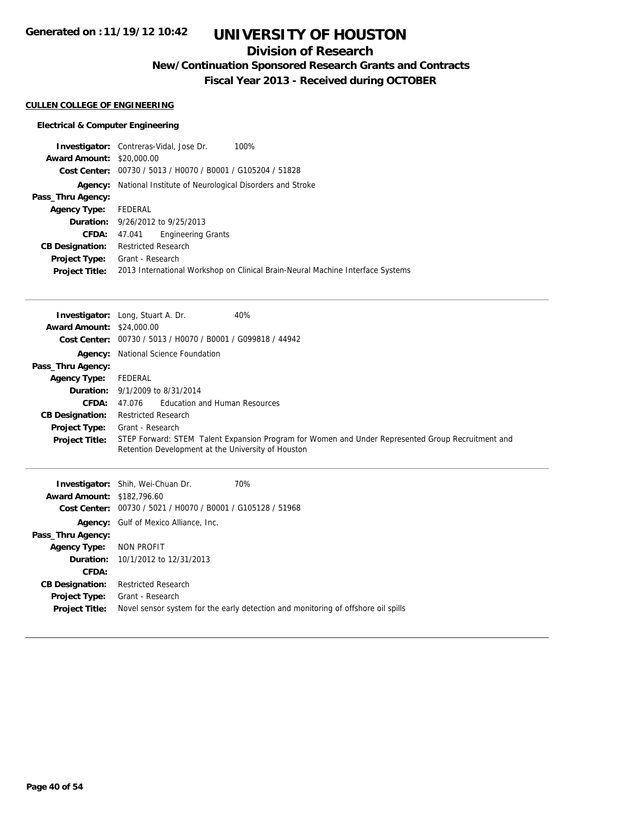### **Division of Research**

**New/Continuation Sponsored Research Grants and Contracts**

**Fiscal Year 2013 - Received during OCTOBER**

#### **CULLEN COLLEGE OF ENGINEERING**

### **Electrical & Computer Engineering**

|                                  | 100%<br><b>Investigator:</b> Contreras-Vidal, Jose Dr.                         |  |  |
|----------------------------------|--------------------------------------------------------------------------------|--|--|
| <b>Award Amount: \$20,000.00</b> |                                                                                |  |  |
| Cost Center:                     | 00730 / 5013 / H0070 / B0001 / G105204 / 51828                                 |  |  |
| Agency:                          | National Institute of Neurological Disorders and Stroke                        |  |  |
| Pass_Thru Agency:                |                                                                                |  |  |
| <b>Agency Type:</b>              | FEDERAL                                                                        |  |  |
|                                  | <b>Duration:</b> 9/26/2012 to 9/25/2013                                        |  |  |
| CFDA:                            | <b>Engineering Grants</b><br>47.041                                            |  |  |
| <b>CB Designation:</b>           | <b>Restricted Research</b>                                                     |  |  |
| <b>Project Type:</b>             | Grant - Research                                                               |  |  |
| <b>Project Title:</b>            | 2013 International Workshop on Clinical Brain-Neural Machine Interface Systems |  |  |

| <b>Award Amount: \$24,000.00</b>  | 40%<br><b>Investigator:</b> Long, Stuart A. Dr.                                                                                                         |  |
|-----------------------------------|---------------------------------------------------------------------------------------------------------------------------------------------------------|--|
|                                   | Cost Center: 00730 / 5013 / H0070 / B0001 / G099818 / 44942                                                                                             |  |
|                                   | <b>Agency:</b> National Science Foundation                                                                                                              |  |
| Pass_Thru Agency:                 |                                                                                                                                                         |  |
| <b>Agency Type:</b>               | FEDERAL                                                                                                                                                 |  |
|                                   | <b>Duration:</b> 9/1/2009 to 8/31/2014                                                                                                                  |  |
| CFDA:                             | Education and Human Resources<br>47.076                                                                                                                 |  |
| <b>CB Designation:</b>            | <b>Restricted Research</b>                                                                                                                              |  |
| <b>Project Type:</b>              | Grant - Research                                                                                                                                        |  |
| <b>Project Title:</b>             | STEP Forward: STEM Talent Expansion Program for Women and Under Represented Group Recruitment and<br>Retention Development at the University of Houston |  |
|                                   |                                                                                                                                                         |  |
|                                   | <b>Investigator:</b> Shih, Wei-Chuan Dr.<br>70%                                                                                                         |  |
| <b>Award Amount: \$182,796.60</b> |                                                                                                                                                         |  |
|                                   | Cost Center: 00730 / 5021 / H0070 / B0001 / G105128 / 51968                                                                                             |  |
|                                   | <b>Agency:</b> Gulf of Mexico Alliance, Inc.                                                                                                            |  |
| Pass_Thru Agency:                 |                                                                                                                                                         |  |
| <b>Agency Type:</b>               | NON PROFIT                                                                                                                                              |  |
| Duration:                         | 10/1/2012 to 12/31/2013                                                                                                                                 |  |
| CFDA:                             |                                                                                                                                                         |  |
| <b>CB Designation:</b>            | <b>Restricted Research</b>                                                                                                                              |  |

Project Title: Novel sensor system for the early detection and monitoring of offshore oil spills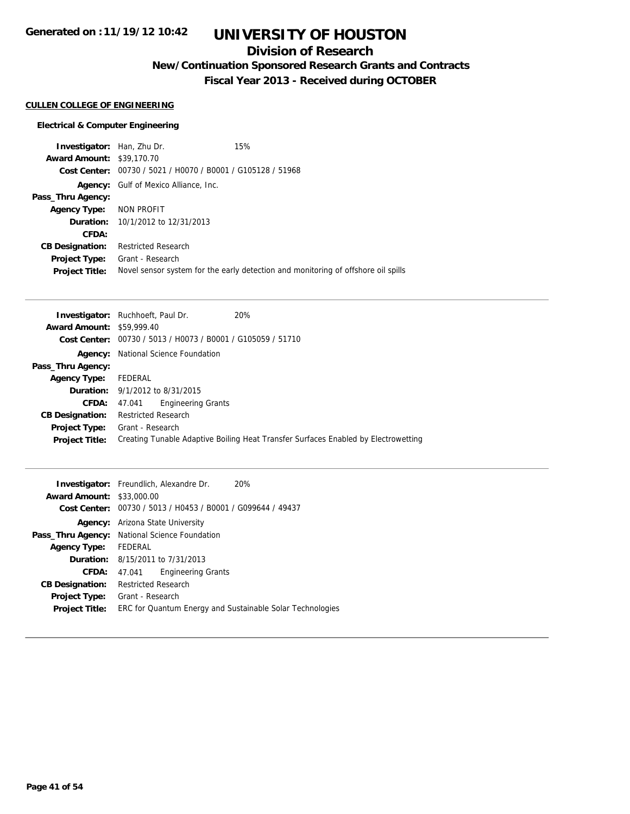**Generated on :11/19/12 10:42**

## **UNIVERSITY OF HOUSTON**

### **Division of Research**

**New/Continuation Sponsored Research Grants and Contracts**

**Fiscal Year 2013 - Received during OCTOBER**

#### **CULLEN COLLEGE OF ENGINEERING**

#### **Electrical & Computer Engineering**

**Investigator:** Han, Zhu Dr. 15% **Award Amount:** \$39,170.70 **Cost Center:** 00730 / 5021 / H0070 / B0001 / G105128 / 51968 **Agency:** Gulf of Mexico Alliance, Inc. **Pass\_Thru Agency: Agency Type:** NON PROFIT **Duration:** 10/1/2012 to 12/31/2013 **CFDA: CB Designation:** Restricted Research **Project Type:** Grant - Research **Project Title:** Novel sensor system for the early detection and monitoring of offshore oil spills

|                                  | 20%<br><b>Investigator:</b> Ruchhoeft, Paul Dr.                                    |
|----------------------------------|------------------------------------------------------------------------------------|
| <b>Award Amount: \$59,999.40</b> |                                                                                    |
|                                  | Cost Center: 00730 / 5013 / H0073 / B0001 / G105059 / 51710                        |
| Agency:                          | National Science Foundation                                                        |
| Pass_Thru Agency:                |                                                                                    |
| <b>Agency Type:</b>              | FEDERAL                                                                            |
|                                  | <b>Duration:</b> 9/1/2012 to 8/31/2015                                             |
| CFDA:                            | <b>Engineering Grants</b><br>47.041                                                |
| <b>CB Designation:</b>           | <b>Restricted Research</b>                                                         |
| Project Type:                    | Grant - Research                                                                   |
| <b>Project Title:</b>            | Creating Tunable Adaptive Boiling Heat Transfer Surfaces Enabled by Electrowetting |

|                                  | <b>Investigator:</b> Freundlich, Alexandre Dr.              | 20% |
|----------------------------------|-------------------------------------------------------------|-----|
| <b>Award Amount: \$33,000.00</b> |                                                             |     |
|                                  | Cost Center: 00730 / 5013 / H0453 / B0001 / G099644 / 49437 |     |
| Agency:                          | Arizona State University                                    |     |
|                                  | Pass_Thru Agency: National Science Foundation               |     |
| Agency Type:                     | FEDERAL                                                     |     |
|                                  | <b>Duration:</b> 8/15/2011 to 7/31/2013                     |     |
| <b>CFDA:</b>                     | <b>Engineering Grants</b><br>47.041                         |     |
| <b>CB Designation:</b>           | <b>Restricted Research</b>                                  |     |
| Project Type:                    | Grant - Research                                            |     |
| <b>Project Title:</b>            | ERC for Quantum Energy and Sustainable Solar Technologies   |     |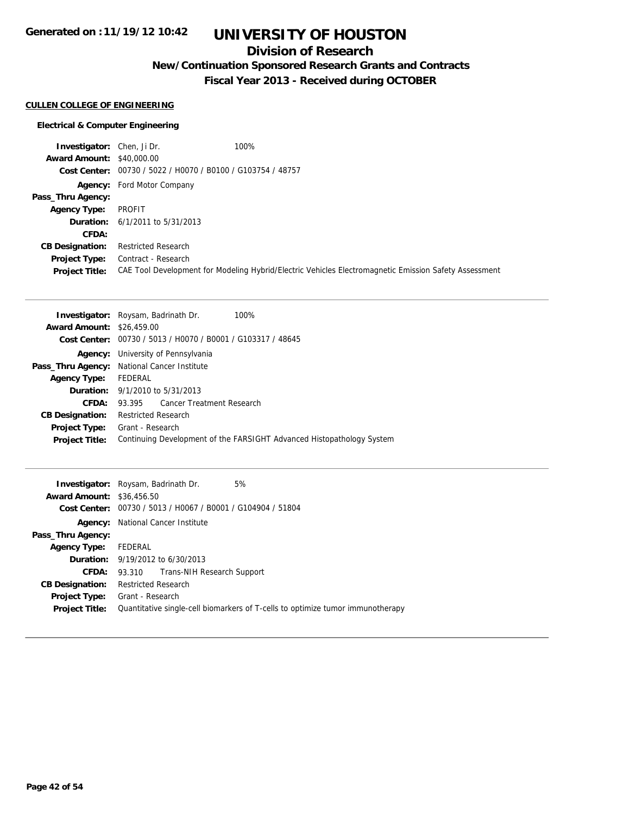### **Division of Research**

**New/Continuation Sponsored Research Grants and Contracts**

**Fiscal Year 2013 - Received during OCTOBER**

### **CULLEN COLLEGE OF ENGINEERING**

| <b>Investigator:</b> Chen, Ji Dr. | 100%                                                        |                                                                                                       |
|-----------------------------------|-------------------------------------------------------------|-------------------------------------------------------------------------------------------------------|
| <b>Award Amount: \$40,000.00</b>  |                                                             |                                                                                                       |
|                                   | Cost Center: 00730 / 5022 / H0070 / B0100 / G103754 / 48757 |                                                                                                       |
|                                   | <b>Agency:</b> Ford Motor Company                           |                                                                                                       |
| Pass_Thru Agency:                 |                                                             |                                                                                                       |
| <b>Agency Type:</b>               | PROFIT                                                      |                                                                                                       |
|                                   | <b>Duration:</b> $6/1/2011$ to $5/31/2013$                  |                                                                                                       |
| CFDA:                             |                                                             |                                                                                                       |
| <b>CB Designation:</b>            | <b>Restricted Research</b>                                  |                                                                                                       |
| Project Type:                     | Contract - Research                                         |                                                                                                       |
| <b>Project Title:</b>             |                                                             | CAE Tool Development for Modeling Hybrid/Electric Vehicles Electromagnetic Emission Safety Assessment |

|                                  | <b>Investigator:</b> Roysam, Badrinath Dr.<br>100%                    |
|----------------------------------|-----------------------------------------------------------------------|
| <b>Award Amount: \$26,459.00</b> |                                                                       |
|                                  | Cost Center: 00730 / 5013 / H0070 / B0001 / G103317 / 48645           |
|                                  | <b>Agency:</b> University of Pennsylvania                             |
|                                  | <b>Pass_Thru Agency:</b> National Cancer Institute                    |
| <b>Agency Type:</b>              | FEDERAL                                                               |
|                                  | <b>Duration:</b> 9/1/2010 to 5/31/2013                                |
| CFDA:                            | Cancer Treatment Research<br>93.395                                   |
| <b>CB Designation:</b>           | <b>Restricted Research</b>                                            |
| <b>Project Type:</b>             | Grant - Research                                                      |
| <b>Project Title:</b>            | Continuing Development of the FARSIGHT Advanced Histopathology System |
|                                  |                                                                       |

| <b>Investigator:</b> Roysam, Badrinath Dr. |                                         |                                                             | 5%                                                                             |
|--------------------------------------------|-----------------------------------------|-------------------------------------------------------------|--------------------------------------------------------------------------------|
| <b>Award Amount: \$36,456.50</b>           |                                         |                                                             |                                                                                |
|                                            |                                         | Cost Center: 00730 / 5013 / H0067 / B0001 / G104904 / 51804 |                                                                                |
| Agency:                                    | National Cancer Institute               |                                                             |                                                                                |
| Pass_Thru Agency:                          |                                         |                                                             |                                                                                |
| <b>Agency Type:</b>                        | FEDERAL                                 |                                                             |                                                                                |
|                                            | <b>Duration:</b> 9/19/2012 to 6/30/2013 |                                                             |                                                                                |
| <b>CFDA:</b>                               |                                         | 93.310 Trans-NIH Research Support                           |                                                                                |
| <b>CB Designation:</b>                     | <b>Restricted Research</b>              |                                                             |                                                                                |
| <b>Project Type:</b>                       | Grant - Research                        |                                                             |                                                                                |
| <b>Project Title:</b>                      |                                         |                                                             | Quantitative single-cell biomarkers of T-cells to optimize tumor immunotherapy |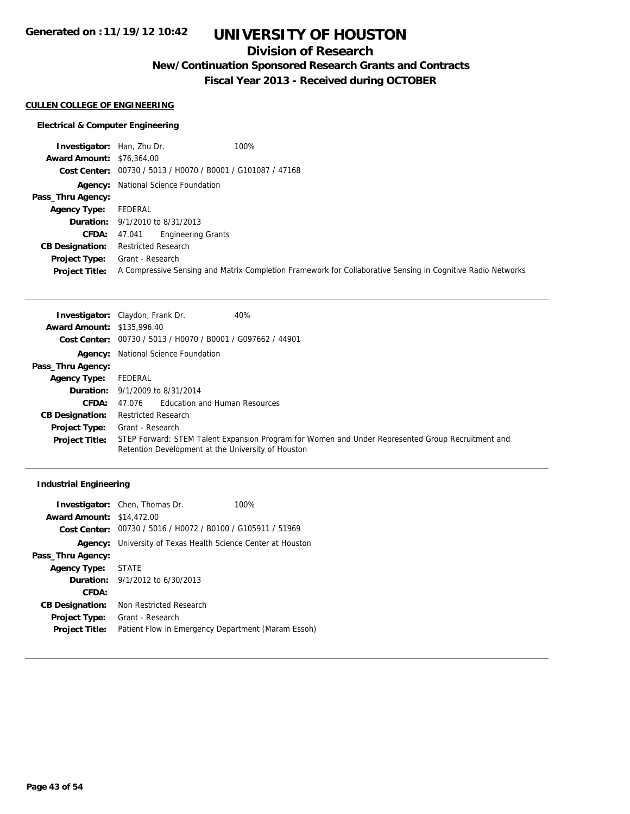### **Division of Research**

**New/Continuation Sponsored Research Grants and Contracts**

**Fiscal Year 2013 - Received during OCTOBER**

#### **CULLEN COLLEGE OF ENGINEERING**

### **Electrical & Computer Engineering**

| <b>Investigator:</b> Han, Zhu Dr. | 100%                                                                                                        |
|-----------------------------------|-------------------------------------------------------------------------------------------------------------|
| <b>Award Amount: \$76,364.00</b>  |                                                                                                             |
|                                   | Cost Center: 00730 / 5013 / H0070 / B0001 / G101087 / 47168                                                 |
|                                   | <b>Agency:</b> National Science Foundation                                                                  |
| Pass_Thru Agency:                 |                                                                                                             |
| <b>Agency Type:</b>               | FEDERAL                                                                                                     |
|                                   | <b>Duration:</b> 9/1/2010 to 8/31/2013                                                                      |
| <b>CFDA:</b>                      | <b>Engineering Grants</b><br>47.041                                                                         |
| <b>CB Designation:</b>            | <b>Restricted Research</b>                                                                                  |
| <b>Project Type:</b>              | Grant - Research                                                                                            |
| <b>Project Title:</b>             | A Compressive Sensing and Matrix Completion Framework for Collaborative Sensing in Cognitive Radio Networks |

|                                   | 40%<br><b>Investigator:</b> Claydon, Frank Dr.                                                                                                          |
|-----------------------------------|---------------------------------------------------------------------------------------------------------------------------------------------------------|
| <b>Award Amount: \$135,996.40</b> |                                                                                                                                                         |
|                                   | Cost Center: 00730 / 5013 / H0070 / B0001 / G097662 / 44901                                                                                             |
|                                   | <b>Agency:</b> National Science Foundation                                                                                                              |
| Pass_Thru Agency:                 |                                                                                                                                                         |
| <b>Agency Type:</b>               | FEDERAL                                                                                                                                                 |
|                                   | <b>Duration:</b> 9/1/2009 to 8/31/2014                                                                                                                  |
| <b>CFDA:</b>                      | <b>Education and Human Resources</b><br>47.076                                                                                                          |
| <b>CB Designation:</b>            | <b>Restricted Research</b>                                                                                                                              |
| <b>Project Type:</b>              | Grant - Research                                                                                                                                        |
| <b>Project Title:</b>             | STEP Forward: STEM Talent Expansion Program for Women and Under Represented Group Recruitment and<br>Retention Development at the University of Houston |

### **Industrial Engineering**

|                                  | <b>Investigator:</b> Chen, Thomas Dr.                       | 100% |
|----------------------------------|-------------------------------------------------------------|------|
| <b>Award Amount: \$14,472.00</b> |                                                             |      |
|                                  | Cost Center: 00730 / 5016 / H0072 / B0100 / G105911 / 51969 |      |
| Agency:                          | University of Texas Health Science Center at Houston        |      |
| Pass_Thru Agency:                |                                                             |      |
| <b>Agency Type:</b>              | STATE                                                       |      |
|                                  | <b>Duration:</b> $9/1/2012$ to $6/30/2013$                  |      |
| CFDA:                            |                                                             |      |
| <b>CB Designation:</b>           | Non Restricted Research                                     |      |
| <b>Project Type:</b>             | Grant - Research                                            |      |
| <b>Project Title:</b>            | Patient Flow in Emergency Department (Maram Essoh)          |      |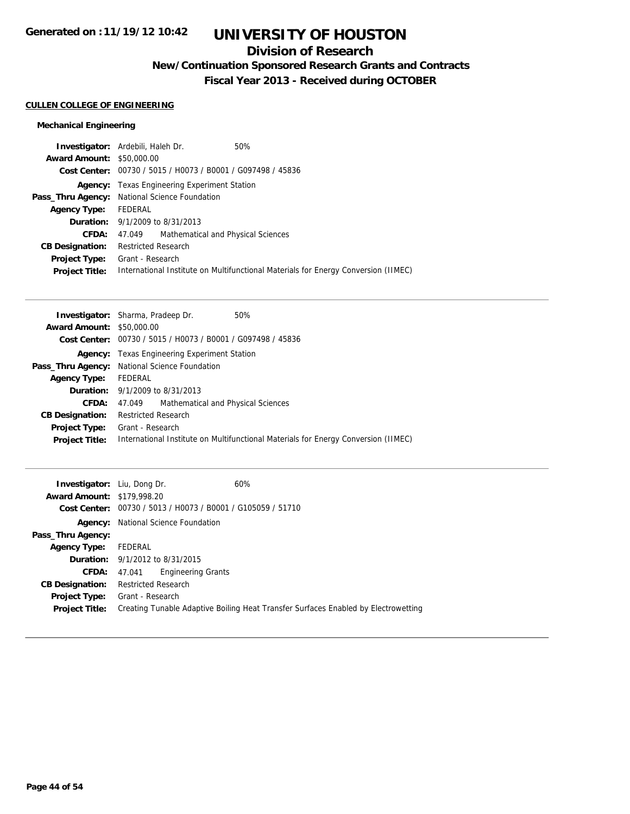### **Division of Research**

**New/Continuation Sponsored Research Grants and Contracts**

**Fiscal Year 2013 - Received during OCTOBER**

### **CULLEN COLLEGE OF ENGINEERING**

### **Mechanical Engineering**

|                                  | <b>Investigator:</b> Ardebili, Haleh Dr.                    | 50%                                                                                |
|----------------------------------|-------------------------------------------------------------|------------------------------------------------------------------------------------|
| <b>Award Amount: \$50,000.00</b> |                                                             |                                                                                    |
|                                  | Cost Center: 00730 / 5015 / H0073 / B0001 / G097498 / 45836 |                                                                                    |
|                                  | <b>Agency:</b> Texas Engineering Experiment Station         |                                                                                    |
|                                  | <b>Pass_Thru Agency:</b> National Science Foundation        |                                                                                    |
| <b>Agency Type:</b>              | FEDERAL                                                     |                                                                                    |
|                                  | <b>Duration:</b> 9/1/2009 to 8/31/2013                      |                                                                                    |
| <b>CFDA:</b>                     | 47.049 Mathematical and Physical Sciences                   |                                                                                    |
| <b>CB Designation:</b>           | <b>Restricted Research</b>                                  |                                                                                    |
|                                  | <b>Project Type:</b> Grant - Research                       |                                                                                    |
| <b>Project Title:</b>            |                                                             | International Institute on Multifunctional Materials for Energy Conversion (IIMEC) |
|                                  |                                                             |                                                                                    |

| <b>Award Amount: \$50,000.00</b><br>Cost Center: 00730 / 5015 / H0073 / B0001 / G097498 / 45836<br><b>Agency:</b> Texas Engineering Experiment Station<br>Pass_Thru Agency: National Science Foundation<br>FEDERAL<br><b>Agency Type:</b> |  |
|-------------------------------------------------------------------------------------------------------------------------------------------------------------------------------------------------------------------------------------------|--|
|                                                                                                                                                                                                                                           |  |
|                                                                                                                                                                                                                                           |  |
|                                                                                                                                                                                                                                           |  |
|                                                                                                                                                                                                                                           |  |
|                                                                                                                                                                                                                                           |  |
| <b>Duration:</b> $9/1/2009$ to $8/31/2013$                                                                                                                                                                                                |  |
| CFDA:<br>Mathematical and Physical Sciences<br>47.049                                                                                                                                                                                     |  |
| <b>Restricted Research</b><br><b>CB Designation:</b>                                                                                                                                                                                      |  |
| Grant - Research<br><b>Project Type:</b>                                                                                                                                                                                                  |  |
| International Institute on Multifunctional Materials for Energy Conversion (IIMEC)<br><b>Project Title:</b>                                                                                                                               |  |

| <b>Investigator:</b> Liu, Dong Dr.<br><b>Award Amount: \$179,998.20</b> | 60%<br>Cost Center: 00730 / 5013 / H0073 / B0001 / G105059 / 51710                                     |
|-------------------------------------------------------------------------|--------------------------------------------------------------------------------------------------------|
|                                                                         | <b>Agency:</b> National Science Foundation                                                             |
| Pass_Thru Agency:                                                       |                                                                                                        |
| <b>Agency Type:</b>                                                     | FEDERAL                                                                                                |
|                                                                         | <b>Duration:</b> 9/1/2012 to 8/31/2015                                                                 |
|                                                                         | Engineering Grants<br><b>CFDA:</b> 47.041                                                              |
| <b>CB Designation:</b>                                                  | <b>Restricted Research</b>                                                                             |
| <b>Project Type:</b><br><b>Project Title:</b>                           | Grant - Research<br>Creating Tunable Adaptive Boiling Heat Transfer Surfaces Enabled by Electrowetting |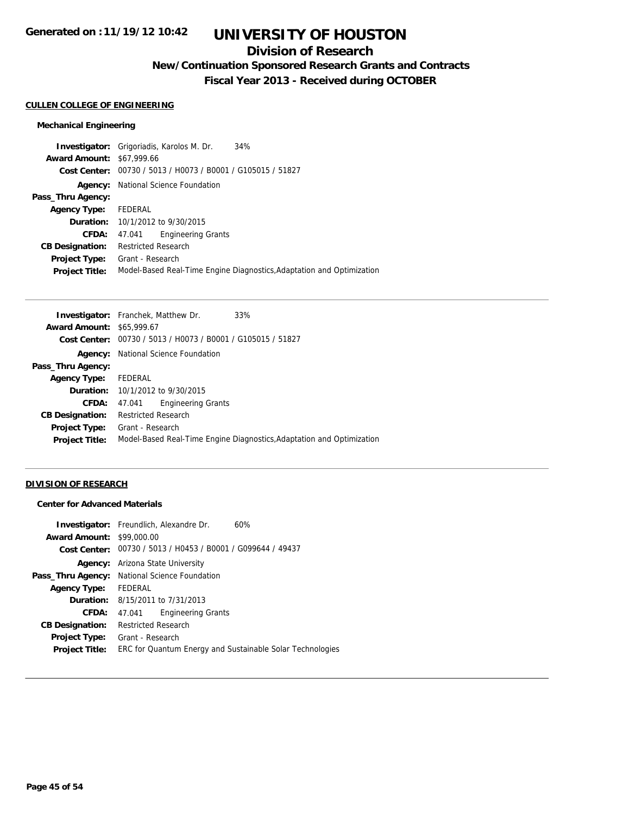### **Division of Research**

**New/Continuation Sponsored Research Grants and Contracts**

**Fiscal Year 2013 - Received during OCTOBER**

#### **CULLEN COLLEGE OF ENGINEERING**

### **Mechanical Engineering**

|                                  | <b>Investigator:</b> Grigoriadis, Karolos M. Dr.<br>34%               |
|----------------------------------|-----------------------------------------------------------------------|
| <b>Award Amount: \$67,999.66</b> |                                                                       |
|                                  | Cost Center: 00730 / 5013 / H0073 / B0001 / G105015 / 51827           |
| Agency:                          | National Science Foundation                                           |
| Pass_Thru Agency:                |                                                                       |
| <b>Agency Type:</b>              | FEDERAL                                                               |
|                                  | <b>Duration:</b> $10/1/2012$ to $9/30/2015$                           |
| CFDA:                            | <b>Engineering Grants</b><br>47.041                                   |
| <b>CB Designation:</b>           | <b>Restricted Research</b>                                            |
| Project Type:                    | Grant - Research                                                      |
| <b>Project Title:</b>            | Model-Based Real-Time Engine Diagnostics, Adaptation and Optimization |

|                                  | <b>Investigator:</b> Franchek, Matthew Dr.                  | 33%                                                                   |
|----------------------------------|-------------------------------------------------------------|-----------------------------------------------------------------------|
| <b>Award Amount: \$65,999.67</b> |                                                             |                                                                       |
|                                  | Cost Center: 00730 / 5013 / H0073 / B0001 / G105015 / 51827 |                                                                       |
|                                  | <b>Agency:</b> National Science Foundation                  |                                                                       |
| Pass_Thru Agency:                |                                                             |                                                                       |
| Agency Type:                     | FEDERAL                                                     |                                                                       |
|                                  | <b>Duration:</b> 10/1/2012 to 9/30/2015                     |                                                                       |
| <b>CFDA:</b>                     | <b>Engineering Grants</b><br>47.041                         |                                                                       |
| <b>CB Designation:</b>           | <b>Restricted Research</b>                                  |                                                                       |
| <b>Project Type:</b>             | Grant - Research                                            |                                                                       |
| <b>Project Title:</b>            |                                                             | Model-Based Real-Time Engine Diagnostics, Adaptation and Optimization |
|                                  |                                                             |                                                                       |

### **DIVISION OF RESEARCH**

### **Center for Advanced Materials**

|                        | <b>Investigator:</b> Freundlich, Alexandre Dr.<br>60%       |
|------------------------|-------------------------------------------------------------|
| <b>Award Amount:</b>   | \$99,000.00                                                 |
|                        | Cost Center: 00730 / 5013 / H0453 / B0001 / G099644 / 49437 |
|                        | <b>Agency:</b> Arizona State University                     |
|                        | Pass_Thru Agency: National Science Foundation               |
| <b>Agency Type:</b>    | FEDERAL                                                     |
|                        | <b>Duration:</b> $8/15/2011$ to $7/31/2013$                 |
| CFDA:                  | <b>Engineering Grants</b><br>47.041                         |
| <b>CB Designation:</b> | <b>Restricted Research</b>                                  |
| Project Type:          | Grant - Research                                            |
| <b>Project Title:</b>  | ERC for Quantum Energy and Sustainable Solar Technologies   |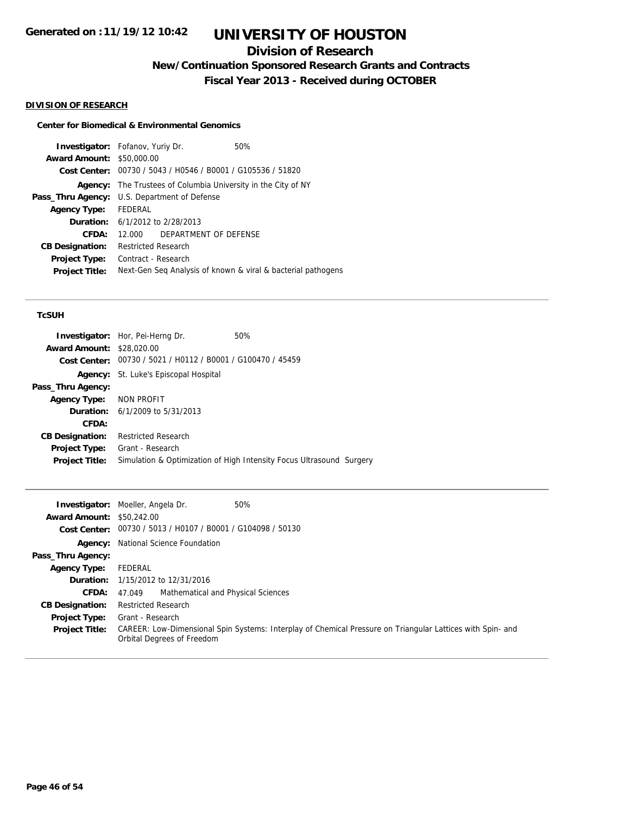## **Division of Research**

**New/Continuation Sponsored Research Grants and Contracts**

**Fiscal Year 2013 - Received during OCTOBER**

### **DIVISION OF RESEARCH**

### **Center for Biomedical & Environmental Genomics**

|                        | <b>Investigator:</b> Fofanov, Yuriy Dr.                     | 50%                                                          |
|------------------------|-------------------------------------------------------------|--------------------------------------------------------------|
| <b>Award Amount:</b>   | \$50,000.00                                                 |                                                              |
|                        | Cost Center: 00730 / 5043 / H0546 / B0001 / G105536 / 51820 |                                                              |
| Agency:                |                                                             | The Trustees of Columbia University in the City of NY        |
| Pass_Thru Agency:      | U.S. Department of Defense                                  |                                                              |
| <b>Agency Type:</b>    | FEDERAL                                                     |                                                              |
|                        | <b>Duration:</b> 6/1/2012 to 2/28/2013                      |                                                              |
| CFDA:                  | DEPARTMENT OF DEFENSE<br>12.000                             |                                                              |
| <b>CB Designation:</b> | <b>Restricted Research</b>                                  |                                                              |
| <b>Project Type:</b>   | Contract - Research                                         |                                                              |
| <b>Project Title:</b>  |                                                             | Next-Gen Seq Analysis of known & viral & bacterial pathogens |

#### **TcSUH**

|                                  | <b>Investigator:</b> Hor, Pei-Herng Dr.                              | 50% |  |
|----------------------------------|----------------------------------------------------------------------|-----|--|
| <b>Award Amount: \$28,020.00</b> |                                                                      |     |  |
|                                  | Cost Center: 00730 / 5021 / H0112 / B0001 / G100470 / 45459          |     |  |
|                                  | <b>Agency:</b> St. Luke's Episcopal Hospital                         |     |  |
| Pass_Thru Agency:                |                                                                      |     |  |
| Agency Type: NON PROFIT          |                                                                      |     |  |
|                                  | <b>Duration:</b> $6/1/2009$ to $5/31/2013$                           |     |  |
| CFDA:                            |                                                                      |     |  |
| <b>CB Designation:</b>           | <b>Restricted Research</b>                                           |     |  |
| <b>Project Type:</b>             | Grant - Research                                                     |     |  |
| <b>Project Title:</b>            | Simulation & Optimization of High Intensity Focus Ultrasound Surgery |     |  |
|                                  |                                                                      |     |  |

|                                  | 50%<br><b>Investigator:</b> Moeller, Angela Dr.                                                                                          |
|----------------------------------|------------------------------------------------------------------------------------------------------------------------------------------|
| <b>Award Amount: \$50,242.00</b> |                                                                                                                                          |
|                                  | Cost Center: 00730 / 5013 / H0107 / B0001 / G104098 / 50130                                                                              |
|                                  | <b>Agency:</b> National Science Foundation                                                                                               |
| Pass_Thru Agency:                |                                                                                                                                          |
| <b>Agency Type:</b>              | FEDERAL                                                                                                                                  |
|                                  | <b>Duration:</b> 1/15/2012 to 12/31/2016                                                                                                 |
| <b>CFDA:</b>                     | Mathematical and Physical Sciences<br>47.049                                                                                             |
| <b>CB Designation:</b>           | <b>Restricted Research</b>                                                                                                               |
| <b>Project Type:</b>             | Grant - Research                                                                                                                         |
| <b>Project Title:</b>            | CAREER: Low-Dimensional Spin Systems: Interplay of Chemical Pressure on Triangular Lattices with Spin- and<br>Orbital Degrees of Freedom |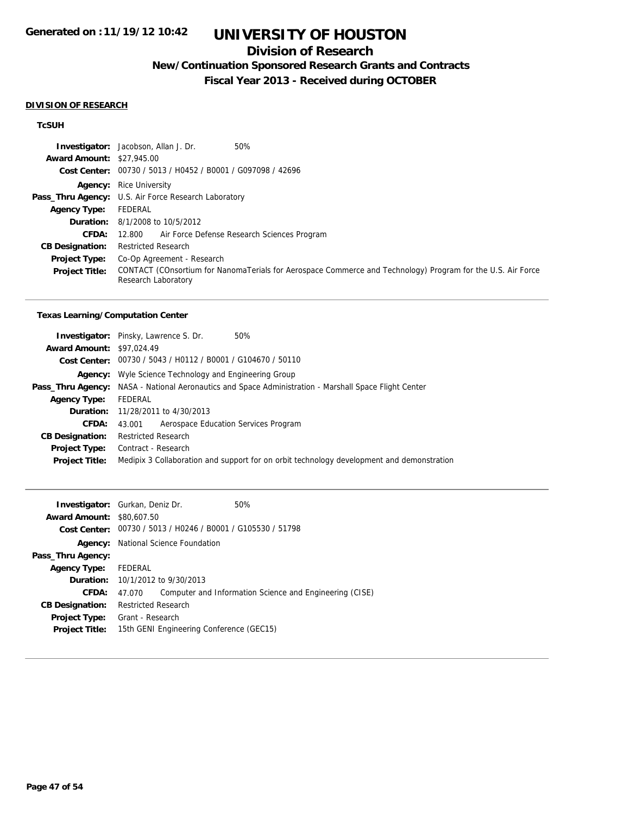### **Division of Research**

## **New/Continuation Sponsored Research Grants and Contracts**

**Fiscal Year 2013 - Received during OCTOBER**

#### **DIVISION OF RESEARCH**

### **TcSUH**

|                                  | 50%<br><b>Investigator:</b> Jacobson, Allan J. Dr.                                                                                 |  |
|----------------------------------|------------------------------------------------------------------------------------------------------------------------------------|--|
| <b>Award Amount: \$27,945.00</b> |                                                                                                                                    |  |
|                                  | Cost Center: 00730 / 5013 / H0452 / B0001 / G097098 / 42696                                                                        |  |
|                                  | <b>Agency:</b> Rice University                                                                                                     |  |
|                                  | Pass_Thru Agency: U.S. Air Force Research Laboratory                                                                               |  |
| <b>Agency Type:</b>              | FEDERAL                                                                                                                            |  |
|                                  | <b>Duration:</b> 8/1/2008 to 10/5/2012                                                                                             |  |
|                                  | Air Force Defense Research Sciences Program<br><b>CFDA: 12.800</b>                                                                 |  |
| <b>CB Designation:</b>           | <b>Restricted Research</b>                                                                                                         |  |
| Project Type:                    | Co-Op Agreement - Research                                                                                                         |  |
| <b>Project Title:</b>            | CONTACT (COnsortium for NanomaTerials for Aerospace Commerce and Technology) Program for the U.S. Air Force<br>Research Laboratory |  |

#### **Texas Learning/Computation Center**

|                                  | <b>Investigator:</b> Pinsky, Lawrence S. Dr.<br>50%                                                          |
|----------------------------------|--------------------------------------------------------------------------------------------------------------|
| <b>Award Amount: \$97,024.49</b> |                                                                                                              |
|                                  | Cost Center: 00730 / 5043 / H0112 / B0001 / G104670 / 50110                                                  |
|                                  | <b>Agency:</b> Wyle Science Technology and Engineering Group                                                 |
|                                  | <b>Pass_Thru Agency:</b> NASA - National Aeronautics and Space Administration - Marshall Space Flight Center |
| <b>Agency Type:</b>              | FEDERAL                                                                                                      |
|                                  | <b>Duration:</b> 11/28/2011 to 4/30/2013                                                                     |
| <b>CFDA:</b>                     | Aerospace Education Services Program<br>43.001                                                               |
| <b>CB Designation:</b>           | <b>Restricted Research</b>                                                                                   |
| Project Type:                    | Contract - Research                                                                                          |
| <b>Project Title:</b>            | Medipix 3 Collaboration and support for on orbit technology development and demonstration                    |
|                                  |                                                                                                              |

|                      | 50%                                                                                                                                                                                                                                                                                                                        |
|----------------------|----------------------------------------------------------------------------------------------------------------------------------------------------------------------------------------------------------------------------------------------------------------------------------------------------------------------------|
|                      |                                                                                                                                                                                                                                                                                                                            |
|                      |                                                                                                                                                                                                                                                                                                                            |
|                      |                                                                                                                                                                                                                                                                                                                            |
|                      |                                                                                                                                                                                                                                                                                                                            |
| Agency Type: FEDERAL |                                                                                                                                                                                                                                                                                                                            |
|                      |                                                                                                                                                                                                                                                                                                                            |
| 47.070               | Computer and Information Science and Engineering (CISE)                                                                                                                                                                                                                                                                    |
|                      |                                                                                                                                                                                                                                                                                                                            |
|                      |                                                                                                                                                                                                                                                                                                                            |
|                      |                                                                                                                                                                                                                                                                                                                            |
|                      | <b>Investigator:</b> Gurkan, Deniz Dr.<br><b>Award Amount: \$80,607.50</b><br><b>Cost Center:</b> $00730 / 5013 / 40246 / 80001 / 6105530 / 51798$<br>National Science Foundation<br><b>Duration:</b> 10/1/2012 to 9/30/2013<br><b>Restricted Research</b><br>Grant - Research<br>15th GENI Engineering Conference (GEC15) |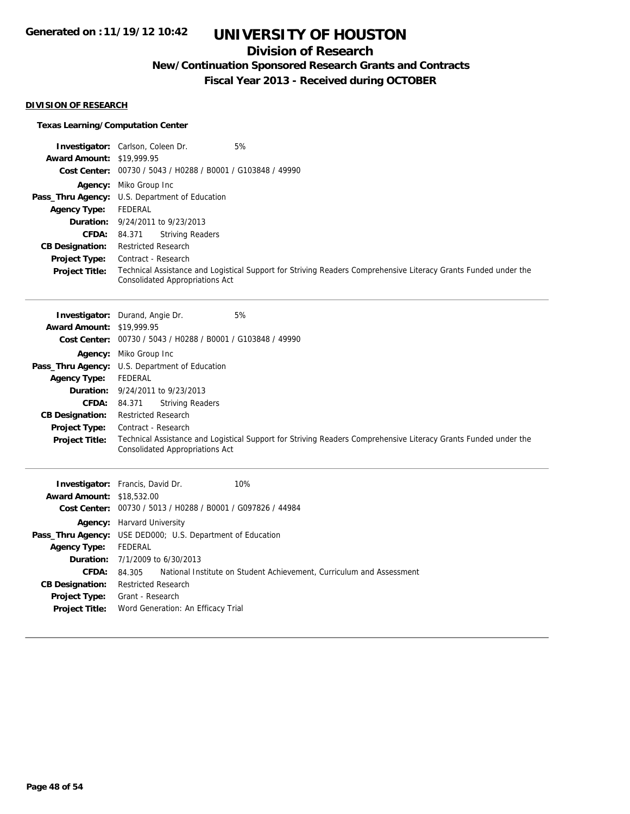### **Division of Research**

**New/Continuation Sponsored Research Grants and Contracts**

**Fiscal Year 2013 - Received during OCTOBER**

### **DIVISION OF RESEARCH**

### **Texas Learning/Computation Center**

|                                  | 5%<br><b>Investigator:</b> Carlson, Coleen Dr.                                                                                                            |
|----------------------------------|-----------------------------------------------------------------------------------------------------------------------------------------------------------|
| <b>Award Amount: \$19,999.95</b> |                                                                                                                                                           |
|                                  | Cost Center: 00730 / 5043 / H0288 / B0001 / G103848 / 49990                                                                                               |
|                                  | <b>Agency:</b> Miko Group Inc                                                                                                                             |
|                                  | <b>Pass_Thru Agency:</b> U.S. Department of Education                                                                                                     |
| Agency Type:                     | FEDERAL                                                                                                                                                   |
|                                  | <b>Duration:</b> 9/24/2011 to 9/23/2013                                                                                                                   |
| <b>CFDA:</b>                     | <b>Striving Readers</b><br>84.371                                                                                                                         |
| <b>CB Designation:</b>           | <b>Restricted Research</b>                                                                                                                                |
| <b>Project Type:</b>             | Contract - Research                                                                                                                                       |
| <b>Project Title:</b>            | Technical Assistance and Logistical Support for Striving Readers Comprehensive Literacy Grants Funded under the<br><b>Consolidated Appropriations Act</b> |

|                                  | 5%<br><b>Investigator:</b> Durand, Angie Dr.                                                                                                              |
|----------------------------------|-----------------------------------------------------------------------------------------------------------------------------------------------------------|
| <b>Award Amount: \$19,999.95</b> |                                                                                                                                                           |
|                                  | Cost Center: 00730 / 5043 / H0288 / B0001 / G103848 / 49990                                                                                               |
|                                  | <b>Agency:</b> Miko Group Inc                                                                                                                             |
|                                  | Pass_Thru Agency: U.S. Department of Education                                                                                                            |
| <b>Agency Type:</b>              | FEDERAL                                                                                                                                                   |
|                                  | <b>Duration:</b> 9/24/2011 to 9/23/2013                                                                                                                   |
| <b>CFDA:</b>                     | <b>Striving Readers</b><br>84.371                                                                                                                         |
| <b>CB Designation:</b>           | <b>Restricted Research</b>                                                                                                                                |
| <b>Project Type:</b>             | Contract - Research                                                                                                                                       |
| <b>Project Title:</b>            | Technical Assistance and Logistical Support for Striving Readers Comprehensive Literacy Grants Funded under the<br><b>Consolidated Appropriations Act</b> |

|                                  | 10%<br><b>Investigator:</b> Francis, David Dr.                                 |
|----------------------------------|--------------------------------------------------------------------------------|
| <b>Award Amount: \$18,532.00</b> |                                                                                |
|                                  | Cost Center: 00730 / 5013 / H0288 / B0001 / G097826 / 44984                    |
|                                  | <b>Agency:</b> Harvard University                                              |
|                                  | <b>Pass_Thru Agency:</b> USE DED000; U.S. Department of Education              |
| <b>Agency Type:</b>              | FEDERAL                                                                        |
|                                  | <b>Duration:</b> $7/1/2009$ to $6/30/2013$                                     |
| CFDA:                            | National Institute on Student Achievement, Curriculum and Assessment<br>84.305 |
| <b>CB Designation:</b>           | <b>Restricted Research</b>                                                     |
| <b>Project Type:</b>             | Grant - Research                                                               |
| <b>Project Title:</b>            | Word Generation: An Efficacy Trial                                             |
|                                  |                                                                                |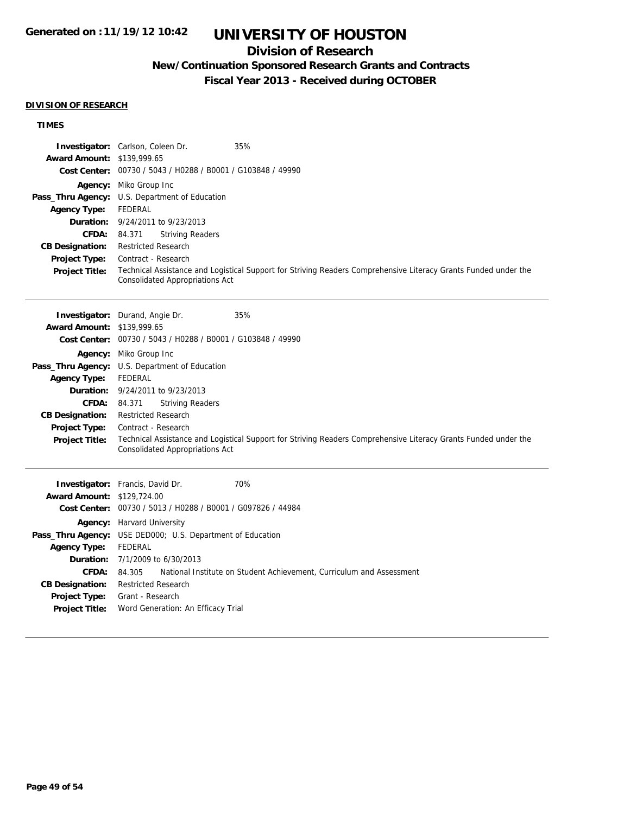### **Division of Research**

### **New/Continuation Sponsored Research Grants and Contracts**

**Fiscal Year 2013 - Received during OCTOBER**

#### **DIVISION OF RESEARCH**

### **TIMES**

|                                   | <b>Investigator:</b> Carlson, Coleen Dr.                    | 35%                                                                                                             |
|-----------------------------------|-------------------------------------------------------------|-----------------------------------------------------------------------------------------------------------------|
| <b>Award Amount: \$139,999.65</b> |                                                             |                                                                                                                 |
|                                   | Cost Center: 00730 / 5043 / H0288 / B0001 / G103848 / 49990 |                                                                                                                 |
|                                   | <b>Agency:</b> Miko Group Inc                               |                                                                                                                 |
|                                   | Pass_Thru Agency: U.S. Department of Education              |                                                                                                                 |
| <b>Agency Type:</b>               | FEDERAL                                                     |                                                                                                                 |
|                                   | <b>Duration:</b> 9/24/2011 to 9/23/2013                     |                                                                                                                 |
| <b>CFDA: 84.371</b>               | <b>Striving Readers</b>                                     |                                                                                                                 |
| <b>CB Designation:</b>            | <b>Restricted Research</b>                                  |                                                                                                                 |
| <b>Project Type:</b>              | Contract - Research                                         |                                                                                                                 |
| <b>Project Title:</b>             | <b>Consolidated Appropriations Act</b>                      | Technical Assistance and Logistical Support for Striving Readers Comprehensive Literacy Grants Funded under the |
|                                   | <b>Investigator:</b> Durand, Angle Dr.                      | 35%                                                                                                             |
| <b>Award Amount: \$139,999.65</b> |                                                             |                                                                                                                 |
|                                   | Cost Center: 00730 / 5043 / H0288 / B0001 / G103848 / 49990 |                                                                                                                 |
|                                   | <b>Agency:</b> Miko Group Inc                               |                                                                                                                 |
|                                   |                                                             |                                                                                                                 |

**Pass\_Thru Agency:** U.S. Department of Education **Agency Type:** FEDERAL **Duration:** 9/24/2011 to 9/23/2013 **CFDA:** 84.371 Striving Readers **CB Designation:** Restricted Research **Project Type:** Contract - Research **Project Title:** Technical Assistance and Logistical Support for Striving Readers Comprehensive Literacy Grants Funded under the Consolidated Appropriations Act

|                                   | <b>Investigator:</b> Francis, David Dr.<br>70%                              |
|-----------------------------------|-----------------------------------------------------------------------------|
| <b>Award Amount: \$129,724.00</b> |                                                                             |
|                                   | Cost Center: 00730 / 5013 / H0288 / B0001 / G097826 / 44984                 |
|                                   | <b>Agency:</b> Harvard University                                           |
|                                   | <b>Pass_Thru Agency:</b> USE DED000; U.S. Department of Education           |
| <b>Agency Type:</b>               | FEDERAL                                                                     |
|                                   | <b>Duration:</b> $7/1/2009$ to $6/30/2013$                                  |
| <b>CFDA:</b>                      | 84.305 National Institute on Student Achievement, Curriculum and Assessment |
| <b>CB Designation:</b>            | <b>Restricted Research</b>                                                  |
| <b>Project Title:</b>             | <b>Project Type:</b> Grant - Research<br>Word Generation: An Efficacy Trial |
|                                   |                                                                             |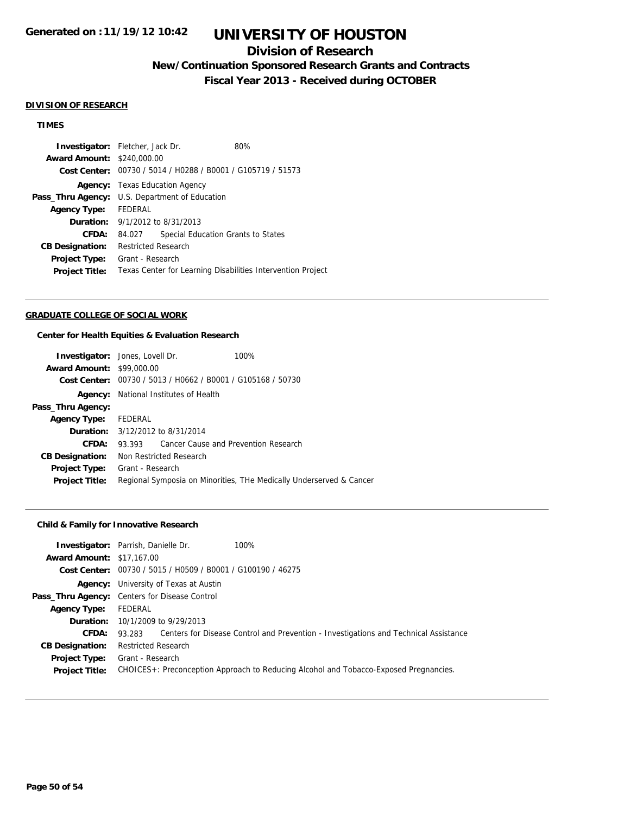### **Division of Research**

**New/Continuation Sponsored Research Grants and Contracts**

**Fiscal Year 2013 - Received during OCTOBER**

#### **DIVISION OF RESEARCH**

### **TIMES**

|                                                             |  | 80%                                                                                                                            |                                                                                                                                             |
|-------------------------------------------------------------|--|--------------------------------------------------------------------------------------------------------------------------------|---------------------------------------------------------------------------------------------------------------------------------------------|
|                                                             |  |                                                                                                                                |                                                                                                                                             |
| Cost Center: 00730 / 5014 / H0288 / B0001 / G105719 / 51573 |  |                                                                                                                                |                                                                                                                                             |
| <b>Agency:</b> Texas Education Agency                       |  |                                                                                                                                |                                                                                                                                             |
| <b>Pass_Thru Agency:</b> U.S. Department of Education       |  |                                                                                                                                |                                                                                                                                             |
| Agency Type: FEDERAL                                        |  |                                                                                                                                |                                                                                                                                             |
|                                                             |  |                                                                                                                                |                                                                                                                                             |
| 84.027                                                      |  |                                                                                                                                |                                                                                                                                             |
|                                                             |  |                                                                                                                                |                                                                                                                                             |
| Project Type:                                               |  |                                                                                                                                |                                                                                                                                             |
|                                                             |  |                                                                                                                                |                                                                                                                                             |
|                                                             |  | <b>Investigator:</b> Fletcher, Jack Dr.<br><b>Award Amount: \$240,000.00</b><br><b>Restricted Research</b><br>Grant - Research | <b>Duration:</b> 9/1/2012 to 8/31/2013<br>Special Education Grants to States<br>Texas Center for Learning Disabilities Intervention Project |

#### **GRADUATE COLLEGE OF SOCIAL WORK**

#### **Center for Health Equities & Evaluation Research**

|                                  | <b>Investigator:</b> Jones, Lovell Dr.                      |  | 100%                                                                |
|----------------------------------|-------------------------------------------------------------|--|---------------------------------------------------------------------|
| <b>Award Amount: \$99,000.00</b> |                                                             |  |                                                                     |
|                                  | Cost Center: 00730 / 5013 / H0662 / B0001 / G105168 / 50730 |  |                                                                     |
|                                  | <b>Agency:</b> National Institutes of Health                |  |                                                                     |
| Pass_Thru Agency:                |                                                             |  |                                                                     |
| Agency Type:                     | FEDERAL                                                     |  |                                                                     |
|                                  | <b>Duration:</b> 3/12/2012 to 8/31/2014                     |  |                                                                     |
| CFDA:                            | 93.393                                                      |  | Cancer Cause and Prevention Research                                |
| <b>CB Designation:</b>           | Non Restricted Research                                     |  |                                                                     |
| Project Type:                    | Grant - Research                                            |  |                                                                     |
| <b>Project Title:</b>            |                                                             |  | Regional Symposia on Minorities, THe Medically Underserved & Cancer |

### **Child & Family for Innovative Research**

|         | 100%                                                                                                                                                                                                                                                                                                                         |
|---------|------------------------------------------------------------------------------------------------------------------------------------------------------------------------------------------------------------------------------------------------------------------------------------------------------------------------------|
|         |                                                                                                                                                                                                                                                                                                                              |
|         |                                                                                                                                                                                                                                                                                                                              |
| Agency: |                                                                                                                                                                                                                                                                                                                              |
|         |                                                                                                                                                                                                                                                                                                                              |
| FEDERAL |                                                                                                                                                                                                                                                                                                                              |
|         |                                                                                                                                                                                                                                                                                                                              |
| 93.283  | Centers for Disease Control and Prevention - Investigations and Technical Assistance                                                                                                                                                                                                                                         |
|         |                                                                                                                                                                                                                                                                                                                              |
|         |                                                                                                                                                                                                                                                                                                                              |
|         | CHOICES+: Preconception Approach to Reducing Alcohol and Tobacco-Exposed Pregnancies.                                                                                                                                                                                                                                        |
|         | <b>Investigator:</b> Parrish, Danielle Dr.<br><b>Award Amount: \$17,167.00</b><br>Cost Center: 00730 / 5015 / H0509 / B0001 / G100190 / 46275<br>University of Texas at Austin<br>Pass_Thru Agency: Centers for Disease Control<br><b>Duration:</b> 10/1/2009 to 9/29/2013<br><b>Restricted Research</b><br>Grant - Research |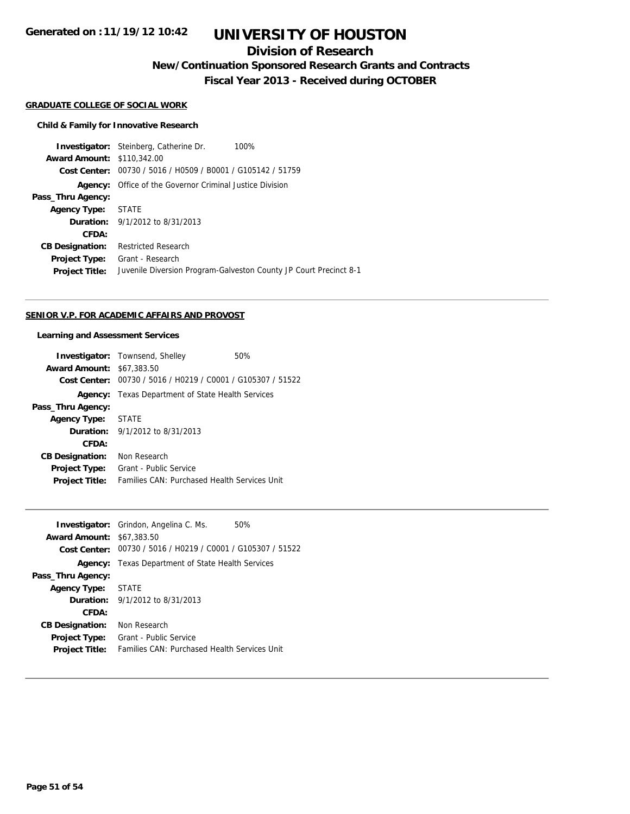**Generated on :11/19/12 10:42**

## **UNIVERSITY OF HOUSTON**

### **Division of Research**

**New/Continuation Sponsored Research Grants and Contracts**

**Fiscal Year 2013 - Received during OCTOBER**

#### **GRADUATE COLLEGE OF SOCIAL WORK**

#### **Child & Family for Innovative Research**

**Investigator:** Steinberg, Catherine Dr. 100% **Award Amount:** \$110,342.00 **Cost Center:** 00730 / 5016 / H0509 / B0001 / G105142 / 51759 **Agency:** Office of the Governor Criminal Justice Division **Pass\_Thru Agency: Agency Type:** STATE **Duration:** 9/1/2012 to 8/31/2013 **CFDA: CB Designation:** Restricted Research **Project Type:** Grant - Research **Project Title:** Juvenile Diversion Program-Galveston County JP Court Precinct 8-1

#### **SENIOR V.P. FOR ACADEMIC AFFAIRS AND PROVOST**

#### **Learning and Assessment Services**

| <b>Investigator:</b> Townsend, Shelley                      | 50% |
|-------------------------------------------------------------|-----|
| <b>Award Amount: \$67,383.50</b>                            |     |
| Cost Center: 00730 / 5016 / H0219 / C0001 / G105307 / 51522 |     |
| <b>Agency:</b> Texas Department of State Health Services    |     |
|                                                             |     |
| Agency Type: STATE                                          |     |
| <b>Duration:</b> 9/1/2012 to 8/31/2013                      |     |
|                                                             |     |
| Non Research                                                |     |
| Grant - Public Service                                      |     |
| Families CAN: Purchased Health Services Unit                |     |
|                                                             |     |

|                                  | <b>Investigator:</b> Grindon, Angelina C. Ms.               | 50% |
|----------------------------------|-------------------------------------------------------------|-----|
| <b>Award Amount: \$67,383.50</b> |                                                             |     |
|                                  | Cost Center: 00730 / 5016 / H0219 / C0001 / G105307 / 51522 |     |
|                                  | <b>Agency:</b> Texas Department of State Health Services    |     |
| Pass_Thru Agency:                |                                                             |     |
| <b>Agency Type:</b>              | <b>STATE</b>                                                |     |
|                                  | <b>Duration:</b> 9/1/2012 to 8/31/2013                      |     |
| CFDA:                            |                                                             |     |
| <b>CB Designation:</b>           | Non Research                                                |     |
| Project Type:                    | Grant - Public Service                                      |     |
| <b>Project Title:</b>            | Families CAN: Purchased Health Services Unit                |     |
|                                  |                                                             |     |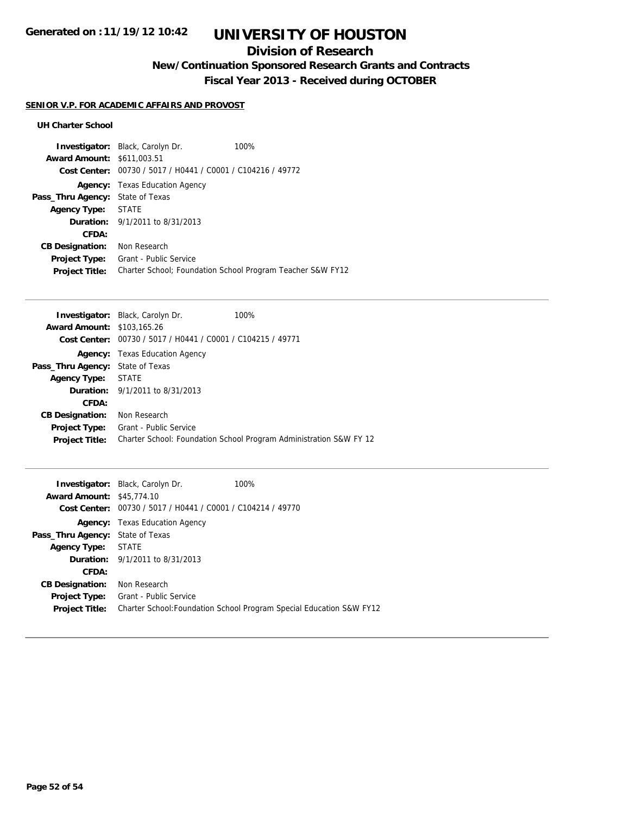### **Division of Research**

**New/Continuation Sponsored Research Grants and Contracts**

**Fiscal Year 2013 - Received during OCTOBER**

### **SENIOR V.P. FOR ACADEMIC AFFAIRS AND PROVOST**

### **UH Charter School**

|                                   | <b>Investigator:</b> Black, Carolyn Dr.                     | 100%                                                       |
|-----------------------------------|-------------------------------------------------------------|------------------------------------------------------------|
| <b>Award Amount: \$611,003.51</b> |                                                             |                                                            |
|                                   | Cost Center: 00730 / 5017 / H0441 / C0001 / C104216 / 49772 |                                                            |
|                                   | <b>Agency:</b> Texas Education Agency                       |                                                            |
| Pass_Thru Agency:                 | State of Texas                                              |                                                            |
| Agency Type: STATE                |                                                             |                                                            |
|                                   | <b>Duration:</b> 9/1/2011 to 8/31/2013                      |                                                            |
| CFDA:                             |                                                             |                                                            |
| <b>CB Designation:</b>            | Non Research                                                |                                                            |
| Project Type:                     | Grant - Public Service                                      |                                                            |
| <b>Project Title:</b>             |                                                             | Charter School; Foundation School Program Teacher S&W FY12 |

| <b>Investigator:</b> Black, Carolyn Dr.                     | 100%                                                               |
|-------------------------------------------------------------|--------------------------------------------------------------------|
| <b>Award Amount: \$103,165.26</b>                           |                                                                    |
| Cost Center: 00730 / 5017 / H0441 / C0001 / C104215 / 49771 |                                                                    |
| <b>Agency:</b> Texas Education Agency                       |                                                                    |
| <b>Pass_Thru Agency:</b> State of Texas                     |                                                                    |
| Agency Type: STATE                                          |                                                                    |
| <b>Duration:</b> 9/1/2011 to 8/31/2013                      |                                                                    |
|                                                             |                                                                    |
| Non Research                                                |                                                                    |
| Grant - Public Service                                      |                                                                    |
|                                                             | Charter School: Foundation School Program Administration S&W FY 12 |
|                                                             |                                                                    |

|                                  | <b>Investigator:</b> Black, Carolyn Dr.                     | 100%                                                                 |
|----------------------------------|-------------------------------------------------------------|----------------------------------------------------------------------|
| <b>Award Amount: \$45,774.10</b> |                                                             |                                                                      |
|                                  | Cost Center: 00730 / 5017 / H0441 / C0001 / C104214 / 49770 |                                                                      |
|                                  | <b>Agency:</b> Texas Education Agency                       |                                                                      |
| Pass_Thru Agency:                | State of Texas                                              |                                                                      |
| <b>Agency Type:</b>              | STATE                                                       |                                                                      |
|                                  | <b>Duration:</b> 9/1/2011 to 8/31/2013                      |                                                                      |
| CFDA:                            |                                                             |                                                                      |
| <b>CB Designation:</b>           | Non Research                                                |                                                                      |
| <b>Project Type:</b>             | Grant - Public Service                                      |                                                                      |
| <b>Project Title:</b>            |                                                             | Charter School: Foundation School Program Special Education S&W FY12 |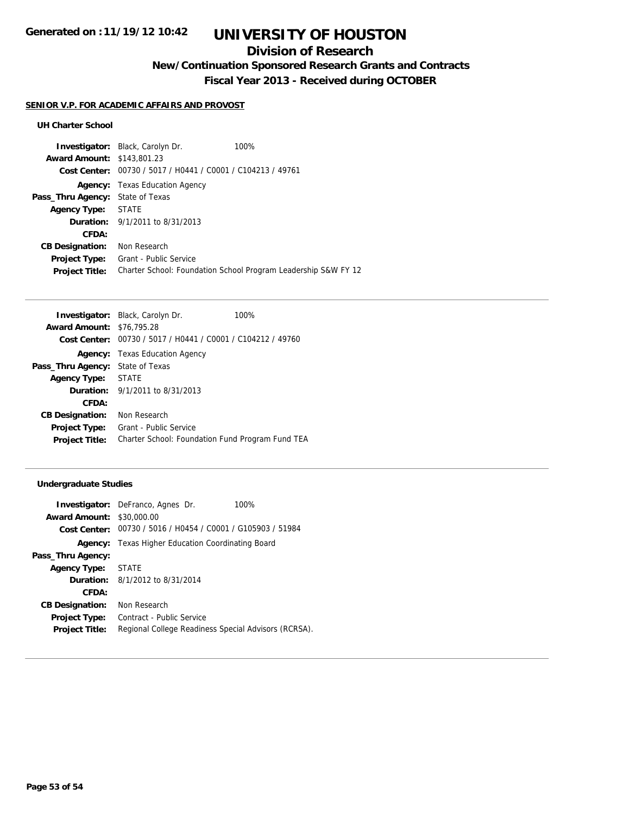### **Division of Research**

**New/Continuation Sponsored Research Grants and Contracts**

**Fiscal Year 2013 - Received during OCTOBER**

### **SENIOR V.P. FOR ACADEMIC AFFAIRS AND PROVOST**

### **UH Charter School**

| <b>Investigator:</b> Black, Carolyn Dr.        | 100%                                                           |
|------------------------------------------------|----------------------------------------------------------------|
| <b>Award Amount: \$143,801.23</b>              |                                                                |
| 00730 / 5017 / H0441 / C0001 / C104213 / 49761 |                                                                |
| Texas Education Agency                         |                                                                |
| <b>Pass_Thru Agency:</b> State of Texas        |                                                                |
| STATE                                          |                                                                |
| <b>Duration:</b> $9/1/2011$ to $8/31/2013$     |                                                                |
|                                                |                                                                |
| Non Research                                   |                                                                |
| Grant - Public Service                         |                                                                |
|                                                | Charter School: Foundation School Program Leadership S&W FY 12 |
|                                                |                                                                |

|                                  | <b>Investigator:</b> Black, Carolyn Dr.<br>100%  |
|----------------------------------|--------------------------------------------------|
| <b>Award Amount: \$76,795.28</b> |                                                  |
| Cost Center:                     | 00730 / 5017 / H0441 / C0001 / C104212 / 49760   |
|                                  | <b>Agency:</b> Texas Education Agency            |
| Pass_Thru Agency:                | State of Texas                                   |
| <b>Agency Type:</b>              | <b>STATE</b>                                     |
|                                  | <b>Duration:</b> 9/1/2011 to 8/31/2013           |
| CFDA:                            |                                                  |
| <b>CB Designation:</b>           | Non Research                                     |
| <b>Project Type:</b>             | Grant - Public Service                           |
| <b>Project Title:</b>            | Charter School: Foundation Fund Program Fund TEA |

### **Undergraduate Studies**

|                                  | <b>Investigator:</b> DeFranco, Agnes Dr.<br>100%            |
|----------------------------------|-------------------------------------------------------------|
| <b>Award Amount: \$30,000.00</b> |                                                             |
|                                  | Cost Center: 00730 / 5016 / H0454 / C0001 / G105903 / 51984 |
|                                  | <b>Agency:</b> Texas Higher Education Coordinating Board    |
| Pass_Thru Agency:                |                                                             |
| Agency Type: STATE               |                                                             |
|                                  | <b>Duration:</b> $8/1/2012$ to $8/31/2014$                  |
| CFDA:                            |                                                             |
| <b>CB Designation:</b>           | Non Research                                                |
| <b>Project Type:</b>             | Contract - Public Service                                   |
| <b>Project Title:</b>            | Regional College Readiness Special Advisors (RCRSA).        |